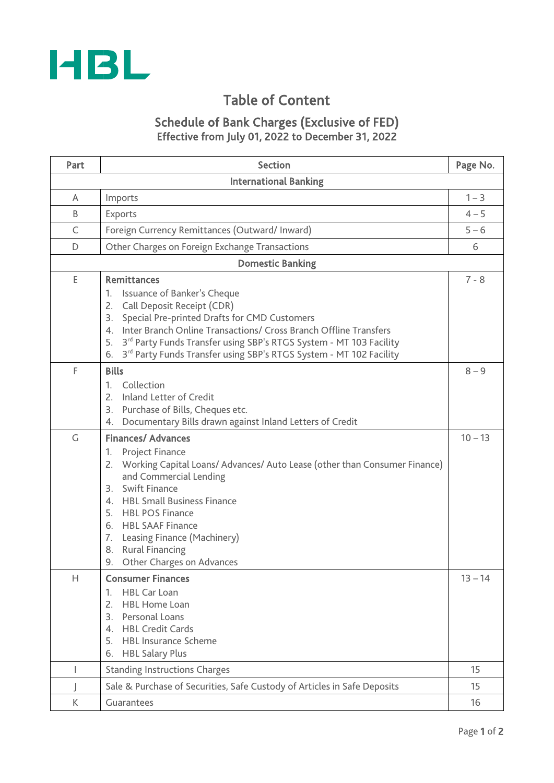

# Table of Content

# Schedule of Bank Charges (Exclusive of FED) Effective from July 01, 2022 to December 31, 2022

| Part | <b>Section</b>                                                                                                                                                                                                                                                                                                                                                                             |           |  |  |  |
|------|--------------------------------------------------------------------------------------------------------------------------------------------------------------------------------------------------------------------------------------------------------------------------------------------------------------------------------------------------------------------------------------------|-----------|--|--|--|
|      | <b>International Banking</b>                                                                                                                                                                                                                                                                                                                                                               |           |  |  |  |
| A    | Imports                                                                                                                                                                                                                                                                                                                                                                                    | $1 - 3$   |  |  |  |
| B    | Exports                                                                                                                                                                                                                                                                                                                                                                                    | $4 - 5$   |  |  |  |
| C    | Foreign Currency Remittances (Outward/ Inward)                                                                                                                                                                                                                                                                                                                                             |           |  |  |  |
| D    | Other Charges on Foreign Exchange Transactions                                                                                                                                                                                                                                                                                                                                             |           |  |  |  |
|      | <b>Domestic Banking</b>                                                                                                                                                                                                                                                                                                                                                                    |           |  |  |  |
| E    | <b>Remittances</b><br>Issuance of Banker's Cheque<br>1.<br>Call Deposit Receipt (CDR)<br>2.                                                                                                                                                                                                                                                                                                | $7 - 8$   |  |  |  |
|      | Special Pre-printed Drafts for CMD Customers<br>3.<br>4. Inter Branch Online Transactions/ Cross Branch Offline Transfers<br>3 <sup>rd</sup> Party Funds Transfer using SBP's RTGS System - MT 103 Facility<br>5.<br>3rd Party Funds Transfer using SBP's RTGS System - MT 102 Facility<br>6.                                                                                              |           |  |  |  |
| F    | <b>Bills</b><br>Collection<br>1.<br>Inland Letter of Credit<br>2.<br>Purchase of Bills, Cheques etc.<br>3.<br>Documentary Bills drawn against Inland Letters of Credit<br>4.                                                                                                                                                                                                               | $8 - 9$   |  |  |  |
| G    | <b>Finances/ Advances</b><br><b>Project Finance</b><br>1.<br>Working Capital Loans/ Advances/ Auto Lease (other than Consumer Finance)<br>2.<br>and Commercial Lending<br><b>Swift Finance</b><br>3.<br>4. HBL Small Business Finance<br>5. HBL POS Finance<br>6. HBL SAAF Finance<br>Leasing Finance (Machinery)<br>7.<br><b>Rural Financing</b><br>8.<br>Other Charges on Advances<br>9. | $10 - 13$ |  |  |  |
| Н    | <b>Consumer Finances</b><br><b>HBL Car Loan</b><br>1.<br><b>HBL Home Loan</b><br>2.<br>Personal Loans<br>3.<br><b>HBL Credit Cards</b><br>4 <sup>1</sup><br><b>HBL Insurance Scheme</b><br>5.<br><b>HBL Salary Plus</b><br>6.                                                                                                                                                              | $13 - 14$ |  |  |  |
| I    | <b>Standing Instructions Charges</b>                                                                                                                                                                                                                                                                                                                                                       | 15        |  |  |  |
|      | Sale & Purchase of Securities, Safe Custody of Articles in Safe Deposits                                                                                                                                                                                                                                                                                                                   | 15        |  |  |  |
| К    | Guarantees                                                                                                                                                                                                                                                                                                                                                                                 |           |  |  |  |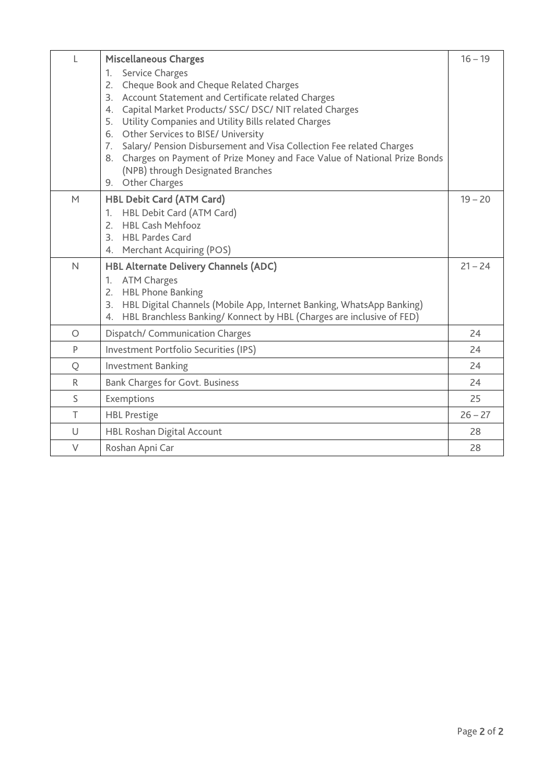| L            | <b>Miscellaneous Charges</b>                                                                                              | $16 - 19$ |  |  |
|--------------|---------------------------------------------------------------------------------------------------------------------------|-----------|--|--|
|              | <b>Service Charges</b><br>$\mathbf{1}$ .                                                                                  |           |  |  |
|              | Cheque Book and Cheque Related Charges<br>2.                                                                              |           |  |  |
|              | 3. Account Statement and Certificate related Charges                                                                      |           |  |  |
|              | Capital Market Products/ SSC/ DSC/ NIT related Charges<br>4.<br>Utility Companies and Utility Bills related Charges<br>5. |           |  |  |
|              | Other Services to BISE/ University<br>6.                                                                                  |           |  |  |
|              | Salary/ Pension Disbursement and Visa Collection Fee related Charges<br>7.                                                |           |  |  |
|              | 8. Charges on Payment of Prize Money and Face Value of National Prize Bonds                                               |           |  |  |
|              | (NPB) through Designated Branches                                                                                         |           |  |  |
|              | 9. Other Charges                                                                                                          |           |  |  |
| M            | <b>HBL Debit Card (ATM Card)</b>                                                                                          | $19 - 20$ |  |  |
|              | HBL Debit Card (ATM Card)<br>1.                                                                                           |           |  |  |
|              | <b>HBL Cash Mehfooz</b><br>$2^{\circ}$                                                                                    |           |  |  |
|              | <b>HBL Pardes Card</b><br>3                                                                                               |           |  |  |
|              | <b>Merchant Acquiring (POS)</b><br>4.                                                                                     |           |  |  |
| $\mathsf{N}$ | <b>HBL Alternate Delivery Channels (ADC)</b>                                                                              | $21 - 24$ |  |  |
|              | <b>ATM Charges</b><br>1.                                                                                                  |           |  |  |
|              | <b>HBL Phone Banking</b><br>2.                                                                                            |           |  |  |
|              | HBL Digital Channels (Mobile App, Internet Banking, WhatsApp Banking)<br>3.                                               |           |  |  |
|              | HBL Branchless Banking/Konnect by HBL (Charges are inclusive of FED)<br>4.                                                |           |  |  |
| $\circ$      | Dispatch/ Communication Charges                                                                                           | 24        |  |  |
| P            | Investment Portfolio Securities (IPS)                                                                                     | 24        |  |  |
| Q            | <b>Investment Banking</b>                                                                                                 |           |  |  |
| R            | <b>Bank Charges for Govt. Business</b>                                                                                    |           |  |  |
| S            | Exemptions                                                                                                                |           |  |  |
| T            | <b>HBL Prestige</b>                                                                                                       |           |  |  |
| U            | <b>HBL Roshan Digital Account</b>                                                                                         | 28        |  |  |
| V            | Roshan Apni Car                                                                                                           | 28        |  |  |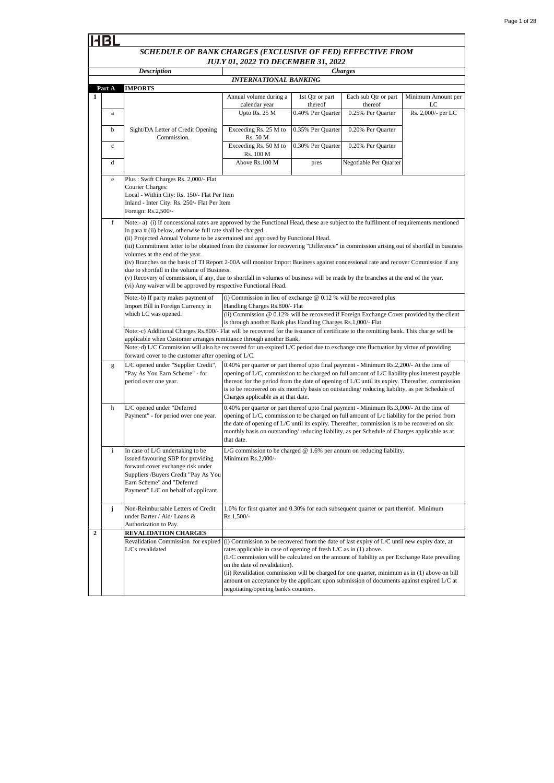|                  | HBL                                                                                                                                                                                                                                                                                                                                                                                                                                                                                                                                                                                                                                                                                                                                                                                                                                                                     |                                                                                                                                                                                                                            |                                                                                                                                                                                                                                                                                                                                                                                                                                       |                            |                                 |                          |
|------------------|-------------------------------------------------------------------------------------------------------------------------------------------------------------------------------------------------------------------------------------------------------------------------------------------------------------------------------------------------------------------------------------------------------------------------------------------------------------------------------------------------------------------------------------------------------------------------------------------------------------------------------------------------------------------------------------------------------------------------------------------------------------------------------------------------------------------------------------------------------------------------|----------------------------------------------------------------------------------------------------------------------------------------------------------------------------------------------------------------------------|---------------------------------------------------------------------------------------------------------------------------------------------------------------------------------------------------------------------------------------------------------------------------------------------------------------------------------------------------------------------------------------------------------------------------------------|----------------------------|---------------------------------|--------------------------|
|                  |                                                                                                                                                                                                                                                                                                                                                                                                                                                                                                                                                                                                                                                                                                                                                                                                                                                                         | SCHEDULE OF BANK CHARGES (EXCLUSIVE OF FED) EFFECTIVE FROM                                                                                                                                                                 | <b>JULY 01, 2022 TO DECEMBER 31, 2022</b>                                                                                                                                                                                                                                                                                                                                                                                             |                            |                                 |                          |
|                  |                                                                                                                                                                                                                                                                                                                                                                                                                                                                                                                                                                                                                                                                                                                                                                                                                                                                         | <b>Description</b>                                                                                                                                                                                                         |                                                                                                                                                                                                                                                                                                                                                                                                                                       |                            | <b>Charges</b>                  |                          |
|                  | Part A                                                                                                                                                                                                                                                                                                                                                                                                                                                                                                                                                                                                                                                                                                                                                                                                                                                                  | <b>IMPORTS</b>                                                                                                                                                                                                             | <b>INTERNATIONAL BANKING</b>                                                                                                                                                                                                                                                                                                                                                                                                          |                            |                                 |                          |
| 1                |                                                                                                                                                                                                                                                                                                                                                                                                                                                                                                                                                                                                                                                                                                                                                                                                                                                                         |                                                                                                                                                                                                                            | Annual volume during a<br>calendar year                                                                                                                                                                                                                                                                                                                                                                                               | 1st Qtr or part<br>thereof | Each sub Qtr or part<br>thereof | Minimum Amount per<br>LC |
|                  | a                                                                                                                                                                                                                                                                                                                                                                                                                                                                                                                                                                                                                                                                                                                                                                                                                                                                       |                                                                                                                                                                                                                            | Upto Rs. 25 M                                                                                                                                                                                                                                                                                                                                                                                                                         | 0.40% Per Quarter          | 0.25% Per Quarter               | Rs. 2,000/- per LC       |
|                  | b                                                                                                                                                                                                                                                                                                                                                                                                                                                                                                                                                                                                                                                                                                                                                                                                                                                                       | Sight/DA Letter of Credit Opening<br>Commission.                                                                                                                                                                           | Exceeding Rs. 25 M to<br>Rs. 50 M                                                                                                                                                                                                                                                                                                                                                                                                     | 0.35% Per Quarter          | 0.20% Per Quarter               |                          |
|                  | $\mathbf c$                                                                                                                                                                                                                                                                                                                                                                                                                                                                                                                                                                                                                                                                                                                                                                                                                                                             |                                                                                                                                                                                                                            | Exceeding Rs. 50 M to<br>Rs. 100 M                                                                                                                                                                                                                                                                                                                                                                                                    | 0.30% Per Quarter          | 0.20% Per Quarter               |                          |
|                  | d                                                                                                                                                                                                                                                                                                                                                                                                                                                                                                                                                                                                                                                                                                                                                                                                                                                                       |                                                                                                                                                                                                                            | Above Rs.100 M                                                                                                                                                                                                                                                                                                                                                                                                                        | pres                       | Negotiable Per Quarter          |                          |
|                  | e                                                                                                                                                                                                                                                                                                                                                                                                                                                                                                                                                                                                                                                                                                                                                                                                                                                                       | Plus: Swift Charges Rs. 2,000/- Flat<br>Courier Charges:<br>Local - Within City: Rs. 150/- Flat Per Item<br>Inland - Inter City: Rs. 250/- Flat Per Item<br>Foreign: Rs.2,500/-                                            |                                                                                                                                                                                                                                                                                                                                                                                                                                       |                            |                                 |                          |
|                  | Note:- a) (i) If concessional rates are approved by the Functional Head, these are subject to the fulfilment of requirements mentioned<br>f<br>in para # (ii) below, otherwise full rate shall be charged.<br>(ii) Projected Annual Volume to be ascertained and approved by Functional Head.<br>(iii) Commitment letter to be obtained from the customer for recovering "Difference" in commission arising out of shortfall in business<br>volumes at the end of the year.<br>(iv) Branches on the basis of TI Report 2-00A will monitor Import Business against concessional rate and recover Commission if any<br>due to shortfall in the volume of Business.<br>(v) Recovery of commission, if any, due to shortfall in volumes of business will be made by the branches at the end of the year.<br>(vi) Any waiver will be approved by respective Functional Head. |                                                                                                                                                                                                                            |                                                                                                                                                                                                                                                                                                                                                                                                                                       |                            |                                 |                          |
|                  |                                                                                                                                                                                                                                                                                                                                                                                                                                                                                                                                                                                                                                                                                                                                                                                                                                                                         | Note:-b) If party makes payment of<br>Import Bill in Foreign Currency in<br>which LC was opened.                                                                                                                           | (i) Commission in lieu of exchange $@$ 0.12 % will be recovered plus<br>Handling Charges Rs.800/- Flat<br>(ii) Commission @ 0.12% will be recovered if Foreign Exchange Cover provided by the client                                                                                                                                                                                                                                  |                            |                                 |                          |
|                  |                                                                                                                                                                                                                                                                                                                                                                                                                                                                                                                                                                                                                                                                                                                                                                                                                                                                         | Note:-c) Additional Charges Rs.800/- Flat will be recovered for the issuance of certificate to the remitting bank. This charge will be<br>applicable when Customer arranges remittance through another Bank.               | is through another Bank plus Handling Charges Rs.1,000/- Flat                                                                                                                                                                                                                                                                                                                                                                         |                            |                                 |                          |
|                  |                                                                                                                                                                                                                                                                                                                                                                                                                                                                                                                                                                                                                                                                                                                                                                                                                                                                         | Note:-d) L/C Commission will also be recovered for un-expired L/C period due to exchange rate fluctuation by virtue of providing<br>forward cover to the customer after opening of $L/C$ .                                 |                                                                                                                                                                                                                                                                                                                                                                                                                                       |                            |                                 |                          |
|                  | g                                                                                                                                                                                                                                                                                                                                                                                                                                                                                                                                                                                                                                                                                                                                                                                                                                                                       | L/C opened under "Supplier Credit",<br>"Pay As You Earn Scheme" - for<br>period over one year.                                                                                                                             | 0.40% per quarter or part thereof upto final payment - Minimum Rs.2,200/- At the time of<br>opening of L/C, commission to be charged on full amount of L/C liability plus interest payable<br>thereon for the period from the date of opening of L/C until its expiry. Thereafter, commission<br>is to be recovered on six monthly basis on outstanding/reducing liability, as per Schedule of<br>Charges applicable as at that date. |                            |                                 |                          |
|                  | h                                                                                                                                                                                                                                                                                                                                                                                                                                                                                                                                                                                                                                                                                                                                                                                                                                                                       | L/C opened under "Deferred<br>Payment" - for period over one year.                                                                                                                                                         | 0.40% per quarter or part thereof upto final payment - Minimum Rs.3,000/- At the time of<br>opening of $L/C$ , commission to be charged on full amount of $L/c$ liability for the period from<br>the date of opening of L/C until its expiry. Thereafter, commission is to be recovered on six<br>monthly basis on outstanding/reducing liability, as per Schedule of Charges applicable as at<br>that date.                          |                            |                                 |                          |
|                  | i                                                                                                                                                                                                                                                                                                                                                                                                                                                                                                                                                                                                                                                                                                                                                                                                                                                                       | In case of L/G undertaking to be<br>issued favouring SBP for providing<br>forward cover exchange risk under<br>Suppliers / Buyers Credit "Pay As You<br>Earn Scheme" and "Deferred<br>Payment" L/C on behalf of applicant. | L/G commission to be charged $@$ 1.6% per annum on reducing liability.<br>Minimum Rs.2,000/-                                                                                                                                                                                                                                                                                                                                          |                            |                                 |                          |
|                  | j                                                                                                                                                                                                                                                                                                                                                                                                                                                                                                                                                                                                                                                                                                                                                                                                                                                                       | Non-Reimbursable Letters of Credit<br>under Barter / Aid/ Loans &<br>Authorization to Pay.                                                                                                                                 | 1.0% for first quarter and 0.30% for each subsequent quarter or part thereof. Minimum<br>Rs.1,500/-                                                                                                                                                                                                                                                                                                                                   |                            |                                 |                          |
| $\boldsymbol{2}$ |                                                                                                                                                                                                                                                                                                                                                                                                                                                                                                                                                                                                                                                                                                                                                                                                                                                                         | <b>REVALIDATION CHARGES</b><br>Revalidation Commission for expired<br>L/Cs revalidated                                                                                                                                     | (i) Commission to be recovered from the date of last expiry of L/C until new expiry date, at<br>rates applicable in case of opening of fresh L/C as in (1) above.<br>(L/C commission will be calculated on the amount of liability as per Exchange Rate prevailing<br>on the date of revalidation).<br>(ii) Revalidation commission will be charged for one quarter, minimum as in (1) above on bill                                  |                            |                                 |                          |

negotiating/opening bank's counters.

amount on acceptance by the applicant upon submission of documents against expired L/C at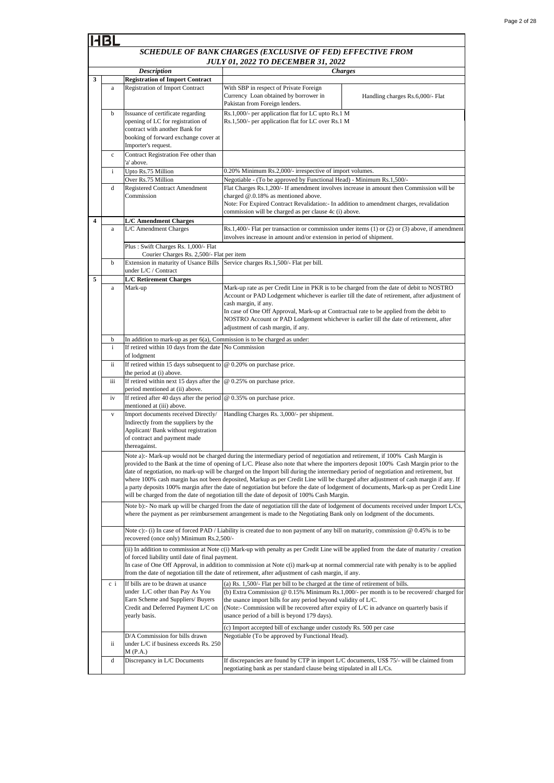#### *SCHEDULE OF BANK CHARGES (EXCLUSIVE OF FED) EFFECTIVE FROM JULY 01, 2022 TO DECEMBER 31, 2022 Description Charges* **Registration of Import Contract** Registration of Import Contract b Issuance of certificate regarding opening of LC for registration of contract with another Bank for booking of forward exchange cover at Importer's request. c Contract Registration Fee other than 'a' above. Upto Rs.75 Million Over Rs.75 Million d Registered Contract Amendment Commission **L/C Amendment Charges** L/C Amendment Charges b Extension in maturity of Usance Bills Service charges Rs.1,500/- Flat per bill. under L/C / Contract **L/C Retirement Charges** a Mark-up b i If retired within 10 days from the date No Commission of lodgment ii If retired within 15 days subsequent to @ 0.20% on purchase price. the period at (i) above. iii If retired within next 15 days after the period mentioned at (ii) above. iv If retired after 40 days after the period mentioned at (iii) above. Import documents received Directly/ Indirectly from the suppliers by the Applicant/ Bank without registration of contract and payment made thereagainst. ii D/A Commission for bills drawn under L/C if business exceeds Rs. 250 M (P.A.) d Discrepancy in L/C Documents **3 5** Mark-up rate as per Credit Line in PKR is to be charged from the date of debit to NOSTRO Account or PAD Lodgement whichever is earlier till the date of retirement, after adjustment of cash margin, if any. In case of One Off Approval, Mark-up at Contractual rate to be applied from the debit to NOSTRO Account or PAD Lodgement whichever is earlier till the date of retirement, after adjustment of cash margin, if any. i (a) Rs. 1,500/- Flat per bill to be charged at the time of retirement of bills.  $Rs.1,400/$ - Flat per transaction or commission under items (1) or (2) or (3) above, if amendment involves increase in amount and/or extension in period of shipment. Plus : Swift Charges Rs. 1,000/- Flat Courier Charges Rs. 2,500/- Flat per item In addition to mark-up as per  $6(a)$ , Commission is to be charged as under @ 0.25% on purchase price. @ 0.35% on purchase price. Note b):- No mark up will be charged from the date of negotiation till the date of lodgement of documents received under Import L/Cs, where the payment as per reimbursement arrangement is made to the Negotiating Bank only on lodgment of the documents Handling Charges Rs. 3,000/- per shipment. Note a):- Mark-up would not be charged during the intermediary period of negotiation and retirement, if 100% Cash Margin is provided to the Bank at the time of opening of L/C. Please also note that where the importers deposit 100% Cash Margin prior to the date of negotiation, no mark-up will be charged on the Import bill during the intermediary period of negotiation and retirement, but where 100% cash margin has not been deposited, Markup as per Credit Line will be charged after adjustment of cash margin if any. If a party deposits 100% margin after the date of negotiation but before the date of lodgement of documents, Mark-up as per Credit Line will be charged from the date of negotiation till the date of deposit of 100% Cash Margin. Note c):- (i) In case of forced PAD / Liability is created due to non payment of any bill on maturity, commission @ 0.45% is to be recovered (once only) Minimum Rs.2,500/- (b) Extra Commission @ 0.15% Minimum Rs.1,000/- per month is to be recovered/ charged for the usance import bills for any period beyond validity of L/C. (Note:- Commission will be recovered after expiry of L/C in advance on quarterly basis if usance period of a bill is beyond 179 days). (ii) In addition to commission at Note c(i) Mark-up with penalty as per Credit Line will be applied from the date of maturity / creation of forced liability until date of final payment. In case of One Off Approval, in addition to commission at Note c(i) mark-up at normal commercial rate with penalty is to be applied from the date of negotiation till the date of retirement, after adjustment of cash margin, if any. With SBP in respect of Private Foreign Currency Loan obtained by borrower in Pakistan from Foreign lenders. Handling charges Rs.6,000/- Flat Rs.1,000/- per application flat for LC upto Rs.1 M Rs.1,500/- per application flat for LC over Rs.1 M Negotiable (To be approved by Functional Head). 0.20% Minimum Rs.2,000/- irrespective of import volumes. (c) Import accepted bill of exchange under custody Rs. 500 per case If bills are to be drawn at usance under L/C other than Pay As You Earn Scheme and Suppliers/ Buyers Credit and Deferred Payment L/C on yearly basis. c i **4** Negotiable - (To be approved by Functional Head) - Minimum Rs.1,500/- Flat Charges Rs.1,200/- If amendment involves increase in amount then Commission will be charged @.0.18% as mentioned above. Note: For Expired Contract Revalidation:- In addition to amendment charges, revalidation commission will be charged as per clause 4c (i) above. If discrepancies are found by CTP in import L/C documents, US\$ 75/- will be claimed from

negotiating bank as per standard clause being stipulated in all L/Cs.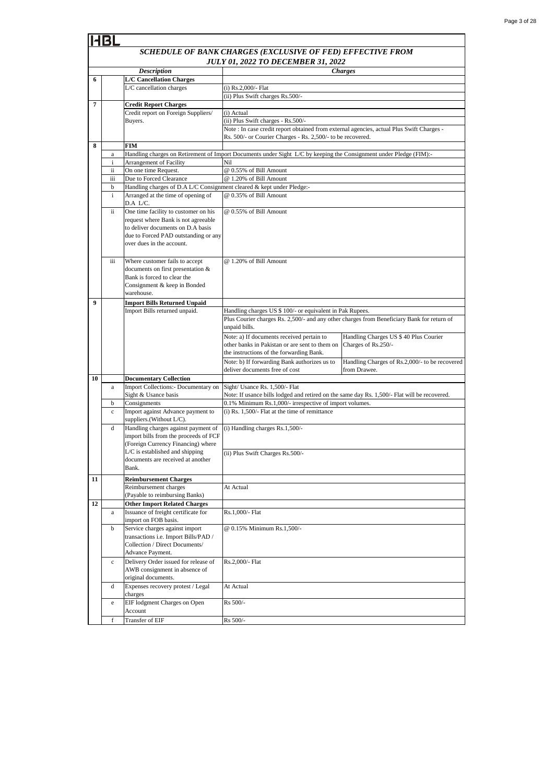#### -IR *SCHEDULE OF BANK CHARGES (EXCLUSIVE OF FED) EFFECTIVE FROM JULY 01, 2022 TO DECEMBER 31, 2022 Description Charges* **6 L/C Cancellation Charges** L/C cancellation charges (i) Rs.2,000/- Flat (ii) Plus Swift charges Rs.500/- **7 Credit Report Charges** Credit report on Foreign Suppliers/ (i) Actual Buyers. (ii) Plus Swift charges - Rs.500/- Note : In case credit report obtained from external agencies, actual Plus Swift Charges - Rs. 500/- or Courier Charges - Rs. 2,500/- to be recovered. **8 FIM** Handling charges on Retirement of Import Documents under Sight L/C by keeping the Consignment under Pledge (FIM): a Arrangement of Facility Nil @ 0.55% of Bill Amount ii On one time Request. iii Due to Forced Clearance @ 1.20% of Bill Amount Handling charges of D.A L/C Consignment cleared & kept under Pledge: b i Arranged at the time of opening of @ 0.35% of Bill Amount D.A L/C. @ 0.55% of Bill Amountii One time facility to customer on his request where Bank is not agreeable to deliver documents on D.A basis due to Forced PAD outstanding or any over dues in the account. iii Where customer fails to accept @ 1.20% of Bill Amount documents on first presentation & Bank is forced to clear the Consignment & keep in Bonded warehouse. **9 Import Bills Returned Unpaid** Import Bills returned unpaid. Handling charges US \$ 100/- or equivalent in Pak Rupees. Plus Courier charges Rs. 2,500/- and any other charges from Beneficiary Bank for return of unpaid bills. Note: a) If documents received pertain to Handling Charges US \$ 40 Plus Courier other banks in Pakistan or are sent to them on Charges of Rs.250/ the instructions of the forwarding Bank. Note: b) If forwarding Bank authorizes us to Handling Charges of Rs.2,000/- to be recovered deliver documents free of cost from Drawe **10 Documentary Collection** a Import Collections:- Documentary on Sight/ Usance Rs. 1,500/- Flat Note: If usance bills lodged and retired on the same day Rs. 1,500/- Flat will be recovered. Sight & Usance basis b Consignments 0.1% Minimum Rs.1,000/- irrespective of import volumes. c Import against Advance payment to (i) Rs. 1,500/- Flat at the time of remittance suppliers.(Without L/C). d Handling charges against payment of (i) Handling charges Rs.1,500/ import bills from the proceeds of FCF (Foreign Currency Financing) where L/C is established and shipping (ii) Plus Swift Charges Rs.500/ documents are received at another Bank. **11 Reimbursement Charges**  Reimbursement charges At Actual (Payable to reimbursing Banks) **12 Other Import Related Charges** a Issuance of freight certificate for Rs.1,000/- Flat import on FOB basis. b Service charges against import @ 0.15% Minimum Rs.1,500/ transactions i.e. Import Bills/PAD / Collection / Direct Documents/ Advance Payment. c Delivery Order issued for release of Rs.2,000/- Flat AWB consignment in absence of original documents. d Expenses recovery protest / Legal At Actual charges Rs 500/ e EIF lodgment Charges on Open Account Transfer of EIF Rs 500/-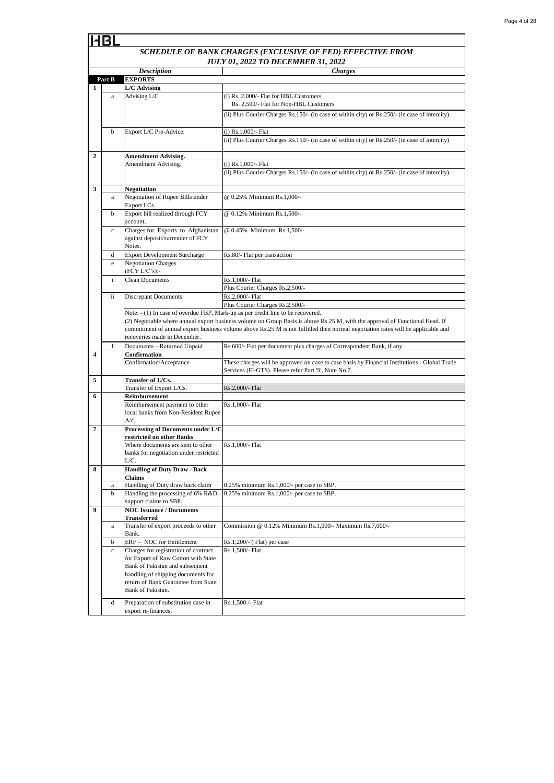| Page 4 of 28 |  |  |
|--------------|--|--|
|              |  |  |

|   |              |                                                                                  | SCHEDULE OF BANK CHARGES (EXCLUSIVE OF FED) EFFECTIVE FROM                                                                                            |
|---|--------------|----------------------------------------------------------------------------------|-------------------------------------------------------------------------------------------------------------------------------------------------------|
|   |              |                                                                                  | <b>JULY 01, 2022 TO DECEMBER 31, 2022</b>                                                                                                             |
|   |              | <b>Description</b>                                                               | <b>Charges</b>                                                                                                                                        |
|   | Part B       | <b>EXPORTS</b>                                                                   |                                                                                                                                                       |
| 1 |              | <b>L/C</b> Advising                                                              |                                                                                                                                                       |
|   | a            | Advising L/C                                                                     | (i) Rs. 2,000/- Flat for HBL Customers<br>Rs. 2,500/- Flat for Non-HBL Customers                                                                      |
|   |              |                                                                                  | (ii) Plus Courier Charges Rs.150/- (in case of within city) or Rs.250/- (in case of intercity)                                                        |
|   | $\mathbf b$  | Export L/C Pre-Advice.                                                           | (i) Rs.1,000/- Flat                                                                                                                                   |
|   |              |                                                                                  | (ii) Plus Courier Charges Rs.150/- (in case of within city) or Rs.250/- (in case of intercity)                                                        |
| 2 |              | <b>Amendment Advising.</b>                                                       |                                                                                                                                                       |
|   |              | Amendment Advising.                                                              | (i) $Rs.1,000/-$ Flat<br>(ii) Plus Courier Charges Rs.150/- (in case of within city) or Rs.250/- (in case of intercity)                               |
| 3 |              | Negotiation                                                                      |                                                                                                                                                       |
|   | a            | Negotiation of Rupee Bills under<br>Export LCs.                                  | @ 0.25% Minimum Rs.1,000/-                                                                                                                            |
|   | b            | Export bill realized through FCY<br>account.                                     | @ 0.12% Minimum Rs.1,500/-                                                                                                                            |
|   | $\mathbf c$  | Charges for Exports to Afghanistan<br>against deposit/surrender of FCY<br>Notes. | @ 0.45% Minimum Rs.1,500/-                                                                                                                            |
|   | d            | <b>Export Development Surcharge</b>                                              | Rs.80/- Flat per transaction                                                                                                                          |
|   | e            | <b>Negotiation Charges</b><br>(FCY L/C's):-                                      |                                                                                                                                                       |
|   | $\mathbf{i}$ | <b>Clean Documents</b>                                                           | Rs.1,000/- Flat                                                                                                                                       |
|   |              |                                                                                  | Plus Courier Charges Rs.2,500/-                                                                                                                       |
|   | ii           | <b>Discrepant Documents</b>                                                      | Rs.2,000/- Flat                                                                                                                                       |
|   |              |                                                                                  | Plus Courier Charges Rs.2,500/-<br>Note: - (1) In case of overdue FBP, Mark-up as per credit line to be recovered.                                    |
|   |              |                                                                                  | (2) Negotiable where annual export business volume on Group Basis is above Rs.25 M, with the approval of Functional Head. If                          |
|   |              |                                                                                  | commitment of annual export business volume above Rs.25 M is not fulfilled then normal negotiation rates will be applicable and                       |
|   |              | recoveries made in December.                                                     |                                                                                                                                                       |
|   | f            | Documents-Returned Unpaid                                                        | Rs.600/- Flat per document plus charges of Correspondent Bank, if any.                                                                                |
| 4 |              | Confirmation                                                                     |                                                                                                                                                       |
|   |              | Confirmation/Acceptance                                                          | These charges will be approved on case to case basis by Financial Institutions - Global Trade<br>Services (FI-GTS). Please refer Part 'S', Note No.7. |
| 5 |              | Transfer of L/Cs.                                                                |                                                                                                                                                       |
|   |              | Transfer of Export L/Cs.                                                         | Rs.2,000/- Flat                                                                                                                                       |
| 6 |              | Reimbursement<br>Reimbursement payment to other                                  | Rs.1,000/- Flat                                                                                                                                       |
|   |              | local banks from Non-Resident Rupee<br>A/c.                                      |                                                                                                                                                       |
| 7 |              | Processing of Documents under L/C<br>restricted on other Banks                   |                                                                                                                                                       |
|   |              | Where documents are sent to other                                                | Rs.1.000/- Flat                                                                                                                                       |
|   |              | banks for negotiation under restricted<br>L/C.                                   |                                                                                                                                                       |
| 8 |              | <b>Handling of Duty Draw - Back</b><br>Claims                                    |                                                                                                                                                       |
|   | a            | Handling of Duty draw back claim                                                 | 0.25% minimum Rs.1,000/- per case to SBP.                                                                                                             |
|   | $\mathbf b$  | Handling the processing of 6% R&D<br>support claims to SBP.                      | 0.25% minimum Rs.1,000/- per case to SBP.                                                                                                             |
| 9 |              | <b>NOC Issuance / Documents</b><br><b>Transferred</b>                            |                                                                                                                                                       |
|   | a            | Transfer of export proceeds to other<br>Bank.                                    | Commission @ 0.12% Minimum Rs.1,000/- Maximum Rs.7,000/-                                                                                              |
|   | b            | ERF - NOC for Entitlement                                                        | $Rs.1,200/(-$ (Flat) per case                                                                                                                         |
|   | $\mathbf c$  | Charges for registration of contract                                             | Rs.1,500/- Flat                                                                                                                                       |
|   |              | for Export of Raw Cotton with State                                              |                                                                                                                                                       |
|   |              | Bank of Pakistan and subsequent                                                  |                                                                                                                                                       |
|   |              | handling of shipping documents for                                               |                                                                                                                                                       |
|   |              | return of Bank Guarantee from State<br>Bank of Pakistan.                         |                                                                                                                                                       |
|   | d            | Preparation of substitution case in                                              | Rs.1,500 /- Flat                                                                                                                                      |
|   |              | export re-finances.                                                              |                                                                                                                                                       |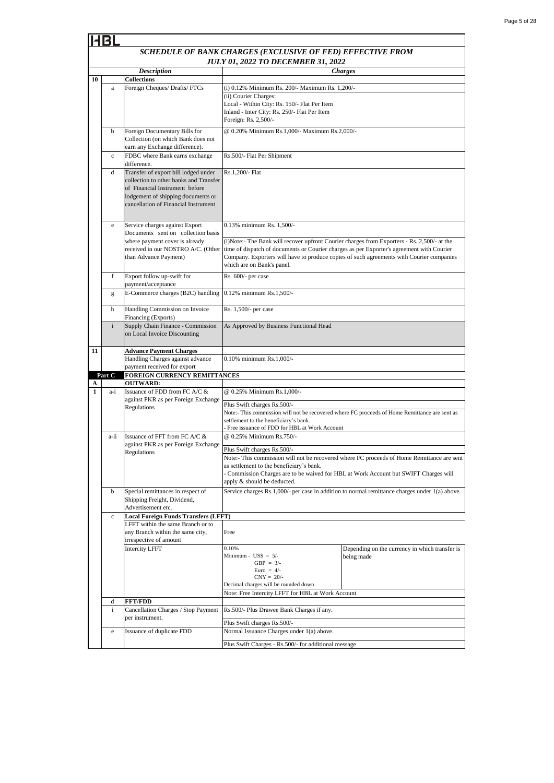| Page 5 of 28 |  |  |
|--------------|--|--|
|              |  |  |

|                                                       |              |                                                                      | SCHEDULE OF BANK CHARGES (EXCLUSIVE OF FED) EFFECTIVE FROM                                                                                                                            |                                                                                                |  |  |
|-------------------------------------------------------|--------------|----------------------------------------------------------------------|---------------------------------------------------------------------------------------------------------------------------------------------------------------------------------------|------------------------------------------------------------------------------------------------|--|--|
|                                                       |              |                                                                      | <b>JULY 01, 2022 TO DECEMBER 31, 2022</b>                                                                                                                                             |                                                                                                |  |  |
|                                                       |              | <b>Description</b>                                                   |                                                                                                                                                                                       | <b>Charges</b>                                                                                 |  |  |
| 10                                                    |              | <b>Collections</b>                                                   |                                                                                                                                                                                       |                                                                                                |  |  |
|                                                       | $\rm{a}$     | Foreign Cheques/ Drafts/ FTCs                                        | (i) 0.12% Minimum Rs. 200/- Maximum Rs. 1,200/-<br>(ii) Courier Charges:                                                                                                              |                                                                                                |  |  |
|                                                       |              |                                                                      | Local - Within City: Rs. 150/- Flat Per Item                                                                                                                                          |                                                                                                |  |  |
|                                                       |              |                                                                      | Inland - Inter City: Rs. 250/- Flat Per Item                                                                                                                                          |                                                                                                |  |  |
|                                                       |              |                                                                      | Foreign: Rs. 2,500/-                                                                                                                                                                  |                                                                                                |  |  |
|                                                       | b            | Foreign Documentary Bills for                                        | @ 0.20% Minimum Rs.1,000/- Maximum Rs.2,000/-                                                                                                                                         |                                                                                                |  |  |
|                                                       |              | Collection (on which Bank does not                                   |                                                                                                                                                                                       |                                                                                                |  |  |
|                                                       | $\mathbf c$  | earn any Exchange difference).<br>FDBC where Bank earns exchange     | Rs.500/- Flat Per Shipment                                                                                                                                                            |                                                                                                |  |  |
|                                                       |              | difference.                                                          |                                                                                                                                                                                       |                                                                                                |  |  |
|                                                       | d            | Transfer of export bill lodged under                                 | Rs.1,200/- Flat                                                                                                                                                                       |                                                                                                |  |  |
|                                                       |              | collection to other banks and Transfer                               |                                                                                                                                                                                       |                                                                                                |  |  |
|                                                       |              | of Financial Instrument before<br>lodgement of shipping documents or |                                                                                                                                                                                       |                                                                                                |  |  |
|                                                       |              | cancellation of Financial Instrument                                 |                                                                                                                                                                                       |                                                                                                |  |  |
|                                                       |              |                                                                      |                                                                                                                                                                                       |                                                                                                |  |  |
|                                                       | e            | Service charges against Export                                       | 0.13% minimum Rs. 1,500/-                                                                                                                                                             |                                                                                                |  |  |
|                                                       |              | Documents sent on collection basis                                   |                                                                                                                                                                                       |                                                                                                |  |  |
|                                                       |              | where payment cover is already                                       | (i) Note:- The Bank will recover upfront Courier charges from Exporters - Rs. 2,500/- at the                                                                                          |                                                                                                |  |  |
|                                                       |              | received in our NOSTRO A/C. (Other<br>than Advance Payment)          | time of dispatch of documents or Courier charges as per Exporter's agreement with Courier<br>Company. Exporters will have to produce copies of such agreements with Courier companies |                                                                                                |  |  |
|                                                       |              |                                                                      | which are on Bank's panel.                                                                                                                                                            |                                                                                                |  |  |
|                                                       | f            | Export follow up-swift for                                           | Rs. 600/- per case                                                                                                                                                                    |                                                                                                |  |  |
|                                                       |              | payment/acceptance                                                   |                                                                                                                                                                                       |                                                                                                |  |  |
|                                                       | g            | E-Commerce charges (B2C) handling                                    | 0.12% minimum Rs.1,500/-                                                                                                                                                              |                                                                                                |  |  |
|                                                       | h            | Handling Commission on Invoice                                       | Rs. 1,500/- per case                                                                                                                                                                  |                                                                                                |  |  |
|                                                       |              | Financing (Exports)                                                  |                                                                                                                                                                                       |                                                                                                |  |  |
|                                                       | $\mathbf{i}$ | Supply Chain Finance - Commission                                    | As Approved by Business Functional Head                                                                                                                                               |                                                                                                |  |  |
|                                                       |              | on Local Invoice Discounting                                         |                                                                                                                                                                                       |                                                                                                |  |  |
| 11                                                    |              | <b>Advance Payment Charges</b>                                       |                                                                                                                                                                                       |                                                                                                |  |  |
|                                                       |              | Handling Charges against advance                                     | 0.10% minimum Rs.1,000/-                                                                                                                                                              |                                                                                                |  |  |
|                                                       |              | payment received for export                                          |                                                                                                                                                                                       |                                                                                                |  |  |
| A                                                     | Part C       | FOREIGN CURRENCY REMITTANCES<br><b>OUTWARD:</b>                      |                                                                                                                                                                                       |                                                                                                |  |  |
| 1                                                     | a-i          | Issuance of FDD from FC A/C &                                        | @ 0.25% Minimum Rs.1,000/-                                                                                                                                                            |                                                                                                |  |  |
|                                                       |              | against PKR as per Foreign Exchange                                  | Plus Swift charges Rs.500/-                                                                                                                                                           |                                                                                                |  |  |
|                                                       |              | Regulations                                                          | Note:- This commission will not be recovered where FC proceeds of Home Remittance are sent as                                                                                         |                                                                                                |  |  |
|                                                       |              |                                                                      | settlement to the beneficiary's bank.                                                                                                                                                 |                                                                                                |  |  |
|                                                       | a-ii         | Issuance of FFT from FC A/C &                                        | - Free issuance of FDD for HBL at Work Account<br>@ 0.25% Minimum Rs.750/-                                                                                                            |                                                                                                |  |  |
|                                                       |              | against PKR as per Foreign Exchange                                  |                                                                                                                                                                                       |                                                                                                |  |  |
|                                                       |              | Regulations                                                          | Plus Swift charges Rs.500/-                                                                                                                                                           |                                                                                                |  |  |
|                                                       |              |                                                                      | as settlement to the beneficiary's bank.                                                                                                                                              | Note:- This commission will not be recovered where FC proceeds of Home Remittance are sent     |  |  |
|                                                       |              |                                                                      | - Commission Charges are to be waived for HBL at Work Account but SWIFT Charges will                                                                                                  |                                                                                                |  |  |
|                                                       |              |                                                                      | apply & should be deducted.                                                                                                                                                           |                                                                                                |  |  |
|                                                       | b            | Special remittances in respect of                                    |                                                                                                                                                                                       | Service charges Rs.1,000/- per case in addition to normal remittance charges under 1(a) above. |  |  |
|                                                       |              | Shipping Freight, Dividend,<br>Advertisement etc.                    |                                                                                                                                                                                       |                                                                                                |  |  |
|                                                       | $\mathbf c$  | <b>Local Foreign Funds Transfers (LFFT)</b>                          |                                                                                                                                                                                       |                                                                                                |  |  |
|                                                       |              | LFFT within the same Branch or to                                    |                                                                                                                                                                                       |                                                                                                |  |  |
|                                                       |              | any Branch within the same city,                                     | Free                                                                                                                                                                                  |                                                                                                |  |  |
|                                                       |              | irrespective of amount                                               | 0.10%                                                                                                                                                                                 |                                                                                                |  |  |
|                                                       |              | <b>Intercity LFFT</b>                                                | Minimum - $\text{USS} = 5/-$                                                                                                                                                          | Depending on the currency in which transfer is<br>being made                                   |  |  |
|                                                       |              |                                                                      | GBP = $3/-$                                                                                                                                                                           |                                                                                                |  |  |
|                                                       |              |                                                                      | Euro = $4/-$<br>$CNY = 20/$ -                                                                                                                                                         |                                                                                                |  |  |
|                                                       |              |                                                                      | Decimal charges will be rounded down                                                                                                                                                  |                                                                                                |  |  |
|                                                       |              |                                                                      | Note: Free Intercity LFFT for HBL at Work Account                                                                                                                                     |                                                                                                |  |  |
|                                                       | d            | <b>FFT/FDD</b>                                                       |                                                                                                                                                                                       |                                                                                                |  |  |
|                                                       | $\mathbf{i}$ | Cancellation Charges / Stop Payment<br>per instrument.               | Rs.500/- Plus Drawee Bank Charges if any.                                                                                                                                             |                                                                                                |  |  |
|                                                       |              |                                                                      | Plus Swift charges Rs.500/-                                                                                                                                                           |                                                                                                |  |  |
|                                                       | e            | Issuance of duplicate FDD                                            | Normal Issuance Charges under 1(a) above.                                                                                                                                             |                                                                                                |  |  |
| Plus Swift Charges - Rs.500/- for additional message. |              |                                                                      |                                                                                                                                                                                       |                                                                                                |  |  |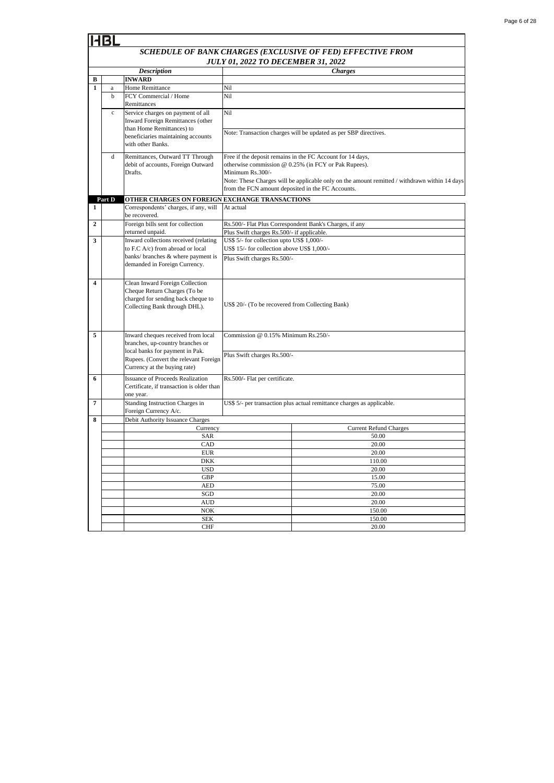| Page 6 of 28 |  |  |
|--------------|--|--|
|              |  |  |

|                  | HBL          |                                                                     |                                                                                                       |                                                                                               |
|------------------|--------------|---------------------------------------------------------------------|-------------------------------------------------------------------------------------------------------|-----------------------------------------------------------------------------------------------|
|                  |              |                                                                     |                                                                                                       | SCHEDULE OF BANK CHARGES (EXCLUSIVE OF FED) EFFECTIVE FROM                                    |
|                  |              | <b>Description</b>                                                  | <b>JULY 01, 2022 TO DECEMBER 31, 2022</b>                                                             | <b>Charges</b>                                                                                |
| В                |              | <b>INWARD</b>                                                       |                                                                                                       |                                                                                               |
| $\mathbf{1}$     | $\mathbf{a}$ | Home Remittance                                                     | Nil                                                                                                   |                                                                                               |
|                  | $\mathbf b$  | FCY Commercial / Home                                               | Nil                                                                                                   |                                                                                               |
|                  |              | Remittances                                                         |                                                                                                       |                                                                                               |
|                  | $\mathbf{c}$ | Service charges on payment of all                                   | Nil                                                                                                   |                                                                                               |
|                  |              | Inward Foreign Remittances (other                                   |                                                                                                       |                                                                                               |
|                  |              | than Home Remittances) to                                           |                                                                                                       |                                                                                               |
|                  |              | beneficiaries maintaining accounts                                  |                                                                                                       | Note: Transaction charges will be updated as per SBP directives.                              |
|                  |              | with other Banks.                                                   |                                                                                                       |                                                                                               |
|                  | $\mathbf d$  | Remittances, Outward TT Through                                     |                                                                                                       | Free if the deposit remains in the FC Account for 14 days,                                    |
|                  |              | debit of accounts, Foreign Outward                                  |                                                                                                       | otherwise commission @ 0.25% (in FCY or Pak Rupees).                                          |
|                  |              | Drafts.                                                             | Minimum Rs.300/-                                                                                      |                                                                                               |
|                  |              |                                                                     |                                                                                                       | Note: These Charges will be applicable only on the amount remitted / withdrawn within 14 days |
|                  |              |                                                                     | from the FCN amount deposited in the FC Accounts.                                                     |                                                                                               |
|                  | Part D       | OTHER CHARGES ON FOREIGN EXCHANGE TRANSACTIONS                      |                                                                                                       |                                                                                               |
| 1                |              | Correspondents' charges, if any, will                               | At actual                                                                                             |                                                                                               |
| $\mathbf{2}$     |              | be recovered.<br>Foreign bills sent for collection                  |                                                                                                       |                                                                                               |
|                  |              | returned unpaid.                                                    | Rs.500/- Flat Plus Correspondent Bank's Charges, if any<br>Plus Swift charges Rs.500/- if applicable. |                                                                                               |
| 3                |              | Inward collections received (relating                               | US\$ 5/- for collection upto US\$ 1,000/-                                                             |                                                                                               |
|                  |              | to F.C A/c) from abroad or local                                    | US\$ 15/- for collection above US\$ 1,000/-                                                           |                                                                                               |
|                  |              | banks/ branches & where payment is                                  | Plus Swift charges Rs.500/-                                                                           |                                                                                               |
|                  |              | demanded in Foreign Currency.                                       |                                                                                                       |                                                                                               |
|                  |              |                                                                     |                                                                                                       |                                                                                               |
| $\boldsymbol{4}$ |              | Clean Inward Foreign Collection                                     |                                                                                                       |                                                                                               |
|                  |              | Cheque Return Charges (To be                                        |                                                                                                       |                                                                                               |
|                  |              | charged for sending back cheque to                                  | US\$ 20/- (To be recovered from Collecting Bank)                                                      |                                                                                               |
|                  |              | Collecting Bank through DHL).                                       |                                                                                                       |                                                                                               |
|                  |              |                                                                     |                                                                                                       |                                                                                               |
|                  |              |                                                                     |                                                                                                       |                                                                                               |
| 5                |              | Inward cheques received from local                                  | Commission @ 0.15% Minimum Rs.250/-                                                                   |                                                                                               |
|                  |              | branches, up-country branches or<br>local banks for payment in Pak. |                                                                                                       |                                                                                               |
|                  |              | Rupees. (Convert the relevant Foreign                               | Plus Swift charges Rs.500/-                                                                           |                                                                                               |
|                  |              | Currency at the buying rate)                                        |                                                                                                       |                                                                                               |
| 6                |              | <b>Issuance of Proceeds Realization</b>                             | Rs.500/- Flat per certificate.                                                                        |                                                                                               |
|                  |              | Certificate, if transaction is older than                           |                                                                                                       |                                                                                               |
|                  |              | one year.                                                           |                                                                                                       |                                                                                               |
| $\overline{7}$   |              | Standing Instruction Charges in                                     |                                                                                                       | US\$ 5/- per transaction plus actual remittance charges as applicable.                        |
|                  |              | Foreign Currency A/c.                                               |                                                                                                       |                                                                                               |
| 8                |              | Debit Authority Issuance Charges                                    |                                                                                                       |                                                                                               |
|                  |              | Currency                                                            |                                                                                                       | <b>Current Refund Charges</b>                                                                 |
|                  |              | <b>SAR</b>                                                          |                                                                                                       | 50.00                                                                                         |
|                  |              | CAD<br><b>EUR</b>                                                   |                                                                                                       | 20.00<br>20.00                                                                                |
|                  |              | <b>DKK</b>                                                          |                                                                                                       | 110.00                                                                                        |
|                  |              |                                                                     |                                                                                                       |                                                                                               |

AUD

SEK CHF

NOK

AED SGD

USD

GBP

20.00

150.00

20.00 150.00

20.00

20.00

15.00 75.00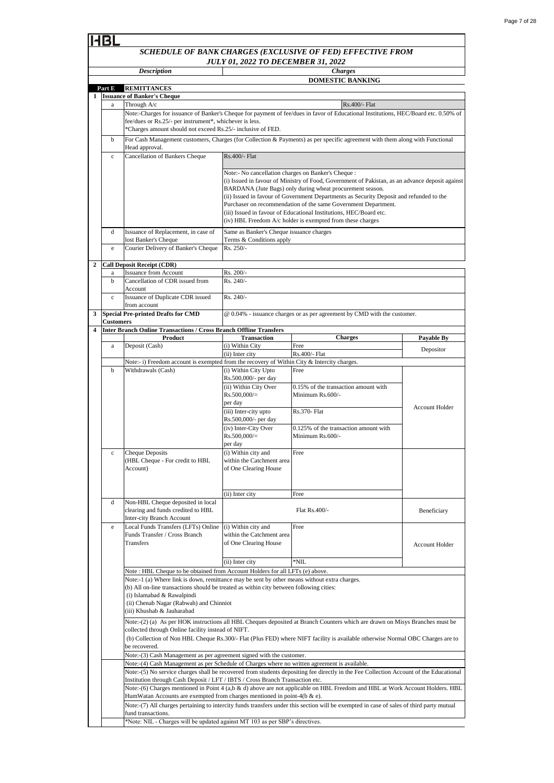|                         | <b>Description</b> |                                                                                               | <b>Charges</b>                                                       |                                                                                                                                                      |                       |  |
|-------------------------|--------------------|-----------------------------------------------------------------------------------------------|----------------------------------------------------------------------|------------------------------------------------------------------------------------------------------------------------------------------------------|-----------------------|--|
|                         |                    |                                                                                               | <b>DOMESTIC BANKING</b>                                              |                                                                                                                                                      |                       |  |
|                         | Part E             | <b>REMITTANCES</b>                                                                            |                                                                      |                                                                                                                                                      |                       |  |
|                         |                    | 1 <b>Issuance of Banker's Cheque</b>                                                          |                                                                      |                                                                                                                                                      |                       |  |
|                         | a                  | Through A/c                                                                                   |                                                                      | Rs.400/- Flat                                                                                                                                        |                       |  |
|                         |                    |                                                                                               |                                                                      | Note:-Charges for issuance of Banker's Cheque for payment of fee/dues in favor of Educational Institutions, HEC/Board etc. 0.50% of                  |                       |  |
|                         |                    | fee/dues or Rs.25/- per instrument*, whichever is less.                                       |                                                                      |                                                                                                                                                      |                       |  |
|                         |                    | *Charges amount should not exceed Rs.25/- inclusive of FED.                                   |                                                                      |                                                                                                                                                      |                       |  |
|                         | b                  |                                                                                               |                                                                      | For Cash Management customers, Charges (for Collection & Payments) as per specific agreement with them along with Functional                         |                       |  |
|                         |                    | Head approval.                                                                                |                                                                      |                                                                                                                                                      |                       |  |
|                         | $\mathbf c$        | Cancellation of Bankers Cheque                                                                | Rs.400/- Flat                                                        |                                                                                                                                                      |                       |  |
|                         |                    |                                                                                               |                                                                      |                                                                                                                                                      |                       |  |
|                         |                    |                                                                                               | Note:- No cancellation charges on Banker's Cheque :                  |                                                                                                                                                      |                       |  |
|                         |                    |                                                                                               |                                                                      | (i) Issued in favour of Ministry of Food, Government of Pakistan, as an advance deposit against                                                      |                       |  |
|                         |                    |                                                                                               |                                                                      | BARDANA (Jute Bags) only during wheat procurement season.<br>(ii) Issued in favour of Government Departments as Security Deposit and refunded to the |                       |  |
|                         |                    |                                                                                               |                                                                      | Purchaser on recommendation of the same Government Department.                                                                                       |                       |  |
|                         |                    |                                                                                               |                                                                      | (iii) Issued in favour of Educational Institutions, HEC/Board etc.                                                                                   |                       |  |
|                         |                    |                                                                                               |                                                                      | (iv) HBL Freedom A/c holder is exempted from these charges                                                                                           |                       |  |
|                         | d                  |                                                                                               |                                                                      |                                                                                                                                                      |                       |  |
|                         |                    | Issuance of Replacement, in case of<br>lost Banker's Cheque                                   | Same as Banker's Cheque issuance charges<br>Terms & Conditions apply |                                                                                                                                                      |                       |  |
|                         | e                  | Courier Delivery of Banker's Cheque                                                           | Rs. 250/-                                                            |                                                                                                                                                      |                       |  |
|                         |                    |                                                                                               |                                                                      |                                                                                                                                                      |                       |  |
| $\mathbf{2}$            |                    | Call Deposit Receipt (CDR)                                                                    |                                                                      |                                                                                                                                                      |                       |  |
|                         | $\rm{a}$           | <b>Issuance from Account</b>                                                                  | Rs. 200/-                                                            |                                                                                                                                                      |                       |  |
|                         | b                  | Cancellation of CDR issued from                                                               | Rs. 240/-                                                            |                                                                                                                                                      |                       |  |
|                         |                    | Account                                                                                       |                                                                      |                                                                                                                                                      |                       |  |
|                         | $\mathbf{c}$       | Issuance of Duplicate CDR issued                                                              | Rs. 240/-                                                            |                                                                                                                                                      |                       |  |
|                         |                    | from account                                                                                  |                                                                      |                                                                                                                                                      |                       |  |
| 3                       |                    | <b>Special Pre-printed Drafts for CMD</b>                                                     |                                                                      | @ 0.04% - issuance charges or as per agreement by CMD with the customer.                                                                             |                       |  |
|                         | Customers          |                                                                                               |                                                                      |                                                                                                                                                      |                       |  |
| $\overline{\mathbf{4}}$ |                    | <b>Inter Branch Online Transactions / Cross Branch Offline Transfers</b>                      |                                                                      |                                                                                                                                                      |                       |  |
|                         |                    | Product                                                                                       | <b>Transaction</b>                                                   | <b>Charges</b>                                                                                                                                       | <b>Payable By</b>     |  |
|                         | a                  | Deposit (Cash)                                                                                | (i) Within City                                                      | Free                                                                                                                                                 | Depositor             |  |
|                         |                    | Note:- i) Freedom account is exempted from the recovery of Within City & Intercity charges.   | (ii) Inter city                                                      | Rs.400/- Flat                                                                                                                                        |                       |  |
|                         | b                  | Withdrawals (Cash)                                                                            | (i) Within City Upto                                                 | Free                                                                                                                                                 |                       |  |
|                         |                    |                                                                                               | Rs.500,000/- per day                                                 |                                                                                                                                                      |                       |  |
|                         |                    |                                                                                               | (ii) Within City Over                                                | 0.15% of the transaction amount with                                                                                                                 |                       |  |
|                         |                    |                                                                                               | $Rs.500,000/=$                                                       | Minimum Rs.600/-                                                                                                                                     |                       |  |
|                         |                    |                                                                                               | per day                                                              |                                                                                                                                                      |                       |  |
|                         |                    |                                                                                               | (iii) Inter-city upto                                                | Rs.370- Flat                                                                                                                                         | <b>Account Holder</b> |  |
|                         |                    |                                                                                               | Rs.500,000/- per day                                                 |                                                                                                                                                      |                       |  |
|                         |                    |                                                                                               | (iv) Inter-City Over                                                 | 0.125% of the transaction amount with                                                                                                                |                       |  |
|                         |                    |                                                                                               | $Rs.500,000/=$                                                       | Minimum Rs.600/-                                                                                                                                     |                       |  |
|                         |                    |                                                                                               | per day                                                              |                                                                                                                                                      |                       |  |
|                         | $\mathbf{c}$       | Cheque Deposits                                                                               | (i) Within city and                                                  | Free                                                                                                                                                 |                       |  |
|                         |                    | (HBL Cheque - For credit to HBL                                                               | within the Catchment area                                            |                                                                                                                                                      |                       |  |
|                         |                    | Account)                                                                                      | of One Clearing House                                                |                                                                                                                                                      |                       |  |
|                         |                    |                                                                                               |                                                                      |                                                                                                                                                      |                       |  |
|                         |                    |                                                                                               | (ii) Inter city                                                      | Free                                                                                                                                                 |                       |  |
|                         | d                  | Non-HBL Cheque deposited in local                                                             |                                                                      |                                                                                                                                                      |                       |  |
|                         |                    | clearing and funds credited to HBL                                                            |                                                                      | Flat Rs.400/-                                                                                                                                        | Beneficiary           |  |
|                         |                    | Inter-city Branch Account                                                                     |                                                                      |                                                                                                                                                      |                       |  |
|                         | e                  | Local Funds Transfers (LFTs) Online                                                           | (i) Within city and                                                  | Free                                                                                                                                                 |                       |  |
|                         |                    | Funds Transfer / Cross Branch                                                                 | within the Catchment area                                            |                                                                                                                                                      |                       |  |
|                         |                    | Transfers                                                                                     | of One Clearing House                                                |                                                                                                                                                      | <b>Account Holder</b> |  |
|                         |                    |                                                                                               |                                                                      |                                                                                                                                                      |                       |  |
|                         |                    |                                                                                               | (ii) Inter city                                                      | *NIL                                                                                                                                                 |                       |  |
|                         |                    | Note: HBL Cheque to be obtained from Account Holders for all LFTs (e) above.                  |                                                                      |                                                                                                                                                      |                       |  |
|                         |                    | Note:-1 (a) Where link is down, remittance may be sent by other means without extra charges.  |                                                                      |                                                                                                                                                      |                       |  |
|                         |                    | (b) All on-line transactions should be treated as within city between following cities:       |                                                                      |                                                                                                                                                      |                       |  |
|                         |                    | (i) Islamabad & Rawalpindi                                                                    |                                                                      |                                                                                                                                                      |                       |  |
|                         |                    | (ii) Chenab Nagar (Rabwah) and Chinniot                                                       |                                                                      |                                                                                                                                                      |                       |  |
|                         |                    | (iii) Khushab & Jauharabad                                                                    |                                                                      |                                                                                                                                                      |                       |  |
|                         |                    |                                                                                               |                                                                      | Note:-(2) (a) As per HOK instructions all HBL Cheques deposited at Branch Counters which are drawn on Misys Branches must be                         |                       |  |
|                         |                    | collected through Online facility instead of NIFT.                                            |                                                                      |                                                                                                                                                      |                       |  |
|                         |                    |                                                                                               |                                                                      | (b) Collection of Non HBL Cheque Rs.300/- Flat (Plus FED) where NIFT facility is available otherwise Normal OBC Charges are to                       |                       |  |
|                         |                    | be recovered.                                                                                 |                                                                      |                                                                                                                                                      |                       |  |
|                         |                    | Note:-(3) Cash Management as per agreement signed with the customer.                          |                                                                      |                                                                                                                                                      |                       |  |
|                         |                    | Note:-(4) Cash Management as per Schedule of Charges where no written agreement is available. |                                                                      |                                                                                                                                                      |                       |  |
|                         |                    |                                                                                               |                                                                      | Note:-(5) No service charges shall be recovered from students depositing fee directly in the Fee Collection Account of the Educational               |                       |  |
|                         |                    | Institution through Cash Deposit / LFT / IBTS / Cross Branch Transaction etc.                 |                                                                      |                                                                                                                                                      |                       |  |
|                         |                    |                                                                                               |                                                                      | Note:-(6) Charges mentioned in Point 4 (a,b & d) above are not applicable on HBL Freedom and HBL at Work Account Holders. HBL                        |                       |  |
|                         |                    | HumWatan Accounts are exempted from charges mentioned in point-4( $b \& e$ ).                 |                                                                      |                                                                                                                                                      |                       |  |
|                         |                    |                                                                                               |                                                                      | Note:-(7) All charges pertaining to intercity funds transfers under this section will be exempted in case of sales of third party mutual             |                       |  |
|                         |                    | fund transactions.                                                                            |                                                                      |                                                                                                                                                      |                       |  |
|                         |                    | *Note: NIL - Charges will be updated against MT 103 as per SBP's directives.                  |                                                                      |                                                                                                                                                      |                       |  |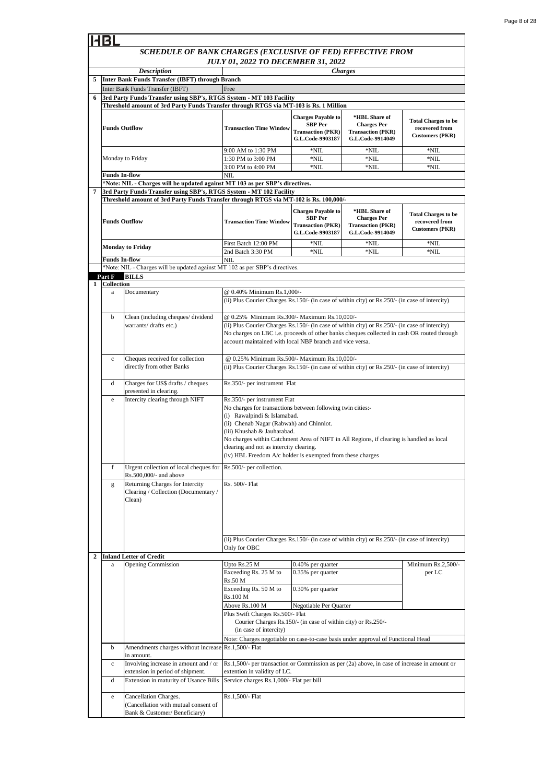#### *SCHEDULE OF BANK CHARGES (EXCLUSIVE OF FED) EFFECTIVE FROM JULY 01, 2022 TO DECEMBER 31, 2022 Description Charges* **Transaction Time Window Charges Payable to SBP Per Transaction (PKR) G.L.Code-9903187 \*HBL Share of Charges Per Transaction (PKR) G.L.Code-9914049 Total Charges to be recovered from Customers (PKR)** 9:00 AM to 1:30 PM  $*NIL$  \*NIL \*NIL \*NIL \*NII 1:30 PM to 3:00 PM \*NIL \*NIL \*NIL \*NIL \*NIL \*NIL 3:00 PM to 4:00 PM \*NIL \*NIL \*NIL \*NIL \*NIL \*NII **Transaction Time Window Charges Payable to SBP Per Transaction (PKR) G.L.Code-9903187 \*HBL Share of Charges Per Transaction (PKR) G.L.Code-9914049 Total Charges to be recovered from Customers (PKR)** First Batch 12:00 PM \*NIL \*NIL \*NIL \*NIL \*NIL \*NIL 2nd Batch 3:30 PM  $\blacksquare$  \*NIL \*NIL \*NIL \*NIL \*NIL \*NIL d Charges for US\$ drafts / cheques presented in clearing. e Intercity clearing through NIFT f Urgent collection of local cheques for Rs.500,000/- and above Upto Rs.25 M Exceeding Rs. 25 M to Rs.50 M Exceeding Rs. 50 M to Rs.100 M Above Rs.100 M b Amendments charges without increases in amount. c Involving increase in amount and / or extension in period of shipment. d Extension in maturity of Usance Bills Cancellation Charges. (Cancellation with mutual consent of **5 2 Inland Letter of Credit Inter Bank Funds Transfer (IBFT) through Branch BILLS Funds In-flow** NIL @ 0.25% Minimum Rs.500/- Maximum Rs.10,000/- Rs.1,500/- per transaction or Commission as per (2a) above, in case of increase in amount or extention in validity of LC. Rs.1,500/- Flat Rs.350/- per instrument Flat No charges for transactions between following twin cities:- (i) Rawalpindi & Islamabad. (ii) Chenab Nagar (Rabwah) and Chinniot. (iii) Khushab & Jauharabad. No charges within Catchment Area of NIFT in All Regions, if clearing is handled as local clearing and not as intercity clearing. (iv) HBL Freedom A/c holder is exempted from these charges Negotiable Per Quarter **6 3rd Party Funds Transfer using SBP's, RTGS System - MT 103 Facility** Inter Bank Funds Transfer (IBFT) Free (ii) Plus Courier Charges Rs.150/- (in case of within city) or Rs.250/- (in case of intercity) Only for OBC (ii) Plus Courier Charges Rs.150/- (in case of within city) or Rs.250/- (in case of intercity) Rs.350/- per instrument Flat 0.35% per quarter a Opening Commission Cheques received for collection directly from other Banks **Funds In-flow** NIL **\*Note: NIL - Charges will be updated against MT 103 as per SBP's directives. 7 3rd Party Funds Transfer using SBP's, RTGS System - MT 102 Facility Threshold amount of 3rd Party Funds Transfer through RTGS via MT-102 is Rs. 100,000/- Funds Outflow Monday to Friday** Note: Charges negotiable on case-to-case basis under approval of Functional Head **Threshold amount of 3rd Party Funds Transfer through RTGS via MT-103 is Rs. 1 Million Funds Outflow** Monday to Friday Plus Swift Charges Rs.500/- Flat Courier Charges Rs.150/- (in case of within city) or Rs.250/- (in case of intercity) **Collection** 0.40% per quarter Minimum Rs.2,500/per LC 0.30% per quarter Service charges Rs.1,000/- Flat per bill \*Note: NIL - Charges will be updated against MT 102 as per SBP's directives. **Part F 1** a Documentary @ 0.40% Minimum Rs.1,000/- (ii) Plus Courier Charges Rs.150/- (in case of within city) or Rs.250/- (in case of intercity) b Clean (including cheques/ dividend warrants/drafts etc.) @ 0.25% Minimum Rs.300/- Maximum Rs.10,000/- (ii) Plus Courier Charges Rs.150/- (in case of within city) or Rs.250/- (in case of intercity) No charges on LBC i.e. proceeds of other banks cheques collected in cash OR routed through account maintained with local NBP branch and vice versa. c Rs.500/- per collection. g Returning Charges for Intercity Clearing / Collection (Documentary / Clean) Rs. 500/- Flat Rs.1,500/- Flat

Bank & Customer/ Beneficiary)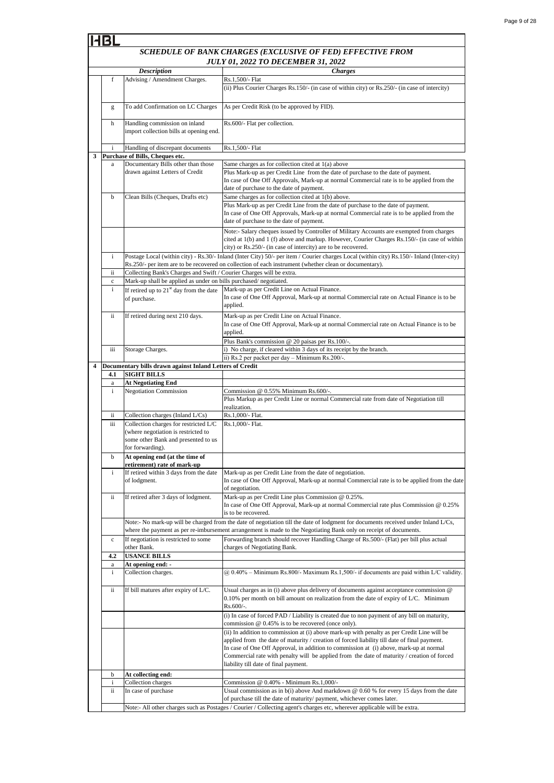|   |                   |                                                                                                                                         | SCHEDULE OF BANK CHARGES (EXCLUSIVE OF FED) EFFECTIVE FROM                                                                                                                                                                                                                                                                                                                                                                    |
|---|-------------------|-----------------------------------------------------------------------------------------------------------------------------------------|-------------------------------------------------------------------------------------------------------------------------------------------------------------------------------------------------------------------------------------------------------------------------------------------------------------------------------------------------------------------------------------------------------------------------------|
|   |                   |                                                                                                                                         | <b>JULY 01, 2022 TO DECEMBER 31, 2022</b>                                                                                                                                                                                                                                                                                                                                                                                     |
|   | f                 | <b>Description</b><br>Advising / Amendment Charges.                                                                                     | <b>Charges</b><br>Rs.1,500/- Flat                                                                                                                                                                                                                                                                                                                                                                                             |
|   |                   |                                                                                                                                         | (ii) Plus Courier Charges Rs.150/- (in case of within city) or Rs.250/- (in case of intercity)                                                                                                                                                                                                                                                                                                                                |
|   | g                 | To add Confirmation on LC Charges                                                                                                       | As per Credit Risk (to be approved by FID).                                                                                                                                                                                                                                                                                                                                                                                   |
|   | h                 | Handling commission on inland<br>import collection bills at opening end.                                                                | Rs.600/- Flat per collection.                                                                                                                                                                                                                                                                                                                                                                                                 |
|   | i                 | Handling of discrepant documents                                                                                                        | Rs.1,500/- Flat                                                                                                                                                                                                                                                                                                                                                                                                               |
| 3 |                   | Purchase of Bills, Cheques etc.                                                                                                         |                                                                                                                                                                                                                                                                                                                                                                                                                               |
|   | a                 | Documentary Bills other than those                                                                                                      | Same charges as for collection cited at 1(a) above                                                                                                                                                                                                                                                                                                                                                                            |
|   |                   | drawn against Letters of Credit                                                                                                         | Plus Mark-up as per Credit Line from the date of purchase to the date of payment.<br>In case of One Off Approvals, Mark-up at normal Commercial rate is to be applied from the<br>date of purchase to the date of payment.                                                                                                                                                                                                    |
|   | b                 | Clean Bills (Cheques, Drafts etc)                                                                                                       | Same charges as for collection cited at 1(b) above.                                                                                                                                                                                                                                                                                                                                                                           |
|   |                   |                                                                                                                                         | Plus Mark-up as per Credit Line from the date of purchase to the date of payment.<br>In case of One Off Approvals, Mark-up at normal Commercial rate is to be applied from the<br>date of purchase to the date of payment.                                                                                                                                                                                                    |
|   |                   |                                                                                                                                         | Note:- Salary cheques issued by Controller of Military Accounts are exempted from charges<br>cited at 1(b) and 1 (f) above and markup. However, Courier Charges Rs.150/- (in case of within                                                                                                                                                                                                                                   |
|   | i                 |                                                                                                                                         | city) or Rs.250/- (in case of intercity) are to be recovered.<br>Postage Local (within city) - Rs.30/- Inland (Inter City) 50/- per item / Courier charges Local (within city) Rs.150/- Inland (Inter-city)<br>Rs.250/- per item are to be recovered on collection of each instrument (whether clean or documentary).                                                                                                         |
|   | ii                | Collecting Bank's Charges and Swift / Courier Charges will be extra.                                                                    |                                                                                                                                                                                                                                                                                                                                                                                                                               |
|   | $\mathbf c$       | Mark-up shall be applied as under on bills purchased/negotiated.                                                                        |                                                                                                                                                                                                                                                                                                                                                                                                                               |
|   | i                 | If retired up to $21st$ day from the date<br>of purchase.                                                                               | Mark-up as per Credit Line on Actual Finance.<br>In case of One Off Approval, Mark-up at normal Commercial rate on Actual Finance is to be<br>applied.                                                                                                                                                                                                                                                                        |
|   | ii                | If retired during next 210 days.                                                                                                        | Mark-up as per Credit Line on Actual Finance.<br>In case of One Off Approval, Mark-up at normal Commercial rate on Actual Finance is to be<br>applied.                                                                                                                                                                                                                                                                        |
|   | iii               | Storage Charges.                                                                                                                        | Plus Bank's commission @ 20 paisas per Rs.100/-<br>i) No charge, if cleared within 3 days of its receipt by the branch.                                                                                                                                                                                                                                                                                                       |
|   |                   |                                                                                                                                         | ii) Rs.2 per packet per day - Minimum Rs.200/-.                                                                                                                                                                                                                                                                                                                                                                               |
| 4 |                   | Documentary bills drawn against Inland Letters of Credit                                                                                |                                                                                                                                                                                                                                                                                                                                                                                                                               |
|   | 4.1               | <b>SIGHT BILLS</b>                                                                                                                      |                                                                                                                                                                                                                                                                                                                                                                                                                               |
|   | a<br>i            | <b>At Negotiating End</b><br><b>Negotiation Commission</b>                                                                              | Commission @ 0.55% Minimum Rs.600/-.                                                                                                                                                                                                                                                                                                                                                                                          |
|   |                   |                                                                                                                                         | Plus Markup as per Credit Line or normal Commercial rate from date of Negotiation till<br>realization.                                                                                                                                                                                                                                                                                                                        |
|   | ii                | Collection charges (Inland L/Cs)                                                                                                        | Rs.1,000/- Flat.                                                                                                                                                                                                                                                                                                                                                                                                              |
|   | iii               | Collection charges for restricted L/C<br>(where negotiation is restricted to<br>some other Bank and presented to us<br>for forwarding). | Rs.1,000/- Flat.                                                                                                                                                                                                                                                                                                                                                                                                              |
|   | b                 | At opening end (at the time of<br>retirement) rate of mark-up                                                                           |                                                                                                                                                                                                                                                                                                                                                                                                                               |
|   | $\mathbf{i}$      | If retired within 3 days from the date<br>of lodgment.                                                                                  | Mark-up as per Credit Line from the date of negotiation.<br>In case of One Off Approval, Mark-up at normal Commercial rate is to be applied from the date<br>of negotiation.                                                                                                                                                                                                                                                  |
|   | ii                | If retired after 3 days of lodgment.                                                                                                    | Mark-up as per Credit Line plus Commission @ 0.25%.<br>In case of One Off Approval, Mark-up at normal Commercial rate plus Commission $@0.25\%$<br>is to be recovered.                                                                                                                                                                                                                                                        |
|   |                   |                                                                                                                                         | Note:- No mark-up will be charged from the date of negotiation till the date of lodgment for documents received under Inland L/Cs,<br>where the payment as per re-imbursement arrangement is made to the Negotiating Bank only on receipt of documents.                                                                                                                                                                       |
|   | $\mathbf c$       | If negotiation is restricted to some<br>other Bank.                                                                                     | Forwarding branch should recover Handling Charge of Rs.500/- (Flat) per bill plus actual<br>charges of Negotiating Bank.                                                                                                                                                                                                                                                                                                      |
|   | 4.2               | <b>USANCE BILLS</b><br>At opening end: -                                                                                                |                                                                                                                                                                                                                                                                                                                                                                                                                               |
|   | a<br>$\mathbf{i}$ | Collection charges.                                                                                                                     | @ 0.40% – Minimum Rs.800/- Maximum Rs.1,500/- if documents are paid within L/C validity.                                                                                                                                                                                                                                                                                                                                      |
|   | ii                | If bill matures after expiry of L/C.                                                                                                    | Usual charges as in (i) above plus delivery of documents against acceptance commission @<br>$0.10\%$ per month on bill amount on realization from the date of expiry of L/C. Minimum<br>Rs.600/-.                                                                                                                                                                                                                             |
|   |                   |                                                                                                                                         | (i) In case of forced PAD / Liability is created due to non payment of any bill on maturity,<br>commission @ 0.45% is to be recovered (once only).                                                                                                                                                                                                                                                                            |
|   |                   |                                                                                                                                         | (ii) In addition to commission at (i) above mark-up with penalty as per Credit Line will be<br>applied from the date of maturity / creation of forced liability till date of final payment.<br>In case of One Off Approval, in addition to commission at (i) above, mark-up at normal<br>Commercial rate with penalty will be applied from the date of maturity / creation of forced<br>liability till date of final payment. |
|   | b                 | At collecting end:                                                                                                                      |                                                                                                                                                                                                                                                                                                                                                                                                                               |
|   | i<br>ii           | Collection charges<br>In case of purchase                                                                                               | Commission @ 0.40% - Minimum Rs.1,000/-<br>Usual commission as in $b(i)$ above And markdown $@0.60$ % for every 15 days from the date                                                                                                                                                                                                                                                                                         |
|   |                   |                                                                                                                                         | of purchase till the date of maturity/ payment, whichever comes later.<br>Note:- All other charges such as Postages / Courier / Collecting agent's charges etc, wherever applicable will be extra.                                                                                                                                                                                                                            |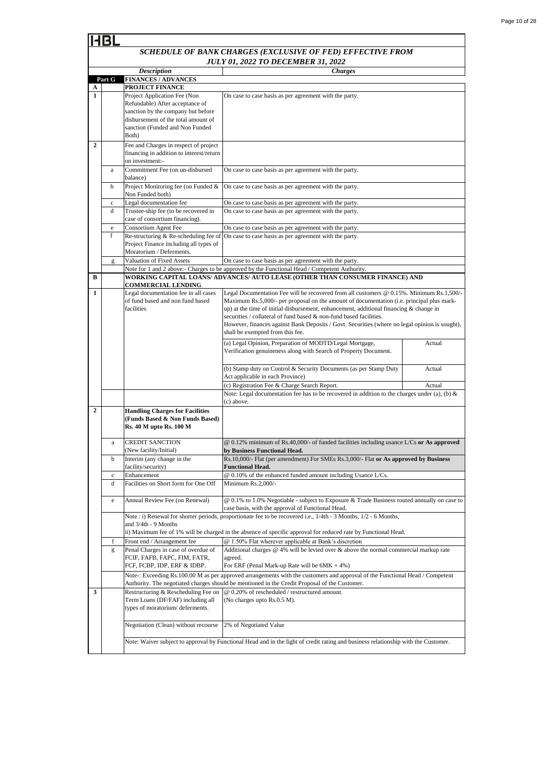|                |             | <b>Description</b>                                                       | <b>Charges</b>                                                                                                                     |        |
|----------------|-------------|--------------------------------------------------------------------------|------------------------------------------------------------------------------------------------------------------------------------|--------|
|                | Part G      | <b>FINANCES / ADVANCES</b>                                               |                                                                                                                                    |        |
|                |             | PROJECT FINANCE                                                          |                                                                                                                                    |        |
| A<br>1         |             |                                                                          |                                                                                                                                    |        |
|                |             | Project Application Fee (Non                                             | On case to case basis as per agreement with the party.                                                                             |        |
|                |             | Refundable) After acceptance of                                          |                                                                                                                                    |        |
|                |             | sanction by the company but before                                       |                                                                                                                                    |        |
|                |             | disbursement of the total amount of                                      |                                                                                                                                    |        |
|                |             | sanction (Funded and Non Funded                                          |                                                                                                                                    |        |
|                |             | Both)                                                                    |                                                                                                                                    |        |
| $\overline{2}$ |             | Fee and Charges in respect of project                                    |                                                                                                                                    |        |
|                |             | financing in addition to interest/return                                 |                                                                                                                                    |        |
|                |             | on investment:-                                                          |                                                                                                                                    |        |
|                | a           | Commitment Fee (on un-disbursed                                          | On case to case basis as per agreement with the party.                                                                             |        |
|                |             | balance)                                                                 |                                                                                                                                    |        |
|                | b           | Project Monitoring fee (on Funded &                                      | On case to case basis as per agreement with the party.                                                                             |        |
|                |             | Non Funded both)                                                         |                                                                                                                                    |        |
|                | $\mathbf c$ | Legal documentation fee                                                  | On case to case basis as per agreement with the party.                                                                             |        |
|                | d           | Trustee-ship fee (to be recovered in                                     | On case to case basis as per agreement with the party.                                                                             |        |
|                |             | case of consortium financing).                                           |                                                                                                                                    |        |
|                | e           | Consortium Agent Fee                                                     | On case to case basis as per agreement with the party.                                                                             |        |
|                | f           | Re-structuring & Re-scheduling fee of                                    | On case to case basis as per agreement with the party.                                                                             |        |
|                |             | Project Finance including all types of                                   |                                                                                                                                    |        |
|                |             | Moratorium / Deferments.                                                 |                                                                                                                                    |        |
|                |             | Valuation of Fixed Assets                                                |                                                                                                                                    |        |
|                | g           |                                                                          | On case to case basis as per agreement with the party.                                                                             |        |
|                |             |                                                                          | Note for 1 and 2 above:- Charges to be approved by the Functional Head / Competent Authority.                                      |        |
| В              |             |                                                                          | WORKING CAPITAL LOANS/ ADVANCES/ AUTO LEASE (OTHER THAN CONSUMER FINANCE) AND                                                      |        |
|                |             | <b>COMMERCIAL LENDING</b>                                                |                                                                                                                                    |        |
| 1              |             | Legal documentation fee in all cases<br>of fund based and non fund based | Legal Documentation Fee will be recovered from all customers @ 0.15%. Minimum Rs.1,500/-                                           |        |
|                |             | facilities                                                               | Maximum Rs.5,000/- per proposal on the amount of documentation (i.e. principal plus mark-                                          |        |
|                |             |                                                                          | up) at the time of initial disbursement, enhancement, additional financing $\&$ change in                                          |        |
|                |             |                                                                          | securities / collateral of fund based & non-fund based facilities.                                                                 |        |
|                |             |                                                                          | However, finances against Bank Deposits / Govt. Securities (where no legal opinion is sought),                                     |        |
|                |             |                                                                          | shall be exempted from this fee.                                                                                                   |        |
|                |             |                                                                          | (a) Legal Opinion, Preparation of MODTD/Legal Mortgage,                                                                            | Actual |
|                |             |                                                                          | Verification genuineness along with Search of Property Document.                                                                   |        |
|                |             |                                                                          |                                                                                                                                    |        |
|                |             |                                                                          | (b) Stamp duty on Control & Security Documents (as per Stamp Duty                                                                  | Actual |
|                |             |                                                                          | Act applicable in each Province)                                                                                                   |        |
|                |             |                                                                          | (c) Registration Fee & Charge Search Report.                                                                                       | Actual |
|                |             |                                                                          | Note: Legal documentation fee has to be recovered in addition to the charges under (a), (b) $\&$                                   |        |
|                |             |                                                                          | (c) above.                                                                                                                         |        |
| $\overline{2}$ |             | <b>Handling Charges for Facilities</b>                                   |                                                                                                                                    |        |
|                |             | (Funds Based & Non Funds Based)                                          |                                                                                                                                    |        |
|                |             | Rs. 40 M upto Rs. 100 M                                                  |                                                                                                                                    |        |
|                |             |                                                                          |                                                                                                                                    |        |
|                | a           | <b>CREDIT SANCTION</b>                                                   | @ 0.12% minimum of Rs.40,000/- of funded facilities including usance L/Cs or As approved                                           |        |
|                |             | (New facility/Initial)                                                   | by Business Functional Head.                                                                                                       |        |
|                | b           | Interim (any change in the                                               | Rs.10,000/- Flat (per amendment) For SMEs Rs.3,000/- Flat or As approved by Business                                               |        |
|                |             | facility/security)                                                       | <b>Functional Head.</b>                                                                                                            |        |
|                | $\mathbf c$ | Enhancement                                                              | @ 0.10% of the enhanced funded amount including Usance L/Cs.                                                                       |        |
|                |             |                                                                          |                                                                                                                                    |        |
|                | d           | Facilities on Short form for One Off                                     | Minimum $Rs.2,000/-$                                                                                                               |        |
|                |             |                                                                          |                                                                                                                                    |        |
|                | e           | Annual Review Fee (on Renewal)                                           | @ 0.1% to 1.0% Negotiable - subject to Exposure & Trade Business routed annually on case to                                        |        |
|                |             |                                                                          | case basis, with the approval of Functional Head.                                                                                  |        |
|                |             |                                                                          | Note : i) Renewal for shorter periods, proportionate fee to be recovered i.e., $1/4$ th - 3 Months, $1/2$ - 6 Months,              |        |
|                |             | and $3/4th - 9$ Months                                                   |                                                                                                                                    |        |
|                |             |                                                                          | ii) Maximum fee of 1% will be charged in the absence of specific approval for reduced rate by Functional Head.                     |        |
|                | f           | Front end / Arrangement fee                                              | @ 1.50% Flat wherever applicable at Bank's discretion                                                                              |        |
|                | g           | Penal Charges in case of overdue of                                      | Additional charges $@$ 4% will be levied over $&$ above the normal commercial markup rate                                          |        |
|                |             | FCIF, FAFB, FAPC, FIM, FATR,                                             | agreed.                                                                                                                            |        |
|                |             | FCF, FCBP, IDP, ERF & IDBP.                                              | For ERF (Penal Mark-up Rate will be $6MK + 4\%$ )                                                                                  |        |
|                |             |                                                                          | Note-: Exceeding Rs.100.00 M as per approved arrangements with the customers and approval of the Functional Head / Competent       |        |
|                |             |                                                                          | Authority. The negotiated charges should be mentioned in the Credit Proposal of the Customer.                                      |        |
| 3              |             | Restructuring & Rescheduling Fee on                                      | @ 0.20% of rescheduled / restructured amount.                                                                                      |        |
|                |             | Term Loans (DF/FAF) including all                                        | (No charges upto Rs.0.5 M).                                                                                                        |        |
|                |             | types of moratorium/deferments.                                          |                                                                                                                                    |        |
|                |             |                                                                          |                                                                                                                                    |        |
|                |             | Negotiation (Clean) without recourse                                     | 2% of Negotiated Value                                                                                                             |        |
|                |             |                                                                          |                                                                                                                                    |        |
|                |             |                                                                          |                                                                                                                                    |        |
|                |             |                                                                          | Note: Waiver subject to approval by Functional Head and in the light of credit rating and business relationship with the Customer. |        |
|                |             |                                                                          |                                                                                                                                    |        |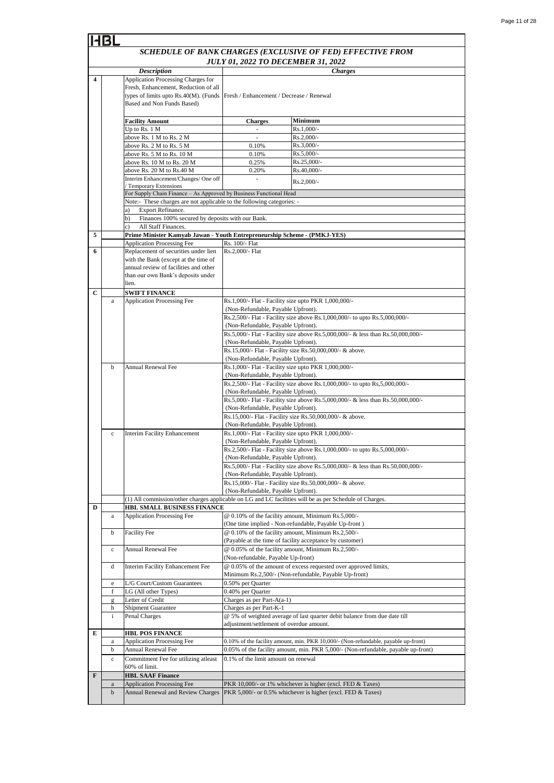|                         |                   |                                                                                                   |                                                                                            | SCHEDULE OF BANK CHARGES (EXCLUSIVE OF FED) EFFECTIVE FROM                                                                                                              |  |
|-------------------------|-------------------|---------------------------------------------------------------------------------------------------|--------------------------------------------------------------------------------------------|-------------------------------------------------------------------------------------------------------------------------------------------------------------------------|--|
|                         |                   |                                                                                                   |                                                                                            | <b>JULY 01, 2022 TO DECEMBER 31, 2022</b>                                                                                                                               |  |
|                         |                   | <b>Description</b>                                                                                |                                                                                            | <b>Charges</b>                                                                                                                                                          |  |
| $\overline{\mathbf{4}}$ |                   | <b>Application Processing Charges for</b>                                                         |                                                                                            |                                                                                                                                                                         |  |
|                         |                   | Fresh, Enhancement, Reduction of all                                                              |                                                                                            |                                                                                                                                                                         |  |
|                         |                   | types of limits upto Rs.40(M). (Funds<br>Based and Non Funds Based)                               | Fresh / Enhancement / Decrease / Renewal                                                   |                                                                                                                                                                         |  |
|                         |                   |                                                                                                   |                                                                                            |                                                                                                                                                                         |  |
|                         |                   | <b>Facility Amount</b>                                                                            | <b>Charges</b>                                                                             | Minimum                                                                                                                                                                 |  |
|                         |                   | Up to Rs. 1 M                                                                                     | ÷,                                                                                         | Rs.1,000/-                                                                                                                                                              |  |
|                         |                   | above Rs. 1 M to Rs. 2 M                                                                          | ۰                                                                                          | Rs.2,000/-                                                                                                                                                              |  |
|                         |                   | above Rs. 2 M to Rs. 5 M                                                                          | 0.10%                                                                                      | $Rs.3,000/-$                                                                                                                                                            |  |
|                         |                   | above Rs. 5 M to Rs. 10 M<br>above Rs. 10 M to Rs. 20 M                                           | 0.10%<br>0.25%                                                                             | $Rs.5,000/-$<br>Rs.25,000/-                                                                                                                                             |  |
|                         |                   | above Rs. 20 M to Rs.40 M                                                                         | 0.20%                                                                                      | Rs.40,000/-                                                                                                                                                             |  |
|                         |                   | Interim Enhancement/Changes/ One off                                                              | ÷,                                                                                         |                                                                                                                                                                         |  |
|                         |                   | / Temporary Extensions                                                                            |                                                                                            | Rs.2,000/-                                                                                                                                                              |  |
|                         |                   | For Supply Chain Finance - As Approved by Business Functional Head                                |                                                                                            |                                                                                                                                                                         |  |
|                         |                   | Note:- These charges are not applicable to the following categories: -<br>Export Refinance.<br>a) |                                                                                            |                                                                                                                                                                         |  |
|                         |                   | Finances 100% secured by deposits with our Bank.<br>b)                                            |                                                                                            |                                                                                                                                                                         |  |
|                         |                   | All Staff Finances.<br>c)                                                                         |                                                                                            |                                                                                                                                                                         |  |
| 5                       |                   | Prime Minister Kamyab Jawan - Youth Entrepreneurship Scheme - (PMKJ-YES)                          |                                                                                            |                                                                                                                                                                         |  |
|                         |                   | <b>Application Processing Fee</b>                                                                 | Rs. 100/- Flat                                                                             |                                                                                                                                                                         |  |
| 6                       |                   | Replacement of securities under lien<br>with the Bank (except at the time of                      | Rs.2,000/- Flat                                                                            |                                                                                                                                                                         |  |
|                         |                   | annual review of facilities and other                                                             |                                                                                            |                                                                                                                                                                         |  |
|                         |                   | than our own Bank's deposits under                                                                |                                                                                            |                                                                                                                                                                         |  |
|                         |                   | lien.                                                                                             |                                                                                            |                                                                                                                                                                         |  |
| C                       |                   | <b>SWIFT FINANCE</b>                                                                              |                                                                                            |                                                                                                                                                                         |  |
|                         | $\mathbf{a}$      | Application Processing Fee                                                                        | Rs.1,000/- Flat - Facility size upto PKR 1,000,000/-<br>(Non-Refundable, Payable Upfront). |                                                                                                                                                                         |  |
|                         |                   |                                                                                                   | Rs.2,500/- Flat - Facility size above Rs.1,000,000/- to upto Rs.5,000,000/-                |                                                                                                                                                                         |  |
|                         |                   |                                                                                                   | (Non-Refundable, Payable Upfront).                                                         |                                                                                                                                                                         |  |
|                         |                   |                                                                                                   |                                                                                            | Rs.5,000/- Flat - Facility size above Rs.5,000,000/- & less than Rs.50,000,000/-                                                                                        |  |
|                         |                   |                                                                                                   | (Non-Refundable, Payable Upfront).                                                         |                                                                                                                                                                         |  |
|                         |                   |                                                                                                   |                                                                                            | Rs.15,000/- Flat - Facility size Rs.50,000,000/- & above.                                                                                                               |  |
|                         | $\mathbf b$       | <b>Annual Renewal Fee</b>                                                                         | (Non-Refundable, Payable Upfront).                                                         | Rs.1,000/- Flat - Facility size upto PKR 1,000,000/-                                                                                                                    |  |
|                         |                   |                                                                                                   | (Non-Refundable, Payable Upfront).                                                         |                                                                                                                                                                         |  |
|                         |                   |                                                                                                   |                                                                                            | Rs.2,500/- Flat - Facility size above Rs.1,000,000/- to upto Rs,5,000,000/-                                                                                             |  |
|                         |                   |                                                                                                   | (Non-Refundable, Payable Upfront).                                                         |                                                                                                                                                                         |  |
|                         |                   |                                                                                                   | (Non-Refundable, Payable Upfront).                                                         | Rs.5,000/- Flat - Facility size above Rs.5,000,000/- & less than Rs.50,000,000/-                                                                                        |  |
|                         |                   |                                                                                                   |                                                                                            | Rs.15,000/- Flat - Facility size Rs.50,000,000/- & above.                                                                                                               |  |
|                         |                   |                                                                                                   | (Non-Refundable, Payable Upfront).                                                         |                                                                                                                                                                         |  |
|                         | $\mathbf c$       | <b>Interim Facility Enhancement</b>                                                               |                                                                                            | Rs.1,000/- Flat - Facility size upto PKR 1,000,000/-                                                                                                                    |  |
|                         |                   |                                                                                                   | (Non-Refundable, Payable Upfront).                                                         |                                                                                                                                                                         |  |
|                         |                   |                                                                                                   | (Non-Refundable, Payable Upfront).                                                         | Rs.2,500/- Flat - Facility size above Rs.1,000,000/- to upto Rs.5,000,000/-                                                                                             |  |
|                         |                   |                                                                                                   |                                                                                            | Rs.5,000/- Flat - Facility size above Rs.5,000,000/- & less than Rs.50,000,000/-                                                                                        |  |
|                         |                   |                                                                                                   | (Non-Refundable, Payable Upfront).                                                         |                                                                                                                                                                         |  |
|                         |                   |                                                                                                   |                                                                                            | Rs.15,000/- Flat - Facility size Rs.50,000,000/- & above.                                                                                                               |  |
|                         |                   |                                                                                                   | (Non-Refundable, Payable Upfront).                                                         | (1) All commission/other charges applicable on LG and LC facilities will be as per Schedule of Charges.                                                                 |  |
| D                       |                   | HBL SMALL BUSINESS FINANCE                                                                        |                                                                                            |                                                                                                                                                                         |  |
|                         | a                 | <b>Application Processing Fee</b>                                                                 |                                                                                            | @ 0.10% of the facility amount, Minimum Rs.5,000/-                                                                                                                      |  |
|                         |                   |                                                                                                   |                                                                                            | (One time implied - Non-refundable, Payable Up-front)                                                                                                                   |  |
|                         | b                 | <b>Facility Fee</b>                                                                               |                                                                                            | @ 0.10% of the facility amount, Minimum Rs.2,500/-                                                                                                                      |  |
|                         | $\mathbf c$       | Annual Renewal Fee                                                                                |                                                                                            | (Payable at the time of facility acceptance by customer)<br>@ 0.05% of the facility amount, Minimum Rs.2,500/-                                                          |  |
|                         |                   |                                                                                                   | (Non-refundable, Payable Up-front)                                                         |                                                                                                                                                                         |  |
|                         | d                 | Interim Facility Enhancement Fee                                                                  |                                                                                            | @ 0.05% of the amount of excess requested over approved limits,                                                                                                         |  |
|                         |                   |                                                                                                   |                                                                                            | Minimum Rs.2,500/- (Non-refundable, Payable Up-front)                                                                                                                   |  |
|                         | e                 | L/G Court/Custom Guarantees                                                                       | 0.50% per Quarter                                                                          |                                                                                                                                                                         |  |
|                         | f                 | LG (All other Types)<br>Letter of Credit                                                          | 0.40% per Quarter<br>Charges as per Part-A(a-1)                                            |                                                                                                                                                                         |  |
|                         | $\mathbf{g}$<br>h | <b>Shipment Guarantee</b>                                                                         | Charges as per Part-K-1                                                                    |                                                                                                                                                                         |  |
|                         | $\mathbf{i}$      | Penal Charges                                                                                     |                                                                                            | @ 5% of weighted average of last quarter debit balance from due date till                                                                                               |  |
|                         |                   |                                                                                                   | adjustment/settlement of overdue amount.                                                   |                                                                                                                                                                         |  |
| Е                       |                   | <b>HBL POS FINANCE</b>                                                                            |                                                                                            |                                                                                                                                                                         |  |
|                         | a<br>b            | <b>Application Processing Fee</b><br>Annual Renewal Fee                                           |                                                                                            | 0.10% of the facility amount, min. PKR 10,000/- (Non-refundable, payable up-front)<br>0.05% of the facility amount, min. PKR 5,000/- (Non-refundable, payable up-front) |  |
|                         | $\mathbf c$       | Commitment Fee for utilizing atleast                                                              | 0.1% of the limit amount on renewal                                                        |                                                                                                                                                                         |  |
|                         |                   | 60% of limit.                                                                                     |                                                                                            |                                                                                                                                                                         |  |
| F                       |                   | <b>HBL SAAF Finance</b>                                                                           |                                                                                            |                                                                                                                                                                         |  |
|                         | $\rm{a}$          | <b>Application Processing Fee</b>                                                                 |                                                                                            | PKR 10,000/- or 1% whichever is higher (excl. FED & Taxes)                                                                                                              |  |
|                         | $\mathbf b$       | Annual Renewal and Review Charges                                                                 |                                                                                            | PKR 5,000/- or 0.5% whichever is higher (excl. FED & Taxes)                                                                                                             |  |
|                         |                   |                                                                                                   |                                                                                            |                                                                                                                                                                         |  |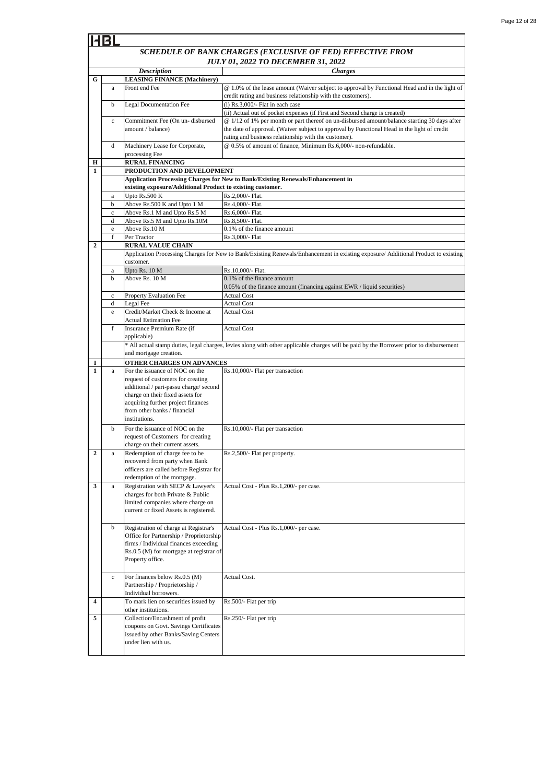|                                           | <b>Description</b>               |                                                                                  | <b>Charges</b>                                                                                                                                                             |
|-------------------------------------------|----------------------------------|----------------------------------------------------------------------------------|----------------------------------------------------------------------------------------------------------------------------------------------------------------------------|
| G                                         |                                  | <b>LEASING FINANCE (Machinery)</b>                                               |                                                                                                                                                                            |
|                                           | a                                | Front end Fee                                                                    | @ 1.0% of the lease amount (Waiver subject to approval by Functional Head and in the light of                                                                              |
|                                           |                                  |                                                                                  | credit rating and business relationship with the customers).                                                                                                               |
|                                           | b                                | <b>Legal Documentation Fee</b>                                                   | $(i)$ Rs.3,000/- Flat in each case                                                                                                                                         |
|                                           |                                  | Commitment Fee (On un- disbursed                                                 | (ii) Actual out of pocket expenses (if First and Second charge is created)<br>@ 1/12 of 1% per month or part thereof on un-disbursed amount/balance starting 30 days after |
|                                           | $\mathbf c$<br>amount / balance) |                                                                                  | the date of approval. (Waiver subject to approval by Functional Head in the light of credit                                                                                |
|                                           |                                  |                                                                                  | rating and business relationship with the customer).                                                                                                                       |
|                                           | d                                | Machinery Lease for Corporate,                                                   | @ 0.5% of amount of finance, Minimum Rs.6,000/- non-refundable.                                                                                                            |
|                                           |                                  | processing Fee                                                                   |                                                                                                                                                                            |
| Н                                         |                                  | <b>RURAL FINANCING</b>                                                           |                                                                                                                                                                            |
| 1                                         |                                  | PRODUCTION AND DEVELOPMENT                                                       |                                                                                                                                                                            |
|                                           |                                  |                                                                                  | <b>Application Processing Charges for New to Bank/Existing Renewals/Enhancement in</b>                                                                                     |
|                                           |                                  | existing exposure/Additional Product to existing customer.                       |                                                                                                                                                                            |
|                                           | a                                | Upto Rs.500 K                                                                    | Rs.2,000/- Flat.                                                                                                                                                           |
|                                           | b                                | Above Rs.500 K and Upto 1 M                                                      | Rs.4,000/- Flat.                                                                                                                                                           |
|                                           | $\mathbf c$<br>d                 | Above Rs.1 M and Upto Rs.5 M<br>Above Rs.5 M and Upto Rs.10M                     | Rs.6,000/- Flat.<br>Rs.8,500/- Flat.                                                                                                                                       |
|                                           | e                                | Above Rs.10 M                                                                    | 0.1% of the finance amount                                                                                                                                                 |
|                                           | f                                | Per Tractor                                                                      | Rs.3,000/- Flat                                                                                                                                                            |
| $\overline{2}$                            |                                  | <b>RURAL VALUE CHAIN</b>                                                         |                                                                                                                                                                            |
|                                           |                                  |                                                                                  | Application Processing Charges for New to Bank/Existing Renewals/Enhancement in existing exposure/ Additional Product to existing                                          |
|                                           |                                  | customer.                                                                        |                                                                                                                                                                            |
|                                           | a                                | Upto Rs. 10 M                                                                    | Rs.10,000/- Flat.                                                                                                                                                          |
|                                           | b                                | Above Rs. 10 M                                                                   | 0.1% of the finance amount                                                                                                                                                 |
|                                           |                                  | <b>Property Evaluation Fee</b>                                                   | 0.05% of the finance amount (financing against EWR / liquid securities)                                                                                                    |
| c<br>Legal Fee<br><b>Actual Cost</b><br>d |                                  | <b>Actual Cost</b>                                                               |                                                                                                                                                                            |
|                                           | e                                | Credit/Market Check & Income at                                                  | <b>Actual Cost</b>                                                                                                                                                         |
|                                           |                                  | <b>Actual Estimation Fee</b>                                                     |                                                                                                                                                                            |
|                                           | f                                | Insurance Premium Rate (if                                                       | <b>Actual Cost</b>                                                                                                                                                         |
|                                           |                                  | applicable)                                                                      |                                                                                                                                                                            |
|                                           |                                  |                                                                                  | * All actual stamp duties, legal charges, levies along with other applicable charges will be paid by the Borrower prior to disbursement                                    |
|                                           |                                  | and mortgage creation.                                                           |                                                                                                                                                                            |
| 1                                         |                                  | OTHER CHARGES ON ADVANCES                                                        |                                                                                                                                                                            |
| $\mathbf{1}$                              | a                                | For the issuance of NOC on the                                                   | Rs.10,000/- Flat per transaction                                                                                                                                           |
|                                           |                                  | request of customers for creating<br>additional / pari-passu charge/ second      |                                                                                                                                                                            |
|                                           |                                  | charge on their fixed assets for                                                 |                                                                                                                                                                            |
|                                           |                                  | acquiring further project finances                                               |                                                                                                                                                                            |
|                                           |                                  | from other banks / financial                                                     |                                                                                                                                                                            |
|                                           |                                  | institutions.                                                                    |                                                                                                                                                                            |
|                                           | b                                | For the issuance of NOC on the                                                   | Rs.10,000/- Flat per transaction                                                                                                                                           |
|                                           |                                  | request of Customers for creating                                                |                                                                                                                                                                            |
|                                           |                                  | charge on their current assets.                                                  |                                                                                                                                                                            |
| $\overline{2}$                            | a                                | Redemption of charge fee to be                                                   | Rs.2,500/- Flat per property.                                                                                                                                              |
|                                           |                                  | recovered from party when Bank<br>officers are called before Registrar for       |                                                                                                                                                                            |
|                                           |                                  | redemption of the mortgage.                                                      |                                                                                                                                                                            |
| 3                                         | $\rm{a}$                         | Registration with SECP & Lawyer's                                                | Actual Cost - Plus Rs.1,200/- per case.                                                                                                                                    |
|                                           |                                  | charges for both Private & Public                                                |                                                                                                                                                                            |
|                                           |                                  | limited companies where charge on                                                |                                                                                                                                                                            |
|                                           |                                  | current or fixed Assets is registered.                                           |                                                                                                                                                                            |
|                                           |                                  |                                                                                  |                                                                                                                                                                            |
|                                           | b                                | Registration of charge at Registrar's<br>Office for Partnership / Proprietorship | Actual Cost - Plus Rs.1,000/- per case.                                                                                                                                    |
|                                           |                                  | firms / Individual finances exceeding                                            |                                                                                                                                                                            |
|                                           |                                  | Rs.0.5 (M) for mortgage at registrar of                                          |                                                                                                                                                                            |
| Property office.                          |                                  |                                                                                  |                                                                                                                                                                            |
|                                           |                                  |                                                                                  |                                                                                                                                                                            |
|                                           | $\mathbf c$                      | For finances below Rs.0.5 (M)                                                    | Actual Cost.                                                                                                                                                               |
|                                           |                                  | Partnership / Proprietorship /                                                   |                                                                                                                                                                            |
|                                           |                                  | Individual borrowers.                                                            |                                                                                                                                                                            |
| $\overline{\mathbf{4}}$                   |                                  | To mark lien on securities issued by                                             | Rs.500/- Flat per trip                                                                                                                                                     |
| 5                                         |                                  | other institutions.<br>Collection/Encashment of profit                           | Rs.250/- Flat per trip                                                                                                                                                     |
|                                           |                                  | coupons on Govt. Savings Certificates                                            |                                                                                                                                                                            |
|                                           |                                  | issued by other Banks/Saving Centers                                             |                                                                                                                                                                            |
|                                           |                                  | under lien with us.                                                              |                                                                                                                                                                            |
|                                           |                                  |                                                                                  |                                                                                                                                                                            |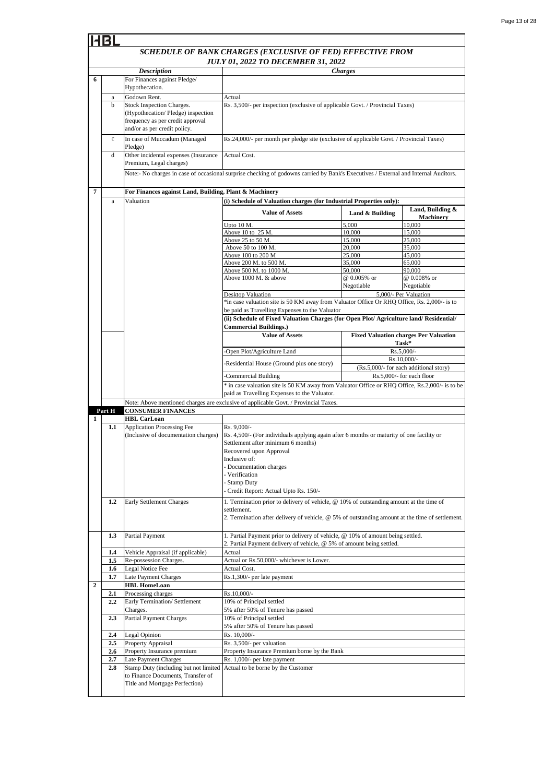|                | 11BL           |                                                                                                                                    |                                                                                                                                                                                                                                                                                                 |                                        |                                                       |  |  |
|----------------|----------------|------------------------------------------------------------------------------------------------------------------------------------|-------------------------------------------------------------------------------------------------------------------------------------------------------------------------------------------------------------------------------------------------------------------------------------------------|----------------------------------------|-------------------------------------------------------|--|--|
|                |                |                                                                                                                                    | SCHEDULE OF BANK CHARGES (EXCLUSIVE OF FED) EFFECTIVE FROM<br><b>JULY 01, 2022 TO DECEMBER 31, 2022</b>                                                                                                                                                                                         |                                        |                                                       |  |  |
|                |                | <b>Description</b>                                                                                                                 |                                                                                                                                                                                                                                                                                                 | <b>Charges</b>                         |                                                       |  |  |
| 6              |                | For Finances against Pledge/<br>Hypothecation.                                                                                     |                                                                                                                                                                                                                                                                                                 |                                        |                                                       |  |  |
|                | a              | Godown Rent.                                                                                                                       | Actual                                                                                                                                                                                                                                                                                          |                                        |                                                       |  |  |
|                | b              | Stock Inspection Charges.<br>(Hypothecation/Pledge) inspection<br>frequency as per credit approval<br>and/or as per credit policy. | Rs. 3,500/- per inspection (exclusive of applicable Govt. / Provincial Taxes)                                                                                                                                                                                                                   |                                        |                                                       |  |  |
|                | $\mathbf c$    | In case of Muccadum (Managed<br>Pledge)                                                                                            | Rs.24,000/- per month per pledge site (exclusive of applicable Govt. / Provincial Taxes)                                                                                                                                                                                                        |                                        |                                                       |  |  |
|                | d              | Other incidental expenses (Insurance<br>Premium, Legal charges)                                                                    | Actual Cost.                                                                                                                                                                                                                                                                                    |                                        |                                                       |  |  |
|                |                |                                                                                                                                    | Note:- No charges in case of occasional surprise checking of godowns carried by Bank's Executives / External and Internal Auditors.                                                                                                                                                             |                                        |                                                       |  |  |
| 7              |                | For Finances against Land, Building, Plant & Machinery                                                                             |                                                                                                                                                                                                                                                                                                 |                                        |                                                       |  |  |
|                | a              | Valuation                                                                                                                          | (i) Schedule of Valuation charges (for Industrial Properties only):                                                                                                                                                                                                                             |                                        |                                                       |  |  |
|                |                |                                                                                                                                    | <b>Value of Assets</b><br>Upto 10 M.                                                                                                                                                                                                                                                            | Land & Building<br>5,000               | Land, Building &<br><b>Machinery</b><br>10,000        |  |  |
|                |                |                                                                                                                                    | Above 10 to 25 M.                                                                                                                                                                                                                                                                               | 10,000                                 | 15,000                                                |  |  |
|                |                |                                                                                                                                    | Above 25 to 50 M.                                                                                                                                                                                                                                                                               | 15,000                                 | 25,000                                                |  |  |
|                |                |                                                                                                                                    | Above 50 to 100 M.                                                                                                                                                                                                                                                                              | 20,000                                 | 35,000                                                |  |  |
|                |                |                                                                                                                                    | Above 100 to 200 M                                                                                                                                                                                                                                                                              | 25,000                                 | 45,000                                                |  |  |
|                |                |                                                                                                                                    | Above 200 M. to 500 M.<br>Above 500 M. to 1000 M                                                                                                                                                                                                                                                | 35,000<br>50,000                       | 65,000<br>90,000                                      |  |  |
|                |                |                                                                                                                                    | Above 1000 M, & above                                                                                                                                                                                                                                                                           | @ 0.005% or                            | @ 0.008% or                                           |  |  |
|                |                |                                                                                                                                    |                                                                                                                                                                                                                                                                                                 | Negotiable                             | Negotiable                                            |  |  |
|                |                |                                                                                                                                    | Desktop Valuation                                                                                                                                                                                                                                                                               |                                        | 5,000/- Per Valuation                                 |  |  |
|                |                |                                                                                                                                    | *in case valuation site is 50 KM away from Valuator Office Or RHQ Office, Rs. 2,000/- is to                                                                                                                                                                                                     |                                        |                                                       |  |  |
|                |                |                                                                                                                                    | be paid as Travelling Expenses to the Valuator                                                                                                                                                                                                                                                  |                                        |                                                       |  |  |
|                |                |                                                                                                                                    | (ii) Schedule of Fixed Valuation Charges (for Open Plot/ Agriculture land/ Residential/<br><b>Commercial Buildings.)</b>                                                                                                                                                                        |                                        |                                                       |  |  |
|                |                |                                                                                                                                    | <b>Value of Assets</b>                                                                                                                                                                                                                                                                          |                                        | <b>Fixed Valuation charges Per Valuation</b><br>Task* |  |  |
|                |                |                                                                                                                                    | Open Plot/Agriculture Land                                                                                                                                                                                                                                                                      |                                        | Rs.5,000/-                                            |  |  |
|                |                |                                                                                                                                    |                                                                                                                                                                                                                                                                                                 | Rs.10,000/-                            |                                                       |  |  |
|                |                |                                                                                                                                    | -Residential House (Ground plus one story)                                                                                                                                                                                                                                                      | (Rs.5,000/- for each additional story) |                                                       |  |  |
|                |                |                                                                                                                                    | Rs.5,000/- for each floor<br>Commercial Building                                                                                                                                                                                                                                                |                                        |                                                       |  |  |
|                |                |                                                                                                                                    | * in case valuation site is 50 KM away from Valuator Office or RHQ Office, Rs.2,000/- is to be                                                                                                                                                                                                  |                                        |                                                       |  |  |
|                |                |                                                                                                                                    | paid as Travelling Expenses to the Valuator.                                                                                                                                                                                                                                                    |                                        |                                                       |  |  |
|                | Part H         | <b>CONSUMER FINANCES</b>                                                                                                           | Note: Above mentioned charges are exclusive of applicable Govt. / Provincial Taxes.                                                                                                                                                                                                             |                                        |                                                       |  |  |
| $\mathbf{1}$   |                | <b>HBL CarLoan</b>                                                                                                                 |                                                                                                                                                                                                                                                                                                 |                                        |                                                       |  |  |
|                | 1.1            | Application Processing Fee<br>(Inclusive of documentation charges)                                                                 | Rs. 9,000/-<br>Rs. 4,500/- (For individuals applying again after 6 months or maturity of one facility or<br>Settlement after minimum 6 months)<br>Recovered upon Approval<br>Inclusive of:<br>- Documentation charges<br>- Verification<br>- Stamp Duty<br>Credit Report: Actual Upto Rs. 150/- |                                        |                                                       |  |  |
|                | 1.2            | Early Settlement Charges                                                                                                           | 1. Termination prior to delivery of vehicle, @ 10% of outstanding amount at the time of<br>settlement.                                                                                                                                                                                          |                                        |                                                       |  |  |
|                | 1.3            | Partial Payment                                                                                                                    | 2. Termination after delivery of vehicle, $@5\%$ of outstanding amount at the time of settlement.<br>1. Partial Payment prior to delivery of vehicle, @ 10% of amount being settled.                                                                                                            |                                        |                                                       |  |  |
|                |                |                                                                                                                                    | 2. Partial Payment delivery of vehicle, @ 5% of amount being settled.                                                                                                                                                                                                                           |                                        |                                                       |  |  |
|                | 1.4            | Vehicle Appraisal (if applicable)                                                                                                  | Actual                                                                                                                                                                                                                                                                                          |                                        |                                                       |  |  |
|                | 1.5            | Re-possession Charges.                                                                                                             | Actual or Rs.50,000/- whichever is Lower.                                                                                                                                                                                                                                                       |                                        |                                                       |  |  |
|                | $1.6\,$<br>1.7 | Legal Notice Fee                                                                                                                   | Actual Cost.                                                                                                                                                                                                                                                                                    |                                        |                                                       |  |  |
| $\overline{2}$ |                | Late Payment Charges<br><b>HBL HomeLoan</b>                                                                                        | Rs.1,300/- per late payment                                                                                                                                                                                                                                                                     |                                        |                                                       |  |  |
|                | 2.1            | Processing charges                                                                                                                 | Rs.10,000/-                                                                                                                                                                                                                                                                                     |                                        |                                                       |  |  |
|                | 2.2            | Early Termination/ Settlement                                                                                                      | 10% of Principal settled                                                                                                                                                                                                                                                                        |                                        |                                                       |  |  |
|                | 2.3            | Charges.<br><b>Partial Payment Charges</b>                                                                                         | 5% after 50% of Tenure has passed<br>10% of Principal settled<br>5% after 50% of Tenure has passed                                                                                                                                                                                              |                                        |                                                       |  |  |
|                | 2.4            | Legal Opinion                                                                                                                      | Rs. 10,000/-                                                                                                                                                                                                                                                                                    |                                        |                                                       |  |  |
|                | 2.5            | Property Appraisal                                                                                                                 | Rs. 3,500/- per valuation                                                                                                                                                                                                                                                                       |                                        |                                                       |  |  |
|                | 2.6            | Property Insurance premium                                                                                                         | Property Insurance Premium borne by the Bank                                                                                                                                                                                                                                                    |                                        |                                                       |  |  |
|                | 2.7            | Late Payment Charges                                                                                                               | Rs. 1,000/- per late payment                                                                                                                                                                                                                                                                    |                                        |                                                       |  |  |
|                | 2.8            | Stamp Duty (including but not limited<br>to Finance Documents, Transfer of<br>Title and Mortgage Perfection)                       | Actual to be borne by the Customer                                                                                                                                                                                                                                                              |                                        |                                                       |  |  |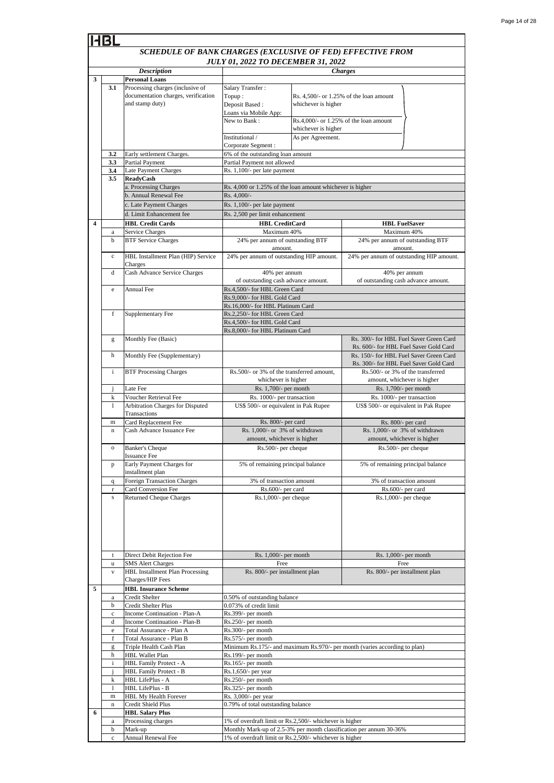|                         |              | <b>Description</b>                                                                   | 01, 2022 TO DECEMBER 31, 2022<br><b>Charges</b>                            |                                        |                                           |
|-------------------------|--------------|--------------------------------------------------------------------------------------|----------------------------------------------------------------------------|----------------------------------------|-------------------------------------------|
| 3                       |              | <b>Personal Loans</b>                                                                |                                                                            |                                        |                                           |
|                         | 3.1          | Processing charges (inclusive of                                                     | Salary Transfer:                                                           |                                        |                                           |
|                         |              | documentation charges, verification                                                  |                                                                            |                                        | Rs. $4.500/-$ or 1.25% of the loan amount |
|                         |              |                                                                                      | Topup:                                                                     |                                        |                                           |
|                         |              | and stamp duty)                                                                      | Deposit Based:                                                             | whichever is higher                    |                                           |
|                         |              |                                                                                      | Loans via Mobile App:                                                      |                                        |                                           |
|                         |              |                                                                                      | New to Bank:                                                               |                                        | $Rs.4,000/-$ or 1.25% of the loan amount  |
|                         |              |                                                                                      |                                                                            | whichever is higher                    |                                           |
|                         |              |                                                                                      | Institutional /                                                            | As per Agreement.                      |                                           |
|                         |              |                                                                                      | Corporate Segment :                                                        |                                        |                                           |
|                         | 3.2          | Early settlement Charges.                                                            | 6% of the outstanding loan amount                                          |                                        |                                           |
|                         | 3.3          | <b>Partial Payment</b>                                                               | Partial Payment not allowed                                                |                                        |                                           |
|                         | 3.4          | <b>Late Payment Charges</b>                                                          | Rs. 1,100/- per late payment                                               |                                        |                                           |
|                         | 3.5          | <b>ReadyCash</b>                                                                     |                                                                            |                                        |                                           |
|                         |              | a. Processing Charges                                                                | Rs. 4,000 or 1.25% of the loan amount whichever is higher                  |                                        |                                           |
|                         |              | b. Annual Renewal Fee                                                                | Rs. 4,000/-                                                                |                                        |                                           |
|                         |              | c. Late Payment Charges                                                              | Rs. 1,100/- per late payment                                               |                                        |                                           |
|                         |              | d. Limit Enhancement fee                                                             | Rs. 2,500 per limit enhancement                                            |                                        |                                           |
| $\overline{\mathbf{4}}$ |              | <b>HBL Credit Cards</b>                                                              | <b>HBL</b> CreditCard                                                      |                                        | <b>HBL FuelSaver</b>                      |
|                         | $\rm{a}$     | Service Charges                                                                      | Maximum 40%                                                                |                                        | Maximum 40%                               |
|                         | b            | <b>BTF Service Charges</b>                                                           | 24% per annum of outstanding BTF                                           |                                        | 24% per annum of outstanding BTF          |
|                         |              |                                                                                      | amount.                                                                    |                                        | amount.                                   |
|                         | $\mathbf c$  | HBL Installment Plan (HIP) Service                                                   | 24% per annum of outstanding HIP amount.                                   |                                        | 24% per annum of outstanding HIP amount.  |
|                         |              | Charges                                                                              |                                                                            |                                        |                                           |
|                         | d            | Cash Advance Service Charges                                                         | 40% per annum                                                              |                                        | 40% per annum                             |
|                         |              |                                                                                      | of outstanding cash advance amount.                                        |                                        | of outstanding cash advance amount.       |
|                         | e            | Annual Fee                                                                           | Rs.4,500/- for HBL Green Card                                              |                                        |                                           |
|                         |              |                                                                                      | Rs.9,000/- for HBL Gold Card                                               |                                        |                                           |
|                         |              |                                                                                      | Rs.16,000/- for HBL Platinum Card                                          |                                        |                                           |
|                         | f            | Supplementary Fee                                                                    | Rs.2,250/- for HBL Green Card                                              |                                        |                                           |
|                         |              |                                                                                      | Rs.4,500/- for HBL Gold Card                                               |                                        |                                           |
|                         |              |                                                                                      | Rs.8,000/- for HBL Platinum Card                                           |                                        |                                           |
|                         | g            | Monthly Fee (Basic)                                                                  |                                                                            |                                        | Rs. 300/- for HBL Fuel Saver Green Card   |
|                         |              |                                                                                      |                                                                            | Rs. 600/- for HBL Fuel Saver Gold Card |                                           |
|                         | h            | Monthly Fee (Supplementary)                                                          |                                                                            |                                        | Rs. 150/- for HBL Fuel Saver Green Card   |
|                         |              |                                                                                      |                                                                            |                                        | Rs. 300/- for HBL Fuel Saver Gold Card    |
|                         | i            | <b>BTF Processing Charges</b>                                                        | Rs.500/- or 3% of the transferred amount,                                  |                                        | Rs.500/- or 3% of the transferred         |
|                         |              |                                                                                      | whichever is higher                                                        |                                        | amount, whichever is higher               |
|                         | Ĵ            | Late Fee                                                                             | Rs. 1,700/- per month                                                      |                                        | Rs. 1,700/- per month                     |
|                         | k            | Voucher Retrieval Fee                                                                | Rs. 1000/- per transaction                                                 |                                        | Rs. 1000/- per transaction                |
|                         | $\mathbf{1}$ | Arbitration Charges for Disputed                                                     | US\$ 500/- or equivalent in Pak Rupee                                      |                                        | US\$ 500/- or equivalent in Pak Rupee     |
|                         |              | Transactions                                                                         |                                                                            |                                        |                                           |
|                         | m            | Card Replacement Fee                                                                 | Rs. 800/- per card                                                         |                                        | Rs. 800/- per card                        |
|                         | $\bf n$      | Cash Advance Issuance Fee                                                            | Rs. 1,000/- or 3% of withdrawn                                             |                                        | Rs. 1,000/- or 3% of withdrawn            |
|                         |              |                                                                                      | amount, whichever is higher                                                |                                        | amount, whichever is higher               |
|                         |              | <b>Banker's Cheque</b>                                                               |                                                                            |                                        |                                           |
|                         | $\mathbf{o}$ | <b>Issuance Fee</b>                                                                  | Rs.500/- per cheque                                                        |                                        | Rs.500/- per cheque                       |
|                         |              |                                                                                      |                                                                            |                                        |                                           |
|                         | p            | Early Payment Charges for<br>installment plan                                        | 5% of remaining principal balance                                          |                                        | 5% of remaining principal balance         |
|                         |              | Foreign Transaction Charges                                                          | 3% of transaction amount                                                   |                                        | 3% of transaction amount                  |
|                         | q            |                                                                                      |                                                                            |                                        | Rs.600/- per card                         |
|                         | r            | Card Conversion Fee<br><b>Returned Cheque Charges</b>                                | Rs.600/- per card<br>$Rs.1,000/-$ per cheque                               |                                        | $Rs.1,000/-$ per cheque                   |
|                         | s            |                                                                                      |                                                                            |                                        |                                           |
|                         |              |                                                                                      |                                                                            |                                        |                                           |
|                         |              |                                                                                      |                                                                            |                                        |                                           |
|                         |              |                                                                                      |                                                                            |                                        |                                           |
|                         |              |                                                                                      |                                                                            |                                        |                                           |
|                         |              |                                                                                      |                                                                            |                                        |                                           |
|                         |              |                                                                                      |                                                                            |                                        |                                           |
|                         | t            | Direct Debit Rejection Fee                                                           | Rs. $1,000/-$ per month                                                    |                                        | Rs. 1,000/- per month                     |
|                         | u            | <b>SMS</b> Alert Charges                                                             | Free                                                                       |                                        | Free                                      |
|                         | V            | <b>HBL Installment Plan Processing</b>                                               | Rs. 800/- per installment plan                                             |                                        | Rs. 800/- per installment plan            |
|                         |              | Charges/HIP Fees                                                                     |                                                                            |                                        |                                           |
| 5                       |              | <b>HBL Insurance Scheme</b>                                                          |                                                                            |                                        |                                           |
|                         | a            | Credit Shelter                                                                       | 0.50% of outstanding balance                                               |                                        |                                           |
|                         | b            | Credit Shelter Plus                                                                  | 0.073% of credit limit                                                     |                                        |                                           |
|                         | c            | Income Continuation - Plan-A                                                         | Rs.399/- per month                                                         |                                        |                                           |
|                         | d            | Income Continuation - Plan-B                                                         | Rs.250/- per month                                                         |                                        |                                           |
|                         | e            | Total Assurance - Plan A                                                             | Rs.300/- per month                                                         |                                        |                                           |
|                         | f            | Total Assurance - Plan B                                                             | Rs.575/- per month                                                         |                                        |                                           |
|                         | g            | Triple Health Cash Plan                                                              | Minimum Rs.175/- and maximum Rs.970/- per month (varies according to plan) |                                        |                                           |
|                         | h            | <b>HBL Wallet Plan</b>                                                               | Rs.199/- per month                                                         |                                        |                                           |
|                         | $\mathbf{i}$ | HBL Family Protect - A                                                               | $Rs.165/-$ per month                                                       |                                        |                                           |
|                         | $\mathbf{I}$ | HBL Family Protect - B                                                               | Rs.1,650/- per year                                                        |                                        |                                           |
|                         | k            | HBL LifePlus - A                                                                     | Rs.250/- per month                                                         |                                        |                                           |
|                         | 1            | HBL LifePlus - B                                                                     | Rs.325/- per month                                                         |                                        |                                           |
|                         | m            | HBL My Health Forever                                                                | Rs. 3,000/- per year                                                       |                                        |                                           |
|                         | n            | Credit Shield Plus                                                                   | 0.79% of total outstanding balance                                         |                                        |                                           |
| 6                       |              | <b>HBL Salary Plus</b>                                                               |                                                                            |                                        |                                           |
|                         | a            | Processing charges                                                                   | 1% of overdraft limit or Rs.2,500/- whichever is higher                    |                                        |                                           |
|                         | b            | Mark-up                                                                              | Monthly Mark-up of 2.5-3% per month classification per annum 30-36%        |                                        |                                           |
|                         | $\mathbf c$  | <b>Annual Renewal Fee</b><br>1% of overdraft limit or Rs.2,500/- whichever is higher |                                                                            |                                        |                                           |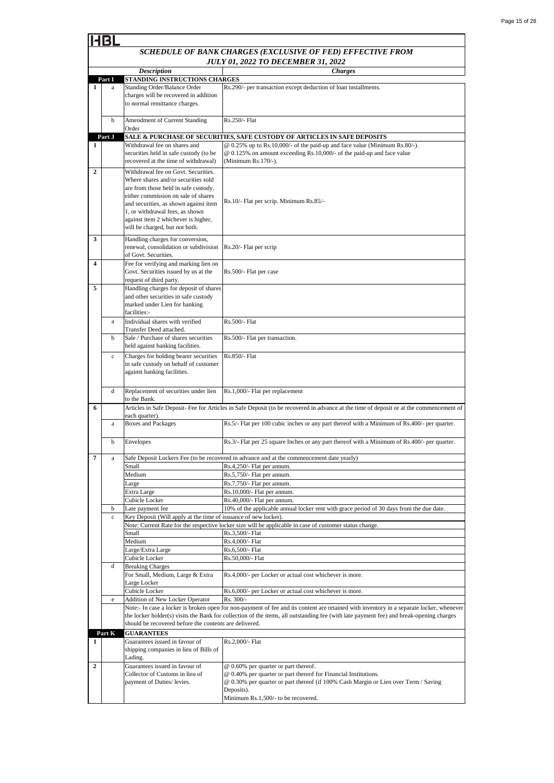|                         |              | <b>Description</b>                                                                                                                       | <b>Charges</b>                                                                                                                          |
|-------------------------|--------------|------------------------------------------------------------------------------------------------------------------------------------------|-----------------------------------------------------------------------------------------------------------------------------------------|
|                         | Part I       | STANDING INSTRUCTIONS CHARGES                                                                                                            |                                                                                                                                         |
| 1                       | a            | <b>Standing Order/Balance Order</b>                                                                                                      | Rs.290/- per transaction except deduction of loan installments.                                                                         |
|                         |              | charges will be recovered in addition                                                                                                    |                                                                                                                                         |
|                         |              | to normal remittance charges.                                                                                                            |                                                                                                                                         |
|                         |              |                                                                                                                                          |                                                                                                                                         |
|                         | b            | Amendment of Current Standing                                                                                                            | Rs.250/- Flat                                                                                                                           |
|                         |              | Order                                                                                                                                    |                                                                                                                                         |
|                         | Part J       |                                                                                                                                          | SALE & PURCHASE OF SECURITIES, SAFE CUSTODY OF ARTICLES IN SAFE DEPOSITS                                                                |
| 1                       |              | Withdrawal fee on shares and                                                                                                             | @ 0.25% up to Rs.10,000/- of the paid-up and face value (Minimum Rs.80/-).                                                              |
|                         |              | securities held in safe custody (to be                                                                                                   | @ 0.125% on amount exceeding Rs.10,000/- of the paid-up and face value                                                                  |
|                         |              | recovered at the time of withdrawal)                                                                                                     | (Minimum Rs.170/-).                                                                                                                     |
| $\overline{\mathbf{2}}$ |              | Withdrawal fee on Govt. Securities.                                                                                                      |                                                                                                                                         |
|                         |              | Where shares and/or securities sold                                                                                                      |                                                                                                                                         |
|                         |              | are from those held in safe custody,                                                                                                     |                                                                                                                                         |
|                         |              | either commission on sale of shares                                                                                                      | Rs.10/- Flat per scrip. Minimum Rs.85/-                                                                                                 |
|                         |              | and securities, as shown against item                                                                                                    |                                                                                                                                         |
|                         |              | 1, or withdrawal fees, as shown                                                                                                          |                                                                                                                                         |
|                         |              | against item 2 whichever is higher,                                                                                                      |                                                                                                                                         |
|                         |              | will be charged, but not both.                                                                                                           |                                                                                                                                         |
| 3                       |              | Handling charges for conversion,                                                                                                         |                                                                                                                                         |
|                         |              | renewal, consolidation or subdivision                                                                                                    | Rs.20/- Flat per scrip                                                                                                                  |
|                         |              | of Govt. Securities.                                                                                                                     |                                                                                                                                         |
| 4                       |              | Fee for verifying and marking lien on                                                                                                    |                                                                                                                                         |
|                         |              | Govt. Securities issued by us at the                                                                                                     | Rs.500/- Flat per case                                                                                                                  |
|                         |              | request of third party.                                                                                                                  |                                                                                                                                         |
| 5                       |              | Handling charges for deposit of shares                                                                                                   |                                                                                                                                         |
|                         |              | and other securities in safe custody                                                                                                     |                                                                                                                                         |
|                         |              | marked under Lien for banking<br>facilities:-                                                                                            |                                                                                                                                         |
|                         |              |                                                                                                                                          |                                                                                                                                         |
|                         | a            | Individual shares with verified                                                                                                          | Rs.500/- Flat                                                                                                                           |
|                         |              | Transfer Deed attached.                                                                                                                  |                                                                                                                                         |
|                         | b            | Sale / Purchase of shares securities                                                                                                     | Rs.500/- Flat per transaction.                                                                                                          |
|                         |              | held against banking facilities.                                                                                                         |                                                                                                                                         |
|                         | $\mathbf c$  | Charges for holding bearer securities                                                                                                    | Rs.850/- Flat                                                                                                                           |
|                         |              | in safe custody on behalf of customer                                                                                                    |                                                                                                                                         |
|                         |              | against banking facilities.                                                                                                              |                                                                                                                                         |
|                         |              |                                                                                                                                          |                                                                                                                                         |
|                         | d            | Replacement of securities under lien                                                                                                     | Rs.1,000/- Flat per replacement                                                                                                         |
|                         |              | to the Bank.                                                                                                                             |                                                                                                                                         |
| 6                       |              |                                                                                                                                          | Articles in Safe Deposit- Fee for Articles in Safe Deposit (to be recovered in advance at the time of deposit or at the commencement of |
|                         |              | each quarter).                                                                                                                           |                                                                                                                                         |
|                         | $\mathbf{a}$ | <b>Boxes and Packages</b>                                                                                                                | Rs.5/- Flat per 100 cubic inches or any part thereof with a Minimum of Rs.400/- per quarter.                                            |
|                         |              |                                                                                                                                          |                                                                                                                                         |
|                         | b            | Envelopes                                                                                                                                | Rs.3/- Flat per 25 square Inches or any part thereof with a Minimum of Rs.400/- per quarter.                                            |
| 7                       |              |                                                                                                                                          | Safe Deposit Lockers Fee (to be recovered in advance and at the commencement date yearly)                                               |
|                         | a            | Small                                                                                                                                    |                                                                                                                                         |
|                         |              | Medium                                                                                                                                   | Rs.4,250/- Flat per annum.<br>Rs.5,750/- Flat per annum.                                                                                |
|                         |              |                                                                                                                                          | Rs.7.750/- Flat per annum.                                                                                                              |
|                         |              | arge                                                                                                                                     |                                                                                                                                         |
|                         |              | Extra Large                                                                                                                              | Rs.10,000/- Flat per annum.<br>Rs.40,000/- Flat per annum.                                                                              |
|                         | b            | Cubicle Locker<br>Late payment fee                                                                                                       | 10% of the applicable annual locker rent with grace period of 30 days from the due date.                                                |
|                         | $\mathbf c$  | Key Deposit (Will apply at the time of issuance of new locker).                                                                          |                                                                                                                                         |
|                         |              |                                                                                                                                          | Note: Current Rate for the respective locker size will be applicable in case of customer status change.                                 |
|                         |              | Small                                                                                                                                    | Rs.3,500/- Flat                                                                                                                         |
|                         |              | Medium                                                                                                                                   | Rs.4,000/- Flat                                                                                                                         |
|                         |              | Large/Extra Large                                                                                                                        | Rs.6,500/- Flat                                                                                                                         |
|                         |              | Cubicle Locker                                                                                                                           | Rs.50,000/- Flat                                                                                                                        |
|                         | d            | <b>Breaking Charges</b>                                                                                                                  |                                                                                                                                         |
|                         |              | For Small, Medium, Large & Extra                                                                                                         | Rs.4,000/- per Locker or actual cost whichever is more.                                                                                 |
|                         |              | Large Locker                                                                                                                             |                                                                                                                                         |
|                         |              | Cubicle Locker                                                                                                                           | Rs.6,000/- per Locker or actual cost whichever is more.                                                                                 |
|                         | e            | Addition of New Locker Operator                                                                                                          | Rs. 300/-                                                                                                                               |
|                         |              | Note:- In case a locker is broken open for non-payment of fee and its content are retained with inventory in a separate locker, whenever |                                                                                                                                         |
|                         |              | the locker holder(s) visits the Bank for collection of the items, all outstanding fee (with late payment fee) and break-opening charges  |                                                                                                                                         |
|                         |              | should be recovered before the contents are delivered.                                                                                   |                                                                                                                                         |
|                         | Part K       | <b>GUARANTEES</b>                                                                                                                        |                                                                                                                                         |
| 1                       |              | Guarantees issued in favour of                                                                                                           | Rs.2,000/- Flat                                                                                                                         |
|                         |              | shipping companies in lieu of Bills of                                                                                                   |                                                                                                                                         |
|                         |              | Lading.                                                                                                                                  |                                                                                                                                         |
| $\mathbf{2}$            |              | Guarantees issued in favour of                                                                                                           | @ 0.60% per quarter or part thereof.                                                                                                    |
|                         |              | Collector of Customs in lieu of                                                                                                          | @ 0.40% per quarter or part thereof for Financial Institutions.                                                                         |
|                         |              | payment of Duties/ levies.                                                                                                               | @ 0.30% per quarter or part thereof (if 100% Cash Margin or Lien over Term / Saving                                                     |
|                         |              |                                                                                                                                          | Deposits).                                                                                                                              |
|                         |              |                                                                                                                                          | Minimum Rs.1,500/- to be recovered.                                                                                                     |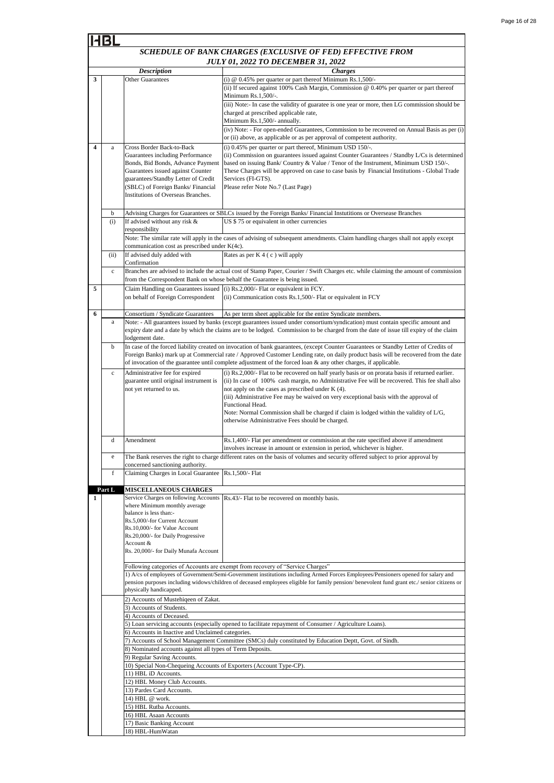|                         |              |                                                                            | SCHEDULE OF BANK CHARGES (EXCLUSIVE OF FED) EFFECTIVE FROM                                                                                                                                                                                                                      |
|-------------------------|--------------|----------------------------------------------------------------------------|---------------------------------------------------------------------------------------------------------------------------------------------------------------------------------------------------------------------------------------------------------------------------------|
|                         |              |                                                                            | <b>JULY 01, 2022 TO DECEMBER 31, 2022</b>                                                                                                                                                                                                                                       |
|                         |              | <b>Description</b>                                                         | <b>Charges</b>                                                                                                                                                                                                                                                                  |
| 3                       |              | <b>Other Guarantees</b>                                                    | (i) $@$ 0.45% per quarter or part thereof Minimum Rs.1,500/-                                                                                                                                                                                                                    |
|                         |              |                                                                            | (ii) If secured against 100% Cash Margin, Commission $@$ 0.40% per quarter or part thereof                                                                                                                                                                                      |
|                         |              |                                                                            | Minimum Rs.1,500/-.                                                                                                                                                                                                                                                             |
|                         |              |                                                                            | (iii) Note:- In case the validity of guaratee is one year or more, then LG commission should be                                                                                                                                                                                 |
|                         |              |                                                                            | charged at prescribed applicable rate,<br>Minimum Rs.1,500/- annually.                                                                                                                                                                                                          |
|                         |              |                                                                            | (iv) Note: - For open-ended Guarantees, Commission to be recovered on Annual Basis as per (i)                                                                                                                                                                                   |
|                         |              |                                                                            | or (ii) above, as applicable or as per approval of competent authority.                                                                                                                                                                                                         |
| $\overline{\mathbf{4}}$ | $\rm{a}$     | Cross Border Back-to-Back                                                  | (i) 0.45% per quarter or part thereof, Minimum USD 150/-.                                                                                                                                                                                                                       |
|                         |              | Guarantees including Performance                                           | (ii) Commission on guarantees issued against Counter Guarantees / Standby L/Cs is determined                                                                                                                                                                                    |
|                         |              | Bonds, Bid Bonds, Advance Payment<br>Guarantees issued against Counter     | based on issuing Bank/Country & Value / Tenor of the Instrument, Minimum USD 150/-.<br>These Charges will be approved on case to case basis by Financial Institutions - Global Trade                                                                                            |
|                         |              | guarantees/Standby Letter of Credit                                        | Services (FI-GTS).                                                                                                                                                                                                                                                              |
|                         |              | (SBLC) of Foreign Banks/ Financial                                         | Please refer Note No.7 (Last Page)                                                                                                                                                                                                                                              |
|                         |              | Institutions of Overseas Branches.                                         |                                                                                                                                                                                                                                                                                 |
|                         |              |                                                                            | Advising Charges for Guarantees or SBLCs issued by the Foreign Banks/ Financial Instutitions or Oversease Branches                                                                                                                                                              |
|                         | b<br>(i)     | If advised without any risk &                                              | US \$75 or equivalent in other currencies                                                                                                                                                                                                                                       |
|                         |              | responsibility                                                             |                                                                                                                                                                                                                                                                                 |
|                         |              |                                                                            | Note: The similar rate will apply in the cases of advising of subsequent amendments. Claim handling charges shall not apply except                                                                                                                                              |
|                         |              | communication cost as prescribed under K(4c).                              |                                                                                                                                                                                                                                                                                 |
|                         | (ii)         | If advised duly added with                                                 | Rates as per K 4 (c) will apply                                                                                                                                                                                                                                                 |
|                         | $\mathbf{c}$ | Confirmation                                                               | Branches are advised to include the actual cost of Stamp Paper, Courier / Swift Charges etc. while claiming the amount of commission                                                                                                                                            |
|                         |              | from the Correspondent Bank on whose behalf the Guarantee is being issued. |                                                                                                                                                                                                                                                                                 |
| 5                       |              | Claim Handling on Guarantees issued                                        | (i) Rs.2,000/- Flat or equivalent in FCY.                                                                                                                                                                                                                                       |
|                         |              | on behalf of Foreign Correspondent                                         | (ii) Communication costs Rs.1,500/- Flat or equivalent in FCY                                                                                                                                                                                                                   |
|                         |              |                                                                            |                                                                                                                                                                                                                                                                                 |
| 6                       | a            | Consortium / Syndicate Guarantees                                          | As per term sheet applicable for the entire Syndicate members.<br>Note: - All guarantees issued by banks (except guarantees issued under consortium/syndication) must contain specific amount and                                                                               |
|                         |              |                                                                            | expiry date and a date by which the claims are to be lodged. Commission to be charged from the date of issue till expiry of the claim                                                                                                                                           |
|                         |              | lodgement date.                                                            |                                                                                                                                                                                                                                                                                 |
|                         | b            |                                                                            | In case of the forced liability created on invocation of bank guarantees, (except Counter Guarantees or Standby Letter of Credits of                                                                                                                                            |
|                         |              |                                                                            | Foreign Banks) mark up at Commercial rate / Approved Customer Lending rate, on daily product basis will be recovered from the date                                                                                                                                              |
|                         |              |                                                                            | of invocation of the guarantee until complete adjustment of the forced loan & any other charges, if applicable.                                                                                                                                                                 |
|                         | $\mathbf c$  | Administrative fee for expired<br>guarantee until original instrument is   | (i) Rs.2,000/- Flat to be recovered on half yearly basis or on prorata basis if returned earlier.<br>(ii) In case of 100% cash margin, no Administrative Fee will be recovered. This fee shall also                                                                             |
|                         |              | not yet returned to us.                                                    | not apply on the cases as prescribed under K (4).                                                                                                                                                                                                                               |
|                         |              |                                                                            | (iii) Administrative Fee may be waived on very exceptional basis with the approval of                                                                                                                                                                                           |
|                         |              |                                                                            | Functional Head.                                                                                                                                                                                                                                                                |
|                         |              |                                                                            | Note: Normal Commission shall be charged if claim is lodged within the validity of $L/G$ ,<br>otherwise Administrative Fees should be charged.                                                                                                                                  |
|                         |              |                                                                            |                                                                                                                                                                                                                                                                                 |
|                         | d            | Amendment                                                                  | Rs.1,400/- Flat per amendment or commission at the rate specified above if amendment                                                                                                                                                                                            |
|                         |              |                                                                            | involves increase in amount or extension in period, whichever is higher.                                                                                                                                                                                                        |
|                         | $\rm e$      |                                                                            | The Bank reserves the right to charge different rates on the basis of volumes and security offered subject to prior approval by                                                                                                                                                 |
|                         |              | concerned sanctioning authority.                                           |                                                                                                                                                                                                                                                                                 |
|                         | f            | Claiming Charges in Local Guarantee Rs.1,500/- Flat                        |                                                                                                                                                                                                                                                                                 |
|                         | Part L       | <b>MISCELLANEOUS CHARGES</b>                                               |                                                                                                                                                                                                                                                                                 |
| 1                       |              | Service Charges on following Accounts                                      | Rs.43/- Flat to be recovered on monthly basis.                                                                                                                                                                                                                                  |
|                         |              | where Minimum monthly average<br>balance is less than:-                    |                                                                                                                                                                                                                                                                                 |
|                         |              | Rs.5,000/-for Current Account                                              |                                                                                                                                                                                                                                                                                 |
|                         |              | Rs.10,000/- for Value Account                                              |                                                                                                                                                                                                                                                                                 |
|                         |              | Rs.20,000/- for Daily Progressive                                          |                                                                                                                                                                                                                                                                                 |
|                         |              | Account &<br>Rs. 20,000/- for Daily Munafa Account                         |                                                                                                                                                                                                                                                                                 |
|                         |              |                                                                            |                                                                                                                                                                                                                                                                                 |
|                         |              |                                                                            | Following categories of Accounts are exempt from recovery of "Service Charges"                                                                                                                                                                                                  |
|                         |              |                                                                            | 1) A/cs of employees of Government/Semi-Government institutions including Armed Forces Employees/Pensioners opened for salary and<br>pension purposes including widows/children of deceased employees eligible for family pension/benevolent fund grant etc./senior citizens or |
|                         |              | physically handicapped.                                                    |                                                                                                                                                                                                                                                                                 |
|                         |              | 2) Accounts of Mustehiqeen of Zakat.                                       |                                                                                                                                                                                                                                                                                 |
|                         |              | 3) Accounts of Students.                                                   |                                                                                                                                                                                                                                                                                 |
|                         |              | 4) Accounts of Deceased.                                                   |                                                                                                                                                                                                                                                                                 |
|                         |              | 6) Accounts in Inactive and Unclaimed categories.                          | 5) Loan servicing accounts (especially opened to facilitate repayment of Consumer / Agriculture Loans).                                                                                                                                                                         |
|                         |              |                                                                            | 7) Accounts of School Management Committee (SMCs) duly constituted by Education Deptt, Govt. of Sindh.                                                                                                                                                                          |
|                         |              | 8) Nominated accounts against all types of Term Deposits.                  |                                                                                                                                                                                                                                                                                 |
|                         |              | 9) Regular Saving Accounts.                                                |                                                                                                                                                                                                                                                                                 |
|                         |              | 10) Special Non-Chequeing Accounts of Exporters (Account Type-CP).         |                                                                                                                                                                                                                                                                                 |
|                         |              | 11) HBL iD Accounts.<br>12) HBL Money Club Accounts.                       |                                                                                                                                                                                                                                                                                 |
|                         |              | 13) Pardes Card Accounts.                                                  |                                                                                                                                                                                                                                                                                 |
|                         |              | 14) HBL @ work.                                                            |                                                                                                                                                                                                                                                                                 |
|                         |              | 15) HBL Rutba Accounts.                                                    |                                                                                                                                                                                                                                                                                 |
|                         |              | 16) HBL Asaan Accounts<br>17) Basic Banking Account                        |                                                                                                                                                                                                                                                                                 |
|                         |              | 18) HBL-HumWatan                                                           |                                                                                                                                                                                                                                                                                 |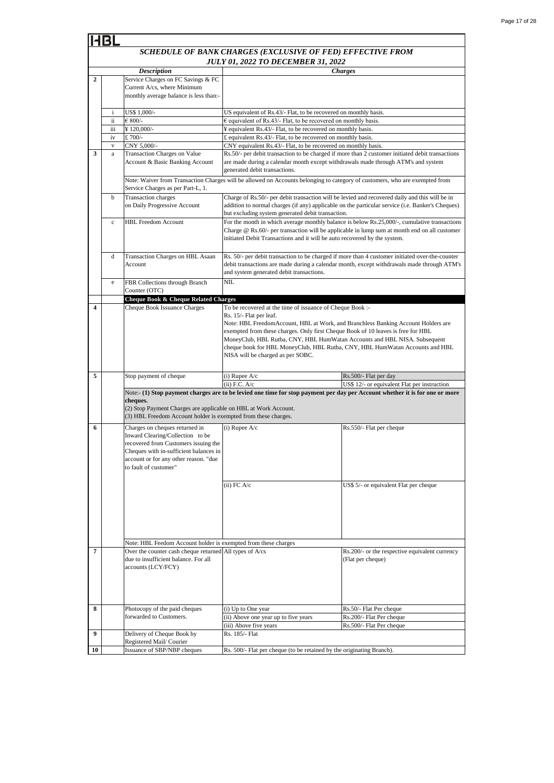|                         |              |                                                                                                                                                                                      | SCHEDULE OF BANK CHARGES (EXCLUSIVE OF FED) EFFECTIVE FROM                                                                                                                                                                                                                                                                                                                                                                                                      |                                                                                                                                                                                               |  |  |
|-------------------------|--------------|--------------------------------------------------------------------------------------------------------------------------------------------------------------------------------------|-----------------------------------------------------------------------------------------------------------------------------------------------------------------------------------------------------------------------------------------------------------------------------------------------------------------------------------------------------------------------------------------------------------------------------------------------------------------|-----------------------------------------------------------------------------------------------------------------------------------------------------------------------------------------------|--|--|
|                         |              |                                                                                                                                                                                      | <b>JULY 01, 2022 TO DECEMBER 31, 2022</b>                                                                                                                                                                                                                                                                                                                                                                                                                       |                                                                                                                                                                                               |  |  |
| $\mathbf{2}$            |              | <b>Description</b><br>Service Charges on FC Savings & FC                                                                                                                             |                                                                                                                                                                                                                                                                                                                                                                                                                                                                 | <b>Charges</b>                                                                                                                                                                                |  |  |
|                         |              | Current A/cs, where Minimum                                                                                                                                                          |                                                                                                                                                                                                                                                                                                                                                                                                                                                                 |                                                                                                                                                                                               |  |  |
|                         |              | monthly average balance is less than:-                                                                                                                                               |                                                                                                                                                                                                                                                                                                                                                                                                                                                                 |                                                                                                                                                                                               |  |  |
|                         | $\mathbf{i}$ | US\$ 1,000/-                                                                                                                                                                         | US equivalent of Rs.43/- Flat, to be recovered on monthly basis.                                                                                                                                                                                                                                                                                                                                                                                                |                                                                                                                                                                                               |  |  |
|                         | ii           | $€ 800/-$                                                                                                                                                                            | $\epsilon$ equivalent of Rs.43/- Flat, to be recovered on monthly basis.                                                                                                                                                                                                                                                                                                                                                                                        |                                                                                                                                                                                               |  |  |
|                         | іij          | ¥120,000/-                                                                                                                                                                           | ¥ equivalent Rs.43/- Flat, to be recovered on monthly basis.                                                                                                                                                                                                                                                                                                                                                                                                    |                                                                                                                                                                                               |  |  |
|                         | iv           | £700/-                                                                                                                                                                               | £ equivalent Rs.43/- Flat, to be recovered on monthly basis.                                                                                                                                                                                                                                                                                                                                                                                                    |                                                                                                                                                                                               |  |  |
|                         | $\mathbf{V}$ | CNY 5,000/-                                                                                                                                                                          | CNY equivalent Rs.43/- Flat, to be recovered on monthly basis.                                                                                                                                                                                                                                                                                                                                                                                                  |                                                                                                                                                                                               |  |  |
| 3                       | $\mathbf{a}$ | Transaction Charges on Value<br>Account & Basic Banking Account                                                                                                                      | are made during a calendar month except withdrawals made through ATM's and system<br>generated debit transactions.                                                                                                                                                                                                                                                                                                                                              | Rs.50/- per debit transaction to be charged if more than 2 customer initiated debit transactions                                                                                              |  |  |
|                         |              | Service Charges as per Part-L, 1.                                                                                                                                                    | Note: Waiver from Transaction Charges will be allowed on Accounts belonging to category of customers, who are exempted from                                                                                                                                                                                                                                                                                                                                     |                                                                                                                                                                                               |  |  |
|                         | b            | Transaction charges                                                                                                                                                                  |                                                                                                                                                                                                                                                                                                                                                                                                                                                                 | Charge of Rs.50/- per debit transaction will be levied and recovered daily and this will be in                                                                                                |  |  |
|                         |              | on Daily Progressive Account                                                                                                                                                         | but excluding system generated debit transaction.                                                                                                                                                                                                                                                                                                                                                                                                               | addition to normal charges (if any) applicable on the particular service (i.e. Banker's Cheques)                                                                                              |  |  |
|                         | $\mathbf c$  | <b>HBL Freedom Account</b>                                                                                                                                                           |                                                                                                                                                                                                                                                                                                                                                                                                                                                                 | For the month in which average monthly balance is below Rs.25,000/-, cumulative transactions                                                                                                  |  |  |
|                         |              |                                                                                                                                                                                      | Charge $\mathcal{Q}$ Rs.60/- per transaction will be applicable in lump sum at month end on all customer<br>initiated Debit Transactions and it will be auto recovered by the system.                                                                                                                                                                                                                                                                           |                                                                                                                                                                                               |  |  |
|                         | d            | Transaction Charges on HBL Asaan<br>Account                                                                                                                                          | and system generated debit transactions.                                                                                                                                                                                                                                                                                                                                                                                                                        | Rs. 50/- per debit transaction to be charged if more than 4 customer initiated over-the-counter<br>debit transactions are made during a calendar month, except withdrawals made through ATM's |  |  |
|                         | e            | FBR Collections through Branch                                                                                                                                                       | NIL                                                                                                                                                                                                                                                                                                                                                                                                                                                             |                                                                                                                                                                                               |  |  |
|                         |              | Counter (OTC)                                                                                                                                                                        |                                                                                                                                                                                                                                                                                                                                                                                                                                                                 |                                                                                                                                                                                               |  |  |
|                         |              | Cheque Book & Cheque Related Charges                                                                                                                                                 |                                                                                                                                                                                                                                                                                                                                                                                                                                                                 |                                                                                                                                                                                               |  |  |
| $\overline{\mathbf{4}}$ |              | Cheque Book Issuance Charges                                                                                                                                                         | To be recovered at the time of issuance of Cheque Book :-<br>Rs. 15/- Flat per leaf.<br>Note: HBL FreedomAccount, HBL at Work, and Branchless Banking Account Holders are<br>exempted from these charges. Only first Cheque Book of 10 leaves is free for HBL<br>MoneyClub, HBL Rutba, CNY, HBL HumWatan Accounts and HBL NISA. Subsequent<br>cheque book for HBL MoneyClub, HBL Rutba, CNY, HBL HumWatan Accounts and HBL<br>NISA will be charged as per SOBC. |                                                                                                                                                                                               |  |  |
| 5                       |              | Stop payment of cheque                                                                                                                                                               | (i) Rupee $A/c$                                                                                                                                                                                                                                                                                                                                                                                                                                                 | Rs.500/- Flat per day                                                                                                                                                                         |  |  |
|                         |              |                                                                                                                                                                                      | $(ii)$ F.C. A/c                                                                                                                                                                                                                                                                                                                                                                                                                                                 | US\$ 12/- or equivalent Flat per instruction                                                                                                                                                  |  |  |
|                         |              | cheques.<br>(2) Stop Payment Charges are applicable on HBL at Work Account.<br>(3) HBL Freedom Account holder is exempted from these charges.                                        |                                                                                                                                                                                                                                                                                                                                                                                                                                                                 | Note:- (1) Stop payment charges are to be levied one time for stop payment per day per Account whether it is for one or more                                                                  |  |  |
| 6                       |              | Charges on cheques returned in                                                                                                                                                       | $(i)$ Rupee A/c                                                                                                                                                                                                                                                                                                                                                                                                                                                 | Rs.550/- Flat per cheque                                                                                                                                                                      |  |  |
|                         |              | Inward Clearing/Collection to be<br>recovered from Customers issuing the<br>Cheques with in-sufficient balances in<br>account or for any other reason. "due<br>to fault of customer" |                                                                                                                                                                                                                                                                                                                                                                                                                                                                 |                                                                                                                                                                                               |  |  |
|                         |              |                                                                                                                                                                                      | $(ii)$ FC $A/c$                                                                                                                                                                                                                                                                                                                                                                                                                                                 | US\$ 5/- or equivalent Flat per cheque                                                                                                                                                        |  |  |
|                         |              |                                                                                                                                                                                      |                                                                                                                                                                                                                                                                                                                                                                                                                                                                 |                                                                                                                                                                                               |  |  |
|                         |              | Note: HBL Feedom Account holder is exempted from these charges                                                                                                                       |                                                                                                                                                                                                                                                                                                                                                                                                                                                                 |                                                                                                                                                                                               |  |  |
| $\overline{7}$          |              | Over the counter cash cheque returned All types of A/cs<br>due to insufficient balance. For all<br>accounts (LCY/FCY)                                                                |                                                                                                                                                                                                                                                                                                                                                                                                                                                                 | Rs.200/- or the respective equivalent currency<br>(Flat per cheque)                                                                                                                           |  |  |
| 8                       |              | Photocopy of the paid cheques                                                                                                                                                        | (i) Up to One year                                                                                                                                                                                                                                                                                                                                                                                                                                              | Rs.50/- Flat Per cheque                                                                                                                                                                       |  |  |
|                         |              | forwarded to Customers.                                                                                                                                                              | (ii) Above one year up to five years                                                                                                                                                                                                                                                                                                                                                                                                                            | Rs.200/- Flat Per cheque                                                                                                                                                                      |  |  |
|                         |              |                                                                                                                                                                                      | (iii) Above five years                                                                                                                                                                                                                                                                                                                                                                                                                                          | Rs.500/- Flat Per cheque                                                                                                                                                                      |  |  |
| 9                       |              | Delivery of Cheque Book by<br>Registered Mail/Courier                                                                                                                                | Rs. 185/- Flat                                                                                                                                                                                                                                                                                                                                                                                                                                                  |                                                                                                                                                                                               |  |  |
| 10                      |              | Issuance of SBP/NBP cheques                                                                                                                                                          | Rs. 500/- Flat per cheque (to be retained by the originating Branch).                                                                                                                                                                                                                                                                                                                                                                                           |                                                                                                                                                                                               |  |  |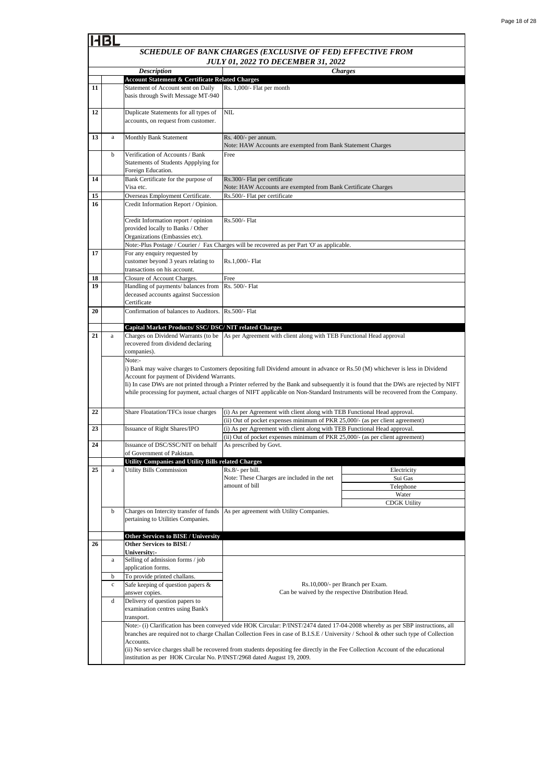|    |              | <b>Description</b>                                                           |                                                                                                                                       | <b>Charges</b>                                     |  |  |
|----|--------------|------------------------------------------------------------------------------|---------------------------------------------------------------------------------------------------------------------------------------|----------------------------------------------------|--|--|
|    |              | <b>Account Statement &amp; Certificate Related Charges</b>                   |                                                                                                                                       |                                                    |  |  |
| 11 |              | Statement of Account sent on Daily                                           | Rs. 1,000/- Flat per month                                                                                                            |                                                    |  |  |
|    |              | basis through Swift Message MT-940                                           |                                                                                                                                       |                                                    |  |  |
|    |              |                                                                              |                                                                                                                                       |                                                    |  |  |
| 12 |              | Duplicate Statements for all types of<br>accounts, on request from customer. | <b>NIL</b>                                                                                                                            |                                                    |  |  |
|    |              |                                                                              |                                                                                                                                       |                                                    |  |  |
| 13 | a            | Monthly Bank Statement                                                       | Rs. 400/- per annum.                                                                                                                  |                                                    |  |  |
|    |              |                                                                              | Note: HAW Accounts are exempted from Bank Statement Charges                                                                           |                                                    |  |  |
|    | b            | Verification of Accounts / Bank                                              | Free                                                                                                                                  |                                                    |  |  |
|    |              | Statements of Students Appplying for                                         |                                                                                                                                       |                                                    |  |  |
|    |              | Foreign Education.                                                           |                                                                                                                                       |                                                    |  |  |
| 14 |              | Bank Certificate for the purpose of<br>Visa etc.                             | Rs.300/- Flat per certificate                                                                                                         |                                                    |  |  |
| 15 |              | Overseas Employment Certificate.                                             | Note: HAW Accounts are exempted from Bank Certificate Charges<br>Rs.500/- Flat per certificate                                        |                                                    |  |  |
| 16 |              | Credit Information Report / Opinion.                                         |                                                                                                                                       |                                                    |  |  |
|    |              |                                                                              |                                                                                                                                       |                                                    |  |  |
|    |              | Credit Information report / opinion                                          | Rs.500/- Flat                                                                                                                         |                                                    |  |  |
|    |              | provided locally to Banks / Other                                            |                                                                                                                                       |                                                    |  |  |
|    |              | Organizations (Embassies etc).                                               |                                                                                                                                       |                                                    |  |  |
|    |              |                                                                              | Note:-Plus Postage / Courier / Fax Charges will be recovered as per Part 'O' as applicable.                                           |                                                    |  |  |
| 17 |              | For any enquiry requested by<br>customer beyond 3 years relating to          | Rs.1,000/- Flat                                                                                                                       |                                                    |  |  |
|    |              | transactions on his account.                                                 |                                                                                                                                       |                                                    |  |  |
| 18 |              | Closure of Account Charges.                                                  | Free                                                                                                                                  |                                                    |  |  |
| 19 |              | Handling of payments/ balances from                                          | Rs. 500/- Flat                                                                                                                        |                                                    |  |  |
|    |              | deceased accounts against Succession                                         |                                                                                                                                       |                                                    |  |  |
|    |              | Certificate                                                                  |                                                                                                                                       |                                                    |  |  |
| 20 |              | Confirmation of balances to Auditors.                                        | Rs.500/- Flat                                                                                                                         |                                                    |  |  |
|    |              | Capital Market Products/ SSC/ DSC/ NIT related Charges                       |                                                                                                                                       |                                                    |  |  |
| 21 | $\mathbf{a}$ | Charges on Dividend Warrants (to be                                          | As per Agreement with client along with TEB Functional Head approval                                                                  |                                                    |  |  |
|    |              | recovered from dividend declaring                                            |                                                                                                                                       |                                                    |  |  |
|    |              | companies).                                                                  |                                                                                                                                       |                                                    |  |  |
|    |              | Note:-                                                                       |                                                                                                                                       |                                                    |  |  |
|    |              | Account for payment of Dividend Warrants.                                    | i) Bank may waive charges to Customers depositing full Dividend amount in advance or Rs.50 (M) whichever is less in Dividend          |                                                    |  |  |
|    |              |                                                                              | Ii) In case DWs are not printed through a Printer referred by the Bank and subsequently it is found that the DWs are rejected by NIFT |                                                    |  |  |
|    |              |                                                                              | while processing for payment, actual charges of NIFT applicable on Non-Standard Instruments will be recovered from the Company.       |                                                    |  |  |
|    |              |                                                                              |                                                                                                                                       |                                                    |  |  |
| 22 |              | Share Floatation/TFCs issue charges                                          | (i) As per Agreement with client along with TEB Functional Head approval.                                                             |                                                    |  |  |
|    |              |                                                                              | (ii) Out of pocket expenses minimum of PKR 25,000/- (as per client agreement)                                                         |                                                    |  |  |
| 23 |              | Issuance of Right Shares/IPO                                                 | (i) As per Agreement with client along with TEB Functional Head approval.                                                             |                                                    |  |  |
| 24 |              | Issuance of DSC/SSC/NIT on behalf                                            | (ii) Out of pocket expenses minimum of PKR 25,000/- (as per client agreement)<br>As prescribed by Govt.                               |                                                    |  |  |
|    |              | of Government of Pakistan.                                                   |                                                                                                                                       |                                                    |  |  |
|    |              | <b>Utility Companies and Utility Bills related Charges</b>                   |                                                                                                                                       |                                                    |  |  |
| 25 | $\rm{a}$     | <b>Utility Bills Commission</b>                                              | Rs.8/- per bill.                                                                                                                      | Electricity                                        |  |  |
|    |              |                                                                              | Note: These Charges are included in the net                                                                                           | Sui Gas                                            |  |  |
|    |              |                                                                              | amount of bill                                                                                                                        | Telephone                                          |  |  |
|    |              |                                                                              |                                                                                                                                       | Water<br><b>CDGK Utility</b>                       |  |  |
|    | b            | Charges on Intercity transfer of funds                                       | As per agreement with Utility Companies.                                                                                              |                                                    |  |  |
|    |              | pertaining to Utilities Companies.                                           |                                                                                                                                       |                                                    |  |  |
|    |              |                                                                              |                                                                                                                                       |                                                    |  |  |
|    |              | <b>Other Services to BISE / University</b>                                   |                                                                                                                                       |                                                    |  |  |
| 26 |              | Other Services to BISE /<br>University:-                                     |                                                                                                                                       |                                                    |  |  |
|    | a            | Selling of admission forms / job                                             |                                                                                                                                       |                                                    |  |  |
|    |              | application forms.                                                           |                                                                                                                                       |                                                    |  |  |
|    | b            | To provide printed challans.                                                 |                                                                                                                                       |                                                    |  |  |
|    | $\mathbf c$  | Safe keeping of question papers &                                            | Rs.10,000/- per Branch per Exam.                                                                                                      |                                                    |  |  |
|    |              | answer copies.                                                               |                                                                                                                                       | Can be waived by the respective Distribution Head. |  |  |
|    | d            | Delivery of question papers to                                               |                                                                                                                                       |                                                    |  |  |
|    |              | examination centres using Bank's<br>transport.                               |                                                                                                                                       |                                                    |  |  |
|    |              |                                                                              | Note:- (i) Clarification has been conveyed vide HOK Circular: P/INST/2474 dated 17-04-2008 whereby as per SBP instructions, all       |                                                    |  |  |
|    |              |                                                                              | branches are required not to charge Challan Collection Fees in case of B.I.S.E / University / School & other such type of Collection  |                                                    |  |  |
|    |              | Accounts.                                                                    |                                                                                                                                       |                                                    |  |  |
|    |              |                                                                              | (ii) No service charges shall be recovered from students depositing fee directly in the Fee Collection Account of the educational     |                                                    |  |  |
|    |              | institution as per HOK Circular No. P/INST/2968 dated August 19, 2009.       |                                                                                                                                       |                                                    |  |  |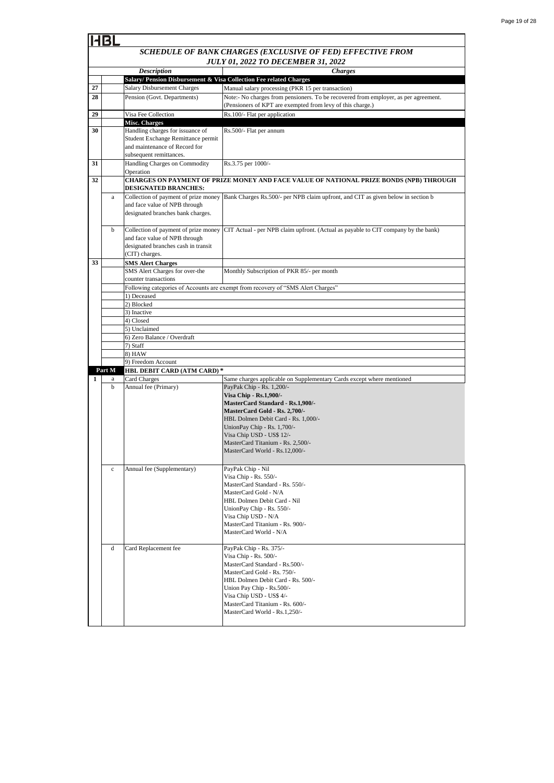|    | 4BI                                       |                                                                                                                                    |                                                                                                                                                   |  |  |
|----|-------------------------------------------|------------------------------------------------------------------------------------------------------------------------------------|---------------------------------------------------------------------------------------------------------------------------------------------------|--|--|
|    |                                           |                                                                                                                                    | SCHEDULE OF BANK CHARGES (EXCLUSIVE OF FED) EFFECTIVE FROM                                                                                        |  |  |
|    | <b>JULY 01, 2022 TO DECEMBER 31, 2022</b> |                                                                                                                                    |                                                                                                                                                   |  |  |
|    |                                           | <b>Description</b><br>Salary/ Pension Disbursement & Visa Collection Fee related Charges                                           | <b>Charges</b>                                                                                                                                    |  |  |
| 27 |                                           | Salary Disbursement Charges                                                                                                        | Manual salary processing (PKR 15 per transaction)                                                                                                 |  |  |
| 28 |                                           | Pension (Govt. Departments)                                                                                                        | Note:- No charges from pensioners. To be recovered from employer, as per agreement.<br>(Pensioners of KPT are exempted from levy of this charge.) |  |  |
| 29 |                                           | Visa Fee Collection                                                                                                                | Rs.100/- Flat per application                                                                                                                     |  |  |
|    |                                           | <b>Misc. Charges</b>                                                                                                               |                                                                                                                                                   |  |  |
| 30 |                                           | Handling charges for issuance of<br>Student Exchange Remittance permit<br>and maintenance of Record for<br>subsequent remittances. | Rs.500/- Flat per annum                                                                                                                           |  |  |
| 31 |                                           | Handling Charges on Commodity<br>Operation                                                                                         | Rs.3.75 per 1000/-                                                                                                                                |  |  |
| 32 |                                           | <b>DESIGNATED BRANCHES:</b>                                                                                                        | CHARGES ON PAYMENT OF PRIZE MONEY AND FACE VALUE OF NATIONAL PRIZE BONDS (NPB) THROUGH                                                            |  |  |
|    | a                                         | Collection of payment of prize money                                                                                               | Bank Charges Rs.500/- per NPB claim upfront, and CIT as given below in section b                                                                  |  |  |
|    |                                           | and face value of NPB through<br>designated branches bank charges.                                                                 |                                                                                                                                                   |  |  |
|    | b                                         | Collection of payment of prize money<br>and face value of NPB through<br>designated branches cash in transit<br>(CIT) charges.     | CIT Actual - per NPB claim upfront. (Actual as payable to CIT company by the bank)                                                                |  |  |
| 33 |                                           | <b>SMS Alert Charges</b><br>SMS Alert Charges for over-the<br>counter transactions                                                 | Monthly Subscription of PKR 85/- per month                                                                                                        |  |  |
|    |                                           |                                                                                                                                    | Following categories of Accounts are exempt from recovery of "SMS Alert Charges"                                                                  |  |  |
|    |                                           | 1) Deceased                                                                                                                        |                                                                                                                                                   |  |  |
|    |                                           | 2) Blocked                                                                                                                         |                                                                                                                                                   |  |  |
|    |                                           | 3) Inactive<br>4) Closed                                                                                                           |                                                                                                                                                   |  |  |
|    |                                           | 5) Unclaimed                                                                                                                       |                                                                                                                                                   |  |  |
|    |                                           | 6) Zero Balance / Overdraft                                                                                                        |                                                                                                                                                   |  |  |
|    |                                           | 7) Staff                                                                                                                           |                                                                                                                                                   |  |  |
|    |                                           | 8) HAW                                                                                                                             |                                                                                                                                                   |  |  |
|    |                                           | 9) Freedom Account                                                                                                                 |                                                                                                                                                   |  |  |
|    | Part M                                    | HBL DEBIT CARD (ATM CARD)*                                                                                                         |                                                                                                                                                   |  |  |
| 1  | a<br>b                                    | Card Charges<br>Annual fee (Primary)                                                                                               | Same charges applicable on Supplementary Cards except where mentioned<br>PayPak Chip - Rs. 1,200/-                                                |  |  |
|    |                                           |                                                                                                                                    | Visa Chip - Rs.1,900/-                                                                                                                            |  |  |
|    |                                           |                                                                                                                                    | MasterCard Standard - Rs.1,900/-                                                                                                                  |  |  |
|    |                                           |                                                                                                                                    | MasterCard Gold - Rs. 2,700/-                                                                                                                     |  |  |
|    |                                           |                                                                                                                                    | HBL Dolmen Debit Card - Rs. 1,000/-                                                                                                               |  |  |
|    |                                           |                                                                                                                                    | UnionPay Chip - Rs. 1,700/-                                                                                                                       |  |  |
|    |                                           |                                                                                                                                    | Visa Chip USD - US\$ 12/-                                                                                                                         |  |  |
|    |                                           |                                                                                                                                    | MasterCard Titanium - Rs. 2,500/-                                                                                                                 |  |  |
|    |                                           |                                                                                                                                    | MasterCard World - Rs.12,000/-                                                                                                                    |  |  |
|    |                                           |                                                                                                                                    |                                                                                                                                                   |  |  |
|    | $\mathbf c$                               | Annual fee (Supplementary)                                                                                                         | PayPak Chip - Nil                                                                                                                                 |  |  |
|    |                                           |                                                                                                                                    | Visa Chip - Rs. 550/-                                                                                                                             |  |  |
|    |                                           |                                                                                                                                    | MasterCard Standard - Rs. 550/-                                                                                                                   |  |  |
|    |                                           |                                                                                                                                    | MasterCard Gold - N/A                                                                                                                             |  |  |
|    |                                           |                                                                                                                                    | HBL Dolmen Debit Card - Nil                                                                                                                       |  |  |
|    |                                           |                                                                                                                                    | UnionPay Chip - Rs. 550/-                                                                                                                         |  |  |
|    |                                           |                                                                                                                                    | Visa Chip USD - N/A                                                                                                                               |  |  |
|    |                                           |                                                                                                                                    | MasterCard Titanium - Rs. 900/-                                                                                                                   |  |  |
|    |                                           |                                                                                                                                    | MasterCard World - N/A                                                                                                                            |  |  |
|    | d                                         | Card Replacement fee                                                                                                               | PayPak Chip - Rs. 375/-                                                                                                                           |  |  |
|    |                                           |                                                                                                                                    | Visa Chip - Rs. 500/-                                                                                                                             |  |  |
|    |                                           |                                                                                                                                    | MasterCard Standard - Rs.500/-                                                                                                                    |  |  |
|    |                                           |                                                                                                                                    | MasterCard Gold - Rs. 750/-                                                                                                                       |  |  |
|    |                                           |                                                                                                                                    | HBL Dolmen Debit Card - Rs. 500/-                                                                                                                 |  |  |
|    |                                           |                                                                                                                                    | Union Pay Chip - Rs.500/-                                                                                                                         |  |  |
|    |                                           |                                                                                                                                    | Visa Chip USD - US\$ 4/-                                                                                                                          |  |  |
|    |                                           |                                                                                                                                    | MasterCard Titanium - Rs. 600/-                                                                                                                   |  |  |
|    |                                           |                                                                                                                                    | MasterCard World - Rs.1,250/-                                                                                                                     |  |  |
|    |                                           |                                                                                                                                    |                                                                                                                                                   |  |  |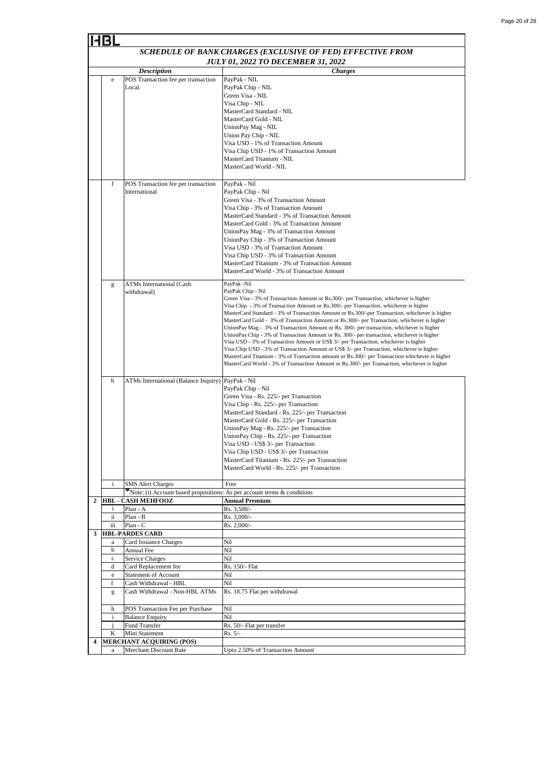| Page 20 of 28 |  |  |
|---------------|--|--|
|               |  |  |

|   |                                                      |                                                                                                                                                                                                              | SCHEDULE OF BANK CHARGES (EXCLUSIVE OF FED) EFFECTIVE FROM                                                                                                                                                                                                                                                                                                                                                                                                                                                                                                                                                                                                                                                                                                                                                                                                                                                                                                                                              |  |  |
|---|------------------------------------------------------|--------------------------------------------------------------------------------------------------------------------------------------------------------------------------------------------------------------|---------------------------------------------------------------------------------------------------------------------------------------------------------------------------------------------------------------------------------------------------------------------------------------------------------------------------------------------------------------------------------------------------------------------------------------------------------------------------------------------------------------------------------------------------------------------------------------------------------------------------------------------------------------------------------------------------------------------------------------------------------------------------------------------------------------------------------------------------------------------------------------------------------------------------------------------------------------------------------------------------------|--|--|
|   |                                                      |                                                                                                                                                                                                              | <b>JULY 01, 2022 TO DECEMBER 31, 2022</b>                                                                                                                                                                                                                                                                                                                                                                                                                                                                                                                                                                                                                                                                                                                                                                                                                                                                                                                                                               |  |  |
|   |                                                      | <b>Description</b><br><b>Charges</b>                                                                                                                                                                         |                                                                                                                                                                                                                                                                                                                                                                                                                                                                                                                                                                                                                                                                                                                                                                                                                                                                                                                                                                                                         |  |  |
|   | e                                                    | POS Transaction fee per transaction<br>Local.                                                                                                                                                                | PayPak - NIL<br>PayPak Chip - NIL<br>Green Visa - NIL<br>Visa Chip - NIL<br>MasterCard Standard - NIL<br>MasterCard Gold - NIL<br>UnionPay Mag - NIL<br>Union Pay Chip - NIL<br>Visa USD - 1% of Transaction Amount<br>Visa Chip USD - 1% of Transaction Amount<br>MasterCard Titanium - NIL<br>MasterCard World - NIL                                                                                                                                                                                                                                                                                                                                                                                                                                                                                                                                                                                                                                                                                  |  |  |
|   | f                                                    | POS Transaction fee per transaction<br>International                                                                                                                                                         | PayPak - Nil<br>PayPak Chip - Nil<br>Green Visa - 3% of Transaction Amount<br>Visa Chip - 3% of Transaction Amount<br>MasterCard Standard - 3% of Transaction Amount<br>MasterCard Gold - 3% of Transaction Amount<br>UnionPay Mag - 3% of Transaction Amount<br>UnionPay Chip - 3% of Transaction Amount<br>Visa USD - 3% of Transaction Amount<br>Visa Chip USD - 3% of Transaction Amount<br>MasterCard Titanium - 3% of Transaction Amount<br>MasterCard World - 3% of Transaction Amount                                                                                                                                                                                                                                                                                                                                                                                                                                                                                                           |  |  |
|   | g                                                    | <b>ATMs International (Cash</b><br>withdrawal)                                                                                                                                                               | PayPak -Nil<br>PayPak Chip - Nil<br>Green Visa - 3% of Transaction Amount or Rs.300/- per Transaction, whichever is higher<br>Visa Chip - 3% of Transaction Amount or Rs. 300/- per Transaction, whichever is higher<br>MasterCard Standard - 3% of Transaction Amount or Rs.300/-per Transaction, whichever is higher<br>MasterCard Gold - 3% of Transaction Amount or Rs.300/- per Transaction, whichever is higher<br>UnionPay Mag - 3% of Transaction Amount or Rs. 300/- per transaction, whichever is higher<br>UnionPay Chip - 3% of Transaction Amount or Rs. 300/- per transaction, whichever is higher<br>Visa USD - 3% of Transaction Amount or US\$ 3/- per Transaction, whichever is higher<br>Visa Chip USD - 3% of Transaction Amount or US\$ 3/- per Transaction, whichever is higher<br>MasterCard Titanium - 3% of Transaction amount or Rs.300/- per Transaction whichever is higher<br>MasterCard World - 3% of Transaction Amount or Rs.300/- per Transaction, whichever is higher |  |  |
|   | h                                                    | ATMs International (Balance Inquiry)                                                                                                                                                                         | PayPak - Nil<br>PayPak Chip - Nil<br>Green Visa - Rs. 225/- per Transaction<br>Visa Chip - Rs. 225/- per Transaction<br>MasterCard Standard - Rs. 225/- per Transaction<br>MasterCard Gold - Rs. 225/- per Transaction<br>UnionPay Mag - Rs. 225/- per Transaction<br>UnionPay Chip - Rs. 225/- per Transaction<br>Visa USD - US\$ 3/- per Transaction<br>Visa Chip USD - US\$ 3/- per Transaction<br>MasterCard Titanium - Rs. 225/- per Transaction<br>MasterCard World - Rs. 225/- per Transaction                                                                                                                                                                                                                                                                                                                                                                                                                                                                                                   |  |  |
|   | i                                                    | <b>SMS</b> Alert Charges<br>$\mathcal{F}$ Note: (i) Account based propositions: As per account terms & conditions                                                                                            | Free                                                                                                                                                                                                                                                                                                                                                                                                                                                                                                                                                                                                                                                                                                                                                                                                                                                                                                                                                                                                    |  |  |
|   |                                                      | <b>HBL - CASH MEHFOOZ</b>                                                                                                                                                                                    | <b>Annual Premium</b>                                                                                                                                                                                                                                                                                                                                                                                                                                                                                                                                                                                                                                                                                                                                                                                                                                                                                                                                                                                   |  |  |
|   | i                                                    | Plan - A                                                                                                                                                                                                     | Rs. 3,500/-                                                                                                                                                                                                                                                                                                                                                                                                                                                                                                                                                                                                                                                                                                                                                                                                                                                                                                                                                                                             |  |  |
|   | ii                                                   | Plan - B                                                                                                                                                                                                     | Rs. 3,000/-                                                                                                                                                                                                                                                                                                                                                                                                                                                                                                                                                                                                                                                                                                                                                                                                                                                                                                                                                                                             |  |  |
| 3 | iii                                                  | Plan - C<br><b>HBL-PARDES CARD</b>                                                                                                                                                                           | Rs. 2,000/-                                                                                                                                                                                                                                                                                                                                                                                                                                                                                                                                                                                                                                                                                                                                                                                                                                                                                                                                                                                             |  |  |
|   | a<br>b<br>$\mathbf c$<br>d<br>$\rm e$<br>f<br>g<br>h | Card Issuance Charges<br>Annual Fee<br>Service Charges<br>Card Replacement fee<br><b>Statement of Account</b><br>Cash Withdrawal - HBL<br>Cash Withdrawal - Non-HBL ATMs<br>POS Transaction Fee per Purchase | Nil<br>Nil<br>Nil<br>Rs. 150/- Flat<br>Nil<br>Nil<br>Rs. 18.75 Flat per withdrawal<br>Nil                                                                                                                                                                                                                                                                                                                                                                                                                                                                                                                                                                                                                                                                                                                                                                                                                                                                                                               |  |  |
|   | i                                                    | <b>Balance Enquiry</b>                                                                                                                                                                                       | Nil                                                                                                                                                                                                                                                                                                                                                                                                                                                                                                                                                                                                                                                                                                                                                                                                                                                                                                                                                                                                     |  |  |
|   | i                                                    | Fund Transfer                                                                                                                                                                                                | Rs. 50/- Flat per transfer                                                                                                                                                                                                                                                                                                                                                                                                                                                                                                                                                                                                                                                                                                                                                                                                                                                                                                                                                                              |  |  |
|   | K                                                    | Mini Statement                                                                                                                                                                                               | $Rs. 5/-$                                                                                                                                                                                                                                                                                                                                                                                                                                                                                                                                                                                                                                                                                                                                                                                                                                                                                                                                                                                               |  |  |
| 4 | a                                                    | MERCHANT ACQUIRING (POS)<br>Merchant Discount Rate                                                                                                                                                           | Upto 2.50% of Transaction Amount                                                                                                                                                                                                                                                                                                                                                                                                                                                                                                                                                                                                                                                                                                                                                                                                                                                                                                                                                                        |  |  |
|   |                                                      |                                                                                                                                                                                                              |                                                                                                                                                                                                                                                                                                                                                                                                                                                                                                                                                                                                                                                                                                                                                                                                                                                                                                                                                                                                         |  |  |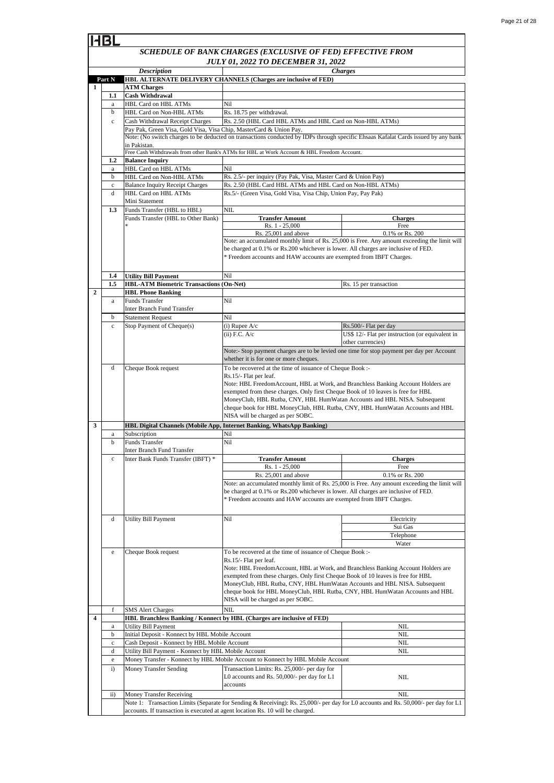#### *SCHEDULE OF BANK CHARGES (EXCLUSIVE OF FED) EFFECTIVE FROM JULY 01, 2022 TO DECEMBER 31, 2022 Description Charges* **ATM Charges 1.1 Cash Withdrawal** a HBL Card on HBL ATMs b HBL Card on Non-HBL ATMs Cash Withdrawal Receipt Charges **1.2 Balance Inquiry** a HBL Card on HBL ATMs b HBL Card on Non-HBL ATMs c Balance Inquiry Receipt Charges d HBL Card on HBL ATMs Mini Statement Funds Transfer (HBL to HBL) **1.4 Utility Bill Payment 1.5 HBL Phone Banking** a Funds Transfer Inter Branch Fund Transfer b Statement Request d Cheque Book request a Subscription b Funds Transfer Inter Branch Fund Transfer e Cheque Book request SMS Alert Charges a b c d e i) Money Transfer Sending ii) NIL. **1** Rs. 2.5/- per inquiry (Pay Pak, Visa, Master Card & Union Pay) Rs.5/- (Green Visa, Gold Visa, Visa Chip, Union Pay, Pay Pak) Pay Pak, Green Visa, Gold Visa, Visa Chip, MasterCard & Union Pay. c Cash Withdrawal Receipt Charges Rs. 2.50 (HBL Card HBL ATMs and HBL Card on Non-HBL ATMs) Rs. 2.50 (HBL Card HBL ATMs and HBL Card on Non-HBL ATMs) NIL Utility Bill Payment Nil NIL Stop Payment of Cheque(s) (i) Rupee A/c Rs.500/- Flat per day  $(ii)$  F.C.  $A/c$ Transaction Limits: Rs. 25,000/- per day for L0 accounts and Rs. 50,000/- per day for L1 accounts Note: an accumulated monthly limit of Rs. 25,000 is Free. Any amount exceeding the limit will be charged at 0.1% or Rs.200 whichever is lower. All charges are inclusive of FED. \* Freedom accounts and HAW accounts are exempted from IBFT Charges. **Transfer Amount** NIL Money Transfer Receiving Rs. 15 per transaction Nil Rs. 25,001 and above Nil Money Transfer - Konnect by HBL Mobile Account to Konnect by HBL Mobile Account To be recovered at the time of issuance of Cheque Book :- Rs.15/- Flat per leaf. Note: HBL FreedomAccount, HBL at Work, and Branchless Banking Account Holders are exempted from these charges. Only first Cheque Book of 10 leaves is free for HBL MoneyClub, HBL Rutba, CNY, HBL HumWatan Accounts and HBL NISA. Subsequent cheque book for HBL MoneyClub, HBL Rutba, CNY, HBL HumWatan Accounts and HBL NISA will be charged as per SOBC. **HBL-ATM Biometric Transactions (On-Net)** Water To be recovered at the time of issuance of Cheque Book :- Rs.15/- Flat per leaf. Note: HBL FreedomAccount, HBL at Work, and Branchless Banking Account Holders are exempted from these charges. Only first Cheque Book of 10 leaves is free for HBL MoneyClub, HBL Rutba, CNY, HBL HumWatan Accounts and HBL NISA. Subsequent cheque book for HBL MoneyClub, HBL Rutba, CNY, HBL HumWatan Accounts and HBL NISA will be charged as per SOBC. NIL NIL NIL Cash Deposit - Konnect by HBL Mobile Account Utility Bill Payment - Konnect by HBL Mobile Account NIL Initial Deposit - Konnect by HBL Mobile Account **3** Nil Nil Inter Bank Funds Transfer (IBFT) \* Note: an accumulated monthly limit of Rs. 25,000 is Free. Any amount exceeding the limit will be charged at 0.1% or Rs.200 whichever is lower. All charges are inclusive of FED. \* Freedom accounts and HAW accounts are exempted from IBFT Charges. Electricity Sui Gas **Telephone HBL Branchless Banking / Konnect by HBL (Charges are inclusive of FED)** Utility Bill Payment d **HBL Digital Channels (Mobile App, Internet Banking, WhatsApp Banking) Transfer Amount Charges** Rs. 1 - 25,000 Free **2** Nil Note: (No switch charges to be deducted on transactions conducted by IDPs through specific Ehsaas Kafalat Cards issued by any bank in Pakistan. Free Cash Withdrawals from other Bank's ATMs for HBL at Work Account & HBL Freedom Account. Rs. 18.75 per withdrawal. c Note:- Stop payment charges are to be levied one time for stop payment per day per Account whether it is for one or more cheques. US\$ 12/- Flat per instruction (or equivalent in other currencies) Nil **Charges** Rs. 1 - 25,000 Free Rs. 25,001 and above 0.1% or Rs. 200 Funds Transfer (HBL to Other Bank) \* **1.3** Nil **Part N HBL ALTERNATE DELIVERY CHANNELS (Charges are inclusive of FED)** 0.1% or Rs. 200 c Note 1: Transaction Limits (Separate for Sending & Receiving): Rs. 25,000/- per day for L0 accounts and Rs. 50,000/- per day for L1 accounts. If transaction is executed at agent location Rs. 10 will be charged. **4**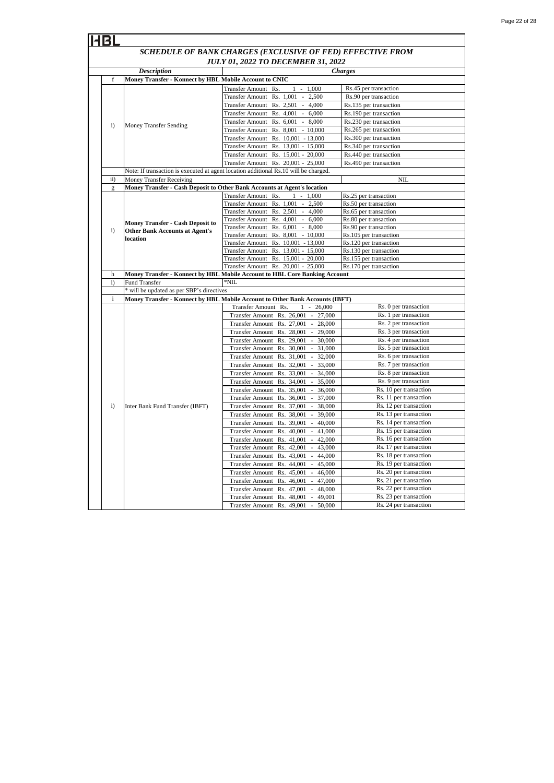| Page 22 of 28 |  |  |
|---------------|--|--|
|               |  |  |

|                                           | IHBL                                                       |                                                        |                                                                                                 |                                                  |  |  |
|-------------------------------------------|------------------------------------------------------------|--------------------------------------------------------|-------------------------------------------------------------------------------------------------|--------------------------------------------------|--|--|
|                                           | SCHEDULE OF BANK CHARGES (EXCLUSIVE OF FED) EFFECTIVE FROM |                                                        |                                                                                                 |                                                  |  |  |
| <b>JULY 01, 2022 TO DECEMBER 31, 2022</b> |                                                            |                                                        |                                                                                                 |                                                  |  |  |
|                                           |                                                            | <b>Description</b>                                     |                                                                                                 | <b>Charges</b>                                   |  |  |
|                                           | f                                                          | Money Transfer - Konnect by HBL Mobile Account to CNIC |                                                                                                 |                                                  |  |  |
|                                           |                                                            |                                                        | <b>Transfer Amount</b><br>Rs.<br>$1 - 1,000$                                                    | Rs.45 per transaction                            |  |  |
|                                           |                                                            |                                                        | Transfer Amount Rs. 1,001 -<br>2,500                                                            | Rs.90 per transaction                            |  |  |
|                                           |                                                            |                                                        | Transfer Amount Rs. 2,501 -<br>4,000                                                            | Rs.135 per transaction                           |  |  |
|                                           |                                                            | <b>Money Transfer Sending</b>                          | Transfer Amount Rs. 4,001 -<br>6,000                                                            | Rs.190 per transaction                           |  |  |
|                                           | $\mathbf{i}$                                               |                                                        | Transfer Amount Rs. 6,001 - 8,000                                                               | Rs.230 per transaction                           |  |  |
|                                           |                                                            |                                                        | Transfer Amount Rs. 8,001 - 10,000                                                              | Rs.265 per transaction                           |  |  |
|                                           |                                                            |                                                        | Transfer Amount Rs. 10,001 - 13,000                                                             | Rs.300 per transaction                           |  |  |
|                                           |                                                            |                                                        | Transfer Amount Rs. 13,001 - 15,000                                                             | Rs.340 per transaction                           |  |  |
|                                           |                                                            |                                                        | Transfer Amount Rs. 15,001 - 20,000                                                             | Rs.440 per transaction                           |  |  |
|                                           |                                                            |                                                        | $20,001 - 25,000$<br>Transfer Amount Rs.                                                        | Rs.490 per transaction                           |  |  |
|                                           |                                                            |                                                        | Note: If transaction is executed at agent location additional Rs.10 will be charged.            |                                                  |  |  |
|                                           | $\overline{ii}$ )                                          | Money Transfer Receiving                               |                                                                                                 | <b>NIL</b>                                       |  |  |
|                                           | $\mathbf{g}$                                               |                                                        | Money Transfer - Cash Deposit to Other Bank Accounts at Agent's location                        |                                                  |  |  |
|                                           |                                                            |                                                        | Transfer Amount Rs.<br>$1 -$<br>1.000<br>Transfer Amount Rs. 1,001 -<br>2,500                   | Rs.25 per transaction<br>Rs.50 per transaction   |  |  |
|                                           |                                                            |                                                        | Transfer Amount Rs. 2,501 -<br>4,000                                                            | Rs.65 per transaction                            |  |  |
|                                           |                                                            |                                                        | Transfer Amount Rs. 4,001 -<br>6,000                                                            | Rs.80 per transaction                            |  |  |
|                                           |                                                            | Money Transfer - Cash Deposit to                       | Transfer Amount Rs. 6,001 - 8,000                                                               | Rs.90 per transaction                            |  |  |
|                                           | i)                                                         | <b>Other Bank Accounts at Agent's</b><br>location      | Transfer Amount Rs. 8,001 - 10,000                                                              | Rs.105 per transaction                           |  |  |
|                                           |                                                            |                                                        | Transfer Amount Rs. 10,001 - 13,000                                                             | Rs.120 per transaction                           |  |  |
|                                           |                                                            |                                                        | Transfer Amount Rs. 13,001 - 15,000                                                             | Rs.130 per transaction                           |  |  |
|                                           |                                                            |                                                        | Transfer Amount Rs. 15,001 - 20,000                                                             | Rs.155 per transaction                           |  |  |
|                                           |                                                            |                                                        | Transfer Amount Rs. 20,001 - 25,000                                                             | Rs.170 per transaction                           |  |  |
|                                           | h<br>i)                                                    | Fund Transfer                                          | Money Transfer - Konnect by HBL Mobile Account to HBL Core Banking Account<br>$*$ NIL           |                                                  |  |  |
|                                           |                                                            | * will be updated as per SBP's directives              |                                                                                                 |                                                  |  |  |
|                                           | $\mathbf{i}$                                               |                                                        | Money Transfer - Konnect by HBL Mobile Account to Other Bank Accounts (IBFT)                    |                                                  |  |  |
|                                           |                                                            |                                                        | Transfer Amount Rs.<br>$\mathbf{1}$<br>$\sim$<br>26,000                                         | Rs. 0 per transaction                            |  |  |
|                                           |                                                            |                                                        | Transfer Amount Rs. 26,001<br>27,000<br>$\sim$                                                  | Rs. 1 per transaction                            |  |  |
|                                           |                                                            |                                                        | <b>Transfer Amount</b><br>Rs. 27,001<br>28,000<br>$\sim$                                        | Rs. 2 per transaction                            |  |  |
|                                           |                                                            |                                                        | <b>Transfer Amount</b><br>Rs. 28,001<br>29,000<br>$\sim$                                        | Rs. 3 per transaction                            |  |  |
|                                           |                                                            |                                                        | Rs. 29,001<br><b>Transfer Amount</b><br>30,000<br>$\sim$                                        | Rs. 4 per transaction                            |  |  |
|                                           |                                                            |                                                        | Rs. 30,001<br><b>Transfer Amount</b><br>31,000                                                  | Rs. 5 per transaction                            |  |  |
|                                           |                                                            |                                                        | <b>Transfer Amount</b><br>Rs. 31,001<br>32,000<br>$\sim$                                        | Rs. 6 per transaction                            |  |  |
|                                           |                                                            |                                                        | <b>Transfer Amount</b><br>Rs. 32,001<br>33,000                                                  | Rs. 7 per transaction                            |  |  |
|                                           |                                                            |                                                        | <b>Transfer Amount</b><br>Rs. 33,001<br>34,000<br>$\sim$                                        | Rs. 8 per transaction                            |  |  |
|                                           |                                                            |                                                        | <b>Transfer Amount</b><br>Rs. 34,001<br>35,000<br>$\sim$                                        | Rs. 9 per transaction                            |  |  |
|                                           |                                                            |                                                        | <b>Transfer Amount</b><br>Rs. 35,001<br>36,000<br>$\sim$                                        | Rs. 10 per transaction                           |  |  |
|                                           |                                                            |                                                        | 37,000<br><b>Transfer Amount</b><br>Rs. 36,001<br>$\sim$                                        | Rs. 11 per transaction                           |  |  |
|                                           | i)                                                         | Inter Bank Fund Transfer (IBFT)                        | <b>Transfer Amount</b><br>Rs. 37,001<br>38,000<br>$\overline{\phantom{a}}$                      | Rs. 12 per transaction                           |  |  |
|                                           |                                                            |                                                        | <b>Transfer Amount</b><br>39,000<br>Rs. 38,001<br>$\overline{\phantom{a}}$                      | Rs. 13 per transaction                           |  |  |
|                                           |                                                            |                                                        | <b>Transfer Amount</b><br>Rs. 39,001<br>40,000<br>$\sim$                                        | Rs. 14 per transaction                           |  |  |
|                                           |                                                            |                                                        | <b>Transfer Amount</b><br>Rs. 40,001<br>41,000                                                  | Rs. 15 per transaction<br>Rs. 16 per transaction |  |  |
|                                           |                                                            |                                                        | Transfer Amount Rs. 41,001 - 42,000<br><b>Transfer Amount</b><br>Rs. 42,001<br>43,000<br>$\sim$ | Rs. 17 per transaction                           |  |  |
|                                           |                                                            |                                                        | Rs. 43,001<br>44,000<br><b>Transfer Amount</b><br>$\sim$                                        | Rs. 18 per transaction                           |  |  |
|                                           |                                                            |                                                        | Rs. 44,001<br><b>Transfer Amount</b><br>45,000<br>$\sim$                                        | Rs. 19 per transaction                           |  |  |
|                                           |                                                            |                                                        | <b>Transfer Amount</b><br>Rs. 45,001<br>46,000<br>$\sim$                                        | Rs. 20 per transaction                           |  |  |
|                                           |                                                            |                                                        | Rs. 46,001<br>47,000<br><b>Transfer Amount</b><br>$\sim$                                        | Rs. 21 per transaction                           |  |  |
|                                           |                                                            |                                                        | <b>Transfer Amount</b><br>Rs. 47,001<br>48,000                                                  | Rs. 22 per transaction                           |  |  |
|                                           |                                                            |                                                        | <b>Transfer Amount</b><br>Rs. 48,001<br>49,001<br>$\sim$                                        | Rs. 23 per transaction                           |  |  |
|                                           |                                                            |                                                        | Rs. 49,001<br><b>Transfer Amount</b><br>50,000                                                  | Rs. 24 per transaction                           |  |  |
|                                           |                                                            |                                                        |                                                                                                 |                                                  |  |  |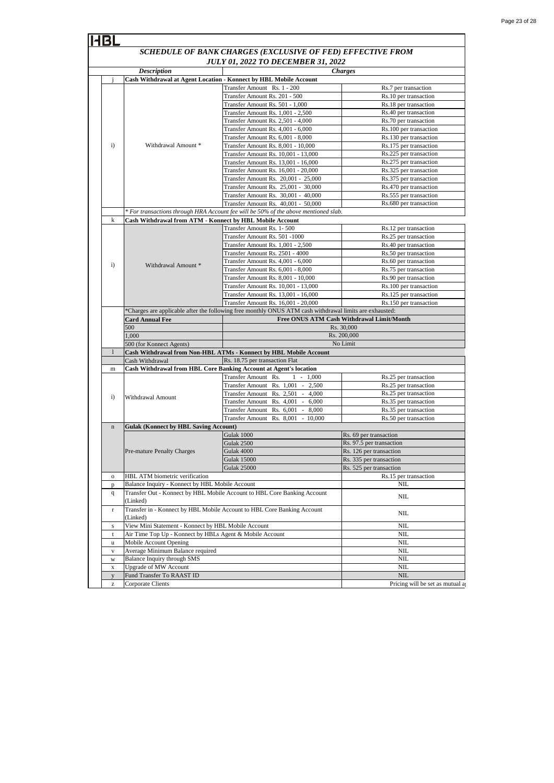| 14BI                                                              |                                                                                                                                   |                                                                                     |                                                  |  |
|-------------------------------------------------------------------|-----------------------------------------------------------------------------------------------------------------------------------|-------------------------------------------------------------------------------------|--------------------------------------------------|--|
| SCHEDULE OF BANK CHARGES (EXCLUSIVE OF FED) EFFECTIVE FROM        |                                                                                                                                   |                                                                                     |                                                  |  |
| <b>JULY 01, 2022 TO DECEMBER 31, 2022</b>                         |                                                                                                                                   |                                                                                     |                                                  |  |
|                                                                   | <b>Description</b>                                                                                                                |                                                                                     | <b>Charges</b>                                   |  |
| Cash Withdrawal at Agent Location - Konnect by HBL Mobile Account |                                                                                                                                   |                                                                                     |                                                  |  |
|                                                                   |                                                                                                                                   | Transfer Amount Rs. 1 - 200                                                         | Rs.7 per transaction                             |  |
|                                                                   |                                                                                                                                   | Transfer Amount Rs. 201 - 500                                                       | Rs.10 per transaction                            |  |
|                                                                   |                                                                                                                                   | Transfer Amount Rs. 501 - 1,000                                                     | Rs.18 per transaction                            |  |
|                                                                   |                                                                                                                                   | Transfer Amount Rs. 1,001 - 2,500                                                   | Rs.40 per transaction                            |  |
|                                                                   |                                                                                                                                   | Transfer Amount Rs. 2,501 - 4,000                                                   | Rs.70 per transaction                            |  |
|                                                                   | Withdrawal Amount *                                                                                                               | Transfer Amount Rs. 4,001 - 6,000                                                   | Rs.100 per transaction                           |  |
|                                                                   |                                                                                                                                   | Transfer Amount Rs. 6,001 - 8,000                                                   | Rs.130 per transaction                           |  |
| $\mathbf{i}$                                                      |                                                                                                                                   | Transfer Amount Rs. 8,001 - 10,000                                                  | Rs.175 per transaction                           |  |
|                                                                   |                                                                                                                                   | Transfer Amount Rs. 10,001 - 13,000                                                 | Rs.225 per transaction                           |  |
|                                                                   |                                                                                                                                   | Transfer Amount Rs. 13,001 - 16,000                                                 | Rs.275 per transaction                           |  |
|                                                                   |                                                                                                                                   | Transfer Amount Rs. 16,001 - 20,000                                                 | Rs.325 per transaction                           |  |
|                                                                   |                                                                                                                                   | Transfer Amount Rs. 20,001 - 25,000                                                 | Rs.375 per transaction<br>Rs.470 per transaction |  |
|                                                                   |                                                                                                                                   | Transfer Amount Rs. 25,001 - 30,000<br>Transfer Amount Rs. 30,001 - 40,000          | Rs.555 per transaction                           |  |
|                                                                   |                                                                                                                                   | Transfer Amount Rs. 40,001 - 50,000                                                 | Rs.680 per transaction                           |  |
|                                                                   |                                                                                                                                   | * For transactions through HRA Account fee will be 50% of the above mentioned slab. |                                                  |  |
| $\bf k$                                                           | Cash Withdrawal from ATM - Konnect by HBL Mobile Account                                                                          |                                                                                     |                                                  |  |
|                                                                   |                                                                                                                                   | Transfer Amount Rs. 1-500                                                           | Rs.12 per transaction                            |  |
|                                                                   |                                                                                                                                   | Transfer Amount Rs. 501 -1000                                                       | Rs.25 per transaction                            |  |
|                                                                   |                                                                                                                                   | Transfer Amount Rs. 1,001 - 2,500                                                   | Rs.40 per transaction                            |  |
|                                                                   |                                                                                                                                   | Transfer Amount Rs. 2501 - 4000                                                     | Rs.50 per transaction                            |  |
| $\mathbf{i}$                                                      | Withdrawal Amount *                                                                                                               | Transfer Amount Rs. 4,001 - 6,000                                                   | Rs.60 per transaction                            |  |
|                                                                   |                                                                                                                                   | Transfer Amount Rs. 6,001 - 8,000                                                   | Rs.75 per transaction                            |  |
|                                                                   |                                                                                                                                   | Transfer Amount Rs. 8,001 - 10,000                                                  | Rs.90 per transaction                            |  |
|                                                                   |                                                                                                                                   | Transfer Amount Rs. 10,001 - 13,000                                                 | Rs.100 per transaction                           |  |
|                                                                   |                                                                                                                                   | Transfer Amount Rs. 13,001 - 16,000                                                 | Rs.125 per transaction                           |  |
|                                                                   |                                                                                                                                   | Transfer Amount Rs. 16,001 - 20,000                                                 | Rs.150 per transaction                           |  |
|                                                                   | *Charges are applicable after the following free monthly ONUS ATM cash withdrawal limits are exhausted:<br><b>Card Annual Fee</b> |                                                                                     | Free ONUS ATM Cash Withdrawal Limit/Month        |  |
|                                                                   |                                                                                                                                   |                                                                                     |                                                  |  |
|                                                                   |                                                                                                                                   |                                                                                     |                                                  |  |
|                                                                   | 500                                                                                                                               |                                                                                     | Rs. 30,000                                       |  |
|                                                                   | 1,000                                                                                                                             |                                                                                     | Rs. 200,000<br>No Limit                          |  |
|                                                                   | 500 (for Konnect Agents)                                                                                                          | Cash Withdrawal from Non-HBL ATMs - Konnect by HBL Mobile Account                   |                                                  |  |
|                                                                   | Cash Withdrawal                                                                                                                   | Rs. 18.75 per transaction Flat                                                      |                                                  |  |
| m                                                                 |                                                                                                                                   | Cash Withdrawal from HBL Core Banking Account at Agent's location                   |                                                  |  |
|                                                                   |                                                                                                                                   | Transfer Amount Rs.<br>$1 - 1,000$                                                  | Rs.25 per transaction                            |  |
|                                                                   |                                                                                                                                   | Transfer Amount Rs. 1,001 - 2,500                                                   | Rs.25 per transaction                            |  |
|                                                                   |                                                                                                                                   | Transfer Amount Rs. 2,501 -<br>4,000                                                | Rs.25 per transaction                            |  |
| $\mathbf{i}$                                                      | Withdrawal Amount                                                                                                                 | Transfer Amount Rs. 4,001 -<br>6,000                                                | Rs.35 per transaction                            |  |
|                                                                   |                                                                                                                                   | Transfer Amount Rs. 6,001<br>$-8,000$                                               | Rs.35 per transaction                            |  |
|                                                                   |                                                                                                                                   | Transfer Amount Rs. 8,001 - 10,000                                                  | Rs.50 per transaction                            |  |
| $\bf n$                                                           | <b>Gulak (Konnect by HBL Saving Account)</b>                                                                                      |                                                                                     |                                                  |  |
|                                                                   |                                                                                                                                   | Gulak 1000                                                                          | Rs. 69 per transaction                           |  |
|                                                                   |                                                                                                                                   | Gulak 2500                                                                          | Rs. 97.5 per transaction                         |  |
|                                                                   | Pre-mature Penalty Charges                                                                                                        | Gulak 4000                                                                          | Rs. 126 per transaction                          |  |
|                                                                   |                                                                                                                                   | <b>Gulak 15000</b>                                                                  | Rs. 335 per transaction                          |  |
| $\mathbf 0$                                                       | HBL ATM biometric verification                                                                                                    | <b>Gulak 25000</b>                                                                  | Rs. 525 per transaction                          |  |
|                                                                   |                                                                                                                                   |                                                                                     | Rs.15 per transaction<br><b>NIL</b>              |  |
| $\mathbf{p}$<br>$\mathbf{q}$                                      | Balance Inquiry - Konnect by HBL Mobile Account                                                                                   | Transfer Out - Konnect by HBL Mobile Account to HBL Core Banking Account            |                                                  |  |
|                                                                   | (Linked)                                                                                                                          |                                                                                     | <b>NIL</b>                                       |  |
| $\Gamma$                                                          | (Linked)                                                                                                                          | Transfer in - Konnect by HBL Mobile Account to HBL Core Banking Account             | <b>NIL</b>                                       |  |
| s                                                                 | View Mini Statement - Konnect by HBL Mobile Account                                                                               |                                                                                     | NIL                                              |  |
| t                                                                 | Air Time Top Up - Konnect by HBLs Agent & Mobile Account                                                                          |                                                                                     | <b>NIL</b>                                       |  |
| u                                                                 | Mobile Account Opening                                                                                                            |                                                                                     | <b>NIL</b>                                       |  |
| $_{\rm V}$                                                        | Average Minimum Balance required                                                                                                  |                                                                                     | <b>NIL</b>                                       |  |
| W                                                                 | Balance Inquiry through SMS                                                                                                       |                                                                                     | <b>NIL</b>                                       |  |
| X                                                                 | <b>Upgrade of MW Account</b>                                                                                                      |                                                                                     | $\rm NIL$                                        |  |
| y                                                                 | Fund Transfer To RAAST ID<br>Corporate Clients                                                                                    |                                                                                     | <b>NIL</b><br>Pricing will be set as mutual a    |  |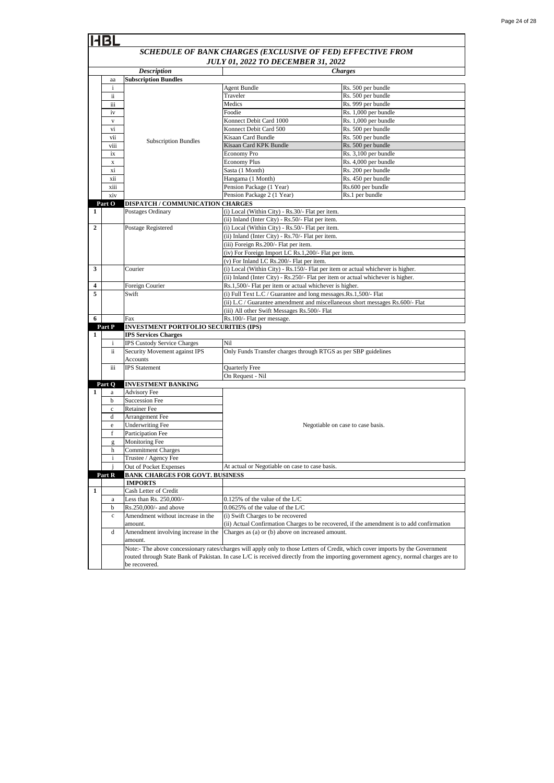|                | <b>HBI</b>                                                 |                                                   |                                                                                                                                             |                                                                                                                                |  |
|----------------|------------------------------------------------------------|---------------------------------------------------|---------------------------------------------------------------------------------------------------------------------------------------------|--------------------------------------------------------------------------------------------------------------------------------|--|
|                | SCHEDULE OF BANK CHARGES (EXCLUSIVE OF FED) EFFECTIVE FROM |                                                   |                                                                                                                                             |                                                                                                                                |  |
|                | <b>JULY 01, 2022 TO DECEMBER 31, 2022</b>                  |                                                   |                                                                                                                                             |                                                                                                                                |  |
|                |                                                            | <b>Description</b>                                |                                                                                                                                             | <b>Charges</b>                                                                                                                 |  |
|                | aa                                                         | <b>Subscription Bundles</b>                       |                                                                                                                                             |                                                                                                                                |  |
|                | $\mathbf{i}$                                               |                                                   | <b>Agent Bundle</b>                                                                                                                         | Rs. 500 per bundle                                                                                                             |  |
|                | ii.                                                        |                                                   | Traveler                                                                                                                                    | Rs. 500 per bundle                                                                                                             |  |
|                | ш                                                          |                                                   | Medics                                                                                                                                      | Rs. 999 per bundle                                                                                                             |  |
|                | iv                                                         |                                                   | Foodie<br>Konnect Debit Card 1000                                                                                                           | Rs. 1,000 per bundle<br>Rs. 1,000 per bundle                                                                                   |  |
|                | $\mathbf{V}$<br>vi                                         |                                                   | Konnect Debit Card 500                                                                                                                      | Rs. 500 per bundle                                                                                                             |  |
|                | vii                                                        |                                                   | Kisaan Card Bundle                                                                                                                          | Rs. 500 per bundle                                                                                                             |  |
|                | viii                                                       | <b>Subscription Bundles</b>                       | Kisaan Card KPK Bundle                                                                                                                      | Rs. 500 per bundle                                                                                                             |  |
|                | ix                                                         |                                                   | <b>Economy Pro</b>                                                                                                                          | Rs. 3,100 per bundle                                                                                                           |  |
|                | х                                                          |                                                   | <b>Economy Plus</b>                                                                                                                         | Rs. 4,000 per bundle                                                                                                           |  |
|                | xi                                                         |                                                   | Sasta (1 Month)                                                                                                                             | Rs. 200 per bundle                                                                                                             |  |
|                | xii                                                        |                                                   | Hangama (1 Month)                                                                                                                           | Rs. 450 per bundle                                                                                                             |  |
|                | xiii                                                       |                                                   | Pension Package (1 Year)                                                                                                                    | Rs.600 per bundle                                                                                                              |  |
|                | xiv                                                        |                                                   | Pension Package 2 (1 Year)                                                                                                                  | Rs.1 per bundle                                                                                                                |  |
|                | Part O                                                     | DISPATCH / COMMUNICATION CHARGES                  |                                                                                                                                             |                                                                                                                                |  |
| $\mathbf{1}$   |                                                            | Postages Ordinary                                 | (i) Local (Within City) - Rs.30/- Flat per item.                                                                                            |                                                                                                                                |  |
|                |                                                            |                                                   | (ii) Inland (Inter City) - Rs.50/- Flat per item.                                                                                           |                                                                                                                                |  |
| $\overline{2}$ |                                                            | Postage Registered                                | (i) Local (Within City) - Rs.50/- Flat per item.                                                                                            |                                                                                                                                |  |
|                |                                                            |                                                   | (ii) Inland (Inter City) - Rs.70/- Flat per item.                                                                                           |                                                                                                                                |  |
|                |                                                            |                                                   | (iii) Foreign Rs.200/- Flat per item.                                                                                                       |                                                                                                                                |  |
|                |                                                            |                                                   | (iv) For Foreign Import LC Rs.1,200/- Flat per item.                                                                                        |                                                                                                                                |  |
|                |                                                            |                                                   | (v) For Inland LC Rs.200/- Flat per item.                                                                                                   |                                                                                                                                |  |
| 3              |                                                            | Courier                                           | (i) Local (Within City) - Rs.150/- Flat per item or actual whichever is higher.                                                             |                                                                                                                                |  |
| 4              |                                                            |                                                   | (ii) Inland (Inter City) - Rs.250/- Flat per item or actual whichever is higher.<br>Rs.1,500/- Flat per item or actual whichever is higher. |                                                                                                                                |  |
| 5              |                                                            | Foreign Courier<br>Swift                          | (i) Full Text L.C / Guarantee and long messages.Rs.1,500/- Flat                                                                             |                                                                                                                                |  |
|                |                                                            |                                                   | (ii) L.C / Guarantee amendment and miscellaneous short messages Rs.600/- Flat                                                               |                                                                                                                                |  |
|                |                                                            |                                                   | (iii) All other Swift Messages Rs.500/- Flat                                                                                                |                                                                                                                                |  |
| 6              |                                                            | Fax                                               | Rs.100/- Flat per message.                                                                                                                  |                                                                                                                                |  |
|                | Part P                                                     | <b>INVESTMENT PORTFOLIO SECURITIES (IPS)</b>      |                                                                                                                                             |                                                                                                                                |  |
| 1              |                                                            | <b>IPS Services Charges</b>                       |                                                                                                                                             |                                                                                                                                |  |
|                | $\mathbf{i}$                                               | IPS Custody Service Charges                       | Nil                                                                                                                                         |                                                                                                                                |  |
|                | ii.                                                        | Security Movement against IPS                     | Only Funds Transfer charges through RTGS as per SBP guidelines                                                                              |                                                                                                                                |  |
|                |                                                            | Accounts                                          |                                                                                                                                             |                                                                                                                                |  |
|                | iii                                                        | <b>IPS</b> Statement                              | Quarterly Free                                                                                                                              |                                                                                                                                |  |
|                |                                                            |                                                   | On Request - Nil                                                                                                                            |                                                                                                                                |  |
| 1              | Part Q<br>a                                                | <b>INVESTMENT BANKING</b><br><b>Advisory Fee</b>  |                                                                                                                                             |                                                                                                                                |  |
|                | b                                                          | <b>Succession Fee</b>                             |                                                                                                                                             |                                                                                                                                |  |
|                | $\mathbf c$                                                | <b>Retainer Fee</b>                               |                                                                                                                                             |                                                                                                                                |  |
|                | d                                                          | Arrangement Fee                                   |                                                                                                                                             |                                                                                                                                |  |
|                | e                                                          | <b>Underwriting Fee</b>                           |                                                                                                                                             | Negotiable on case to case basis.                                                                                              |  |
|                | f                                                          | Participation Fee                                 |                                                                                                                                             |                                                                                                                                |  |
|                | g                                                          | <b>Monitoring Fee</b>                             |                                                                                                                                             |                                                                                                                                |  |
|                | h                                                          | <b>Commitment Charges</b>                         |                                                                                                                                             |                                                                                                                                |  |
|                | i                                                          | Trustee / Agency Fee                              |                                                                                                                                             |                                                                                                                                |  |
|                |                                                            | Out of Pocket Expenses                            | At actual or Negotiable on case to case basis.                                                                                              |                                                                                                                                |  |
|                | Part R                                                     | <b>BANK CHARGES FOR GOVT. BUSINESS</b>            |                                                                                                                                             |                                                                                                                                |  |
|                |                                                            | <b>IMPORTS</b>                                    |                                                                                                                                             |                                                                                                                                |  |
| $\mathbf{1}$   |                                                            | Cash Letter of Credit                             |                                                                                                                                             |                                                                                                                                |  |
|                | a<br>b                                                     | Less than Rs. 250,000/-<br>Rs.250,000/- and above | $0.125\%$ of the value of the L/C<br>0.0625% of the value of the L/C                                                                        |                                                                                                                                |  |
|                | $\mathbf c$                                                | Amendment without increase in the                 | (i) Swift Charges to be recovered                                                                                                           |                                                                                                                                |  |
|                |                                                            | amount.                                           |                                                                                                                                             | (ii) Actual Confirmation Charges to be recovered, if the amendment is to add confirmation                                      |  |
|                | d                                                          | Amendment involving increase in the               | Charges as (a) or (b) above on increased amount.                                                                                            |                                                                                                                                |  |
|                |                                                            | amount.                                           |                                                                                                                                             |                                                                                                                                |  |
|                |                                                            |                                                   |                                                                                                                                             | Note:- The above concessionary rates/charges will apply only to those Letters of Credit, which cover imports by the Government |  |
|                |                                                            |                                                   | routed through State Bank of Pakistan. In case L/C is received directly from the importing government agency, normal charges are to         |                                                                                                                                |  |
|                |                                                            | be recovered.                                     |                                                                                                                                             |                                                                                                                                |  |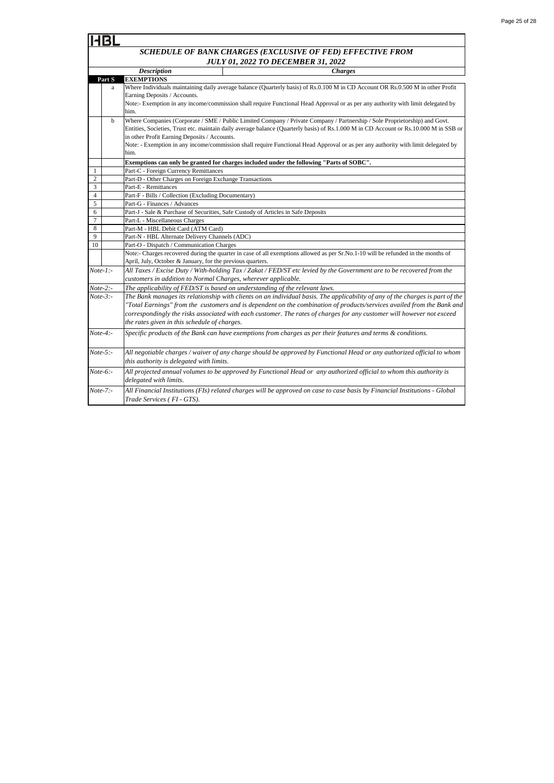| <b>Description</b>                                                                                                                                 |                                                               | <b>Charges</b>                                                                                                                        |  |  |
|----------------------------------------------------------------------------------------------------------------------------------------------------|---------------------------------------------------------------|---------------------------------------------------------------------------------------------------------------------------------------|--|--|
| Part S                                                                                                                                             | <b>EXEMPTIONS</b>                                             |                                                                                                                                       |  |  |
| a                                                                                                                                                  |                                                               | Where Individuals maintaining daily average balance (Quarterly basis) of Rs.0.100 M in CD Account OR Rs.0.500 M in other Profit       |  |  |
|                                                                                                                                                    | Earning Deposits / Accounts.                                  |                                                                                                                                       |  |  |
|                                                                                                                                                    |                                                               | Note:- Exemption in any income/commission shall require Functional Head Approval or as per any authority with limit delegated by      |  |  |
|                                                                                                                                                    | him.                                                          |                                                                                                                                       |  |  |
| $\mathbf{h}$                                                                                                                                       |                                                               | Where Companies (Corporate / SME / Public Limited Company / Private Company / Partnership / Sole Proprietorship) and Govt.            |  |  |
|                                                                                                                                                    |                                                               | Entities, Societies, Trust etc. maintain daily average balance (Quarterly basis) of Rs.1.000 M in CD Account or Rs.10.000 M in SSB or |  |  |
|                                                                                                                                                    | in other Profit Earning Deposits / Accounts.                  |                                                                                                                                       |  |  |
|                                                                                                                                                    |                                                               | Note: - Exemption in any income/commission shall require Functional Head Approval or as per any authority with limit delegated by     |  |  |
|                                                                                                                                                    | him.                                                          |                                                                                                                                       |  |  |
|                                                                                                                                                    |                                                               | Exemptions can only be granted for charges included under the following "Parts of SOBC".                                              |  |  |
| 1                                                                                                                                                  | Part-C - Foreign Currency Remittances                         |                                                                                                                                       |  |  |
| $\overline{c}$                                                                                                                                     | Part-D - Other Charges on Foreign Exchange Transactions       |                                                                                                                                       |  |  |
| 3                                                                                                                                                  | Part-E - Remittances                                          |                                                                                                                                       |  |  |
| 4                                                                                                                                                  | Part-F - Bills / Collection (Excluding Documentary)           |                                                                                                                                       |  |  |
| 5                                                                                                                                                  | Part-G - Finances / Advances                                  |                                                                                                                                       |  |  |
| 6                                                                                                                                                  |                                                               | Part-J - Sale & Purchase of Securities, Safe Custody of Articles in Safe Deposits                                                     |  |  |
| $\overline{7}$<br>Part-L - Miscellaneous Charges<br>8<br>Part-M - HBL Debit Card (ATM Card)<br>9<br>Part-N - HBL Alternate Delivery Channels (ADC) |                                                               |                                                                                                                                       |  |  |
|                                                                                                                                                    |                                                               |                                                                                                                                       |  |  |
|                                                                                                                                                    |                                                               |                                                                                                                                       |  |  |
| 10                                                                                                                                                 | Part-O - Dispatch / Communication Charges                     |                                                                                                                                       |  |  |
|                                                                                                                                                    |                                                               | Note:- Charges recovered during the quarter in case of all exemptions allowed as per Sr.No.1-10 will be refunded in the months of     |  |  |
|                                                                                                                                                    | April, July, October & January, for the previous quarters.    |                                                                                                                                       |  |  |
| $Note-1$ :-                                                                                                                                        |                                                               | All Taxes / Excise Duty / With-holding Tax / Zakat / FED/ST etc levied by the Government are to be recovered from the                 |  |  |
|                                                                                                                                                    | customers in addition to Normal Charges, wherever applicable. |                                                                                                                                       |  |  |
| The applicability of FED/ST is based on understanding of the relevant laws.<br>$Note-2$ :-                                                         |                                                               |                                                                                                                                       |  |  |
| $Note-3: -$                                                                                                                                        |                                                               | The Bank manages its relationship with clients on an individual basis. The applicability of any of the charges is part of the         |  |  |
|                                                                                                                                                    |                                                               | "Total Earnings" from the customers and is dependent on the combination of products/services availed from the Bank and                |  |  |
|                                                                                                                                                    |                                                               | correspondingly the risks associated with each customer. The rates of charges for any customer will however not exceed                |  |  |
|                                                                                                                                                    | the rates given in this schedule of charges.                  |                                                                                                                                       |  |  |
| $Note-4$ :-                                                                                                                                        |                                                               | Specific products of the Bank can have exemptions from charges as per their features and terms & conditions.                          |  |  |
|                                                                                                                                                    |                                                               |                                                                                                                                       |  |  |
| $Note-5:$                                                                                                                                          |                                                               |                                                                                                                                       |  |  |
|                                                                                                                                                    |                                                               | All negotiable charges / waiver of any charge should be approved by Functional Head or any authorized official to whom                |  |  |
|                                                                                                                                                    | this authority is delegated with limits.                      |                                                                                                                                       |  |  |
| $Note-6$ :-                                                                                                                                        |                                                               | All projected annual volumes to be approved by Functional Head or any authorized official to whom this authority is                   |  |  |
|                                                                                                                                                    | delegated with limits.                                        |                                                                                                                                       |  |  |
| $Note-7: -$                                                                                                                                        |                                                               | All Financial Institutions (FIs) related charges will be approved on case to case basis by Financial Institutions - Global            |  |  |
|                                                                                                                                                    | Trade Services (FI - GTS).                                    |                                                                                                                                       |  |  |
|                                                                                                                                                    |                                                               |                                                                                                                                       |  |  |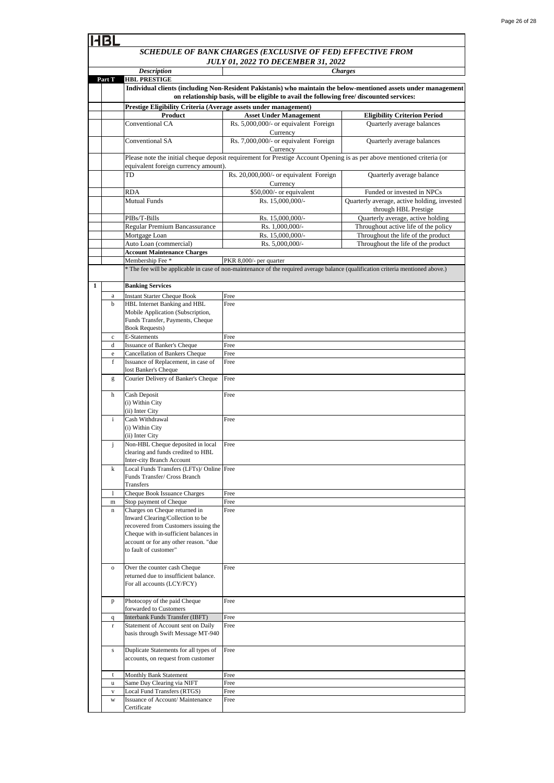|              |                                                                                                                                                                                     | SCHEDULE OF BANK CHARGES (EXCLUSIVE OF FED) EFFECTIVE FROM                                                                        |                                                                                                                 |
|--------------|-------------------------------------------------------------------------------------------------------------------------------------------------------------------------------------|-----------------------------------------------------------------------------------------------------------------------------------|-----------------------------------------------------------------------------------------------------------------|
|              |                                                                                                                                                                                     | <b>JULY 01, 2022 TO DECEMBER 31, 2022</b>                                                                                         | <b>Charges</b>                                                                                                  |
| Part T       | <b>Description</b><br><b>HBL PRESTIGE</b>                                                                                                                                           |                                                                                                                                   |                                                                                                                 |
|              |                                                                                                                                                                                     |                                                                                                                                   | Individual clients (including Non-Resident Pakistanis) who maintain the below-mentioned assets under management |
|              | on relationship basis, will be eligible to avail the following free/ discounted services:                                                                                           |                                                                                                                                   |                                                                                                                 |
|              | Prestige Eligibility Criteria (Average assets under management)                                                                                                                     |                                                                                                                                   |                                                                                                                 |
|              | Product                                                                                                                                                                             | <b>Asset Under Management</b>                                                                                                     | <b>Eligibility Criterion Period</b>                                                                             |
|              | Conventional CA                                                                                                                                                                     | Rs. 5,000,000/- or equivalent Foreign<br>Currency                                                                                 | Quarterly average balances                                                                                      |
|              | Conventional SA                                                                                                                                                                     | Rs. 7,000,000/- or equivalent Foreign<br>Currency                                                                                 | Quarterly average balances                                                                                      |
|              | equivalent foreign currency amount).                                                                                                                                                | Please note the initial cheque deposit requirement for Prestige Account Opening is as per above mentioned criteria (or            |                                                                                                                 |
|              | TD                                                                                                                                                                                  | Rs. 20,000,000/- or equivalent Foreign<br>Currency                                                                                | Quarterly average balance                                                                                       |
|              | RDA                                                                                                                                                                                 | \$50,000/- or equivalent                                                                                                          | Funded or invested in NPCs                                                                                      |
|              | <b>Mutual Funds</b>                                                                                                                                                                 | Rs. 15,000,000/-                                                                                                                  | Quarterly average, active holding, invested<br>through HBL Prestige                                             |
|              | PIBs/T-Bills                                                                                                                                                                        | Rs. 15,000,000/-                                                                                                                  | Quarterly average, active holding                                                                               |
|              | Regular Premium Bancassurance                                                                                                                                                       | Rs. 1,000,000/-                                                                                                                   | Throughout active life of the policy                                                                            |
|              | Mortgage Loan                                                                                                                                                                       | Rs. 15,000,000/-                                                                                                                  | Throughout the life of the product                                                                              |
|              | Auto Loan (commercial)                                                                                                                                                              | Rs. 5,000,000/-                                                                                                                   | Throughout the life of the product                                                                              |
|              | <b>Account Maintenance Charges</b>                                                                                                                                                  |                                                                                                                                   |                                                                                                                 |
|              | Membership Fee *                                                                                                                                                                    | PKR 8,000/- per quarter                                                                                                           |                                                                                                                 |
|              |                                                                                                                                                                                     | * The fee will be applicable in case of non-maintenance of the required average balance (qualification criteria mentioned above.) |                                                                                                                 |
|              |                                                                                                                                                                                     |                                                                                                                                   |                                                                                                                 |
| 1            | <b>Banking Services</b>                                                                                                                                                             |                                                                                                                                   |                                                                                                                 |
| a            | <b>Instant Starter Cheque Book</b>                                                                                                                                                  | Free                                                                                                                              |                                                                                                                 |
| b            | HBL Internet Banking and HBL                                                                                                                                                        | Free                                                                                                                              |                                                                                                                 |
|              | Mobile Application (Subscription,<br>Funds Transfer, Payments, Cheque<br><b>Book Requests)</b>                                                                                      |                                                                                                                                   |                                                                                                                 |
| $\mathbf c$  | E-Statements                                                                                                                                                                        | Free                                                                                                                              |                                                                                                                 |
| d            | Issuance of Banker's Cheque                                                                                                                                                         | Free                                                                                                                              |                                                                                                                 |
| e<br>f       | Cancellation of Bankers Cheque<br>Issuance of Replacement, in case of                                                                                                               | Free<br>Free                                                                                                                      |                                                                                                                 |
| g            | lost Banker's Cheque<br>Courier Delivery of Banker's Cheque                                                                                                                         | Free                                                                                                                              |                                                                                                                 |
|              |                                                                                                                                                                                     |                                                                                                                                   |                                                                                                                 |
| h            | Cash Deposit<br>(i) Within City<br>(ii) Inter City                                                                                                                                  | Free                                                                                                                              |                                                                                                                 |
| i            | Cash Withdrawal                                                                                                                                                                     | Free                                                                                                                              |                                                                                                                 |
|              | (i) Within City<br>(ii) Inter City                                                                                                                                                  |                                                                                                                                   |                                                                                                                 |
| j            | Non-HBL Cheque deposited in local                                                                                                                                                   | Free                                                                                                                              |                                                                                                                 |
|              | clearing and funds credited to HBL<br><b>Inter-city Branch Account</b>                                                                                                              |                                                                                                                                   |                                                                                                                 |
| $\bf k$      | Local Funds Transfers (LFTs)/ Online Free<br>Funds Transfer/ Cross Branch                                                                                                           |                                                                                                                                   |                                                                                                                 |
|              | Transfers                                                                                                                                                                           |                                                                                                                                   |                                                                                                                 |
| 1            | Cheque Book Issuance Charges                                                                                                                                                        | Free                                                                                                                              |                                                                                                                 |
| m            | Stop payment of Cheque<br>Charges on Cheque returned in                                                                                                                             | Free<br>Free                                                                                                                      |                                                                                                                 |
| $\mathbf n$  | Inward Clearing/Collection to be<br>recovered from Customers issuing the<br>Cheque with in-sufficient balances in<br>account or for any other reason. "due<br>to fault of customer" |                                                                                                                                   |                                                                                                                 |
| $\mathbf O$  | Over the counter cash Cheque<br>returned due to insufficient balance.<br>For all accounts (LCY/FCY)                                                                                 | Free                                                                                                                              |                                                                                                                 |
| p            | Photocopy of the paid Cheque<br>forwarded to Customers                                                                                                                              | Free                                                                                                                              |                                                                                                                 |
| $\mathbf{q}$ | Interbank Funds Transfer (IBFT)                                                                                                                                                     | Free                                                                                                                              |                                                                                                                 |
| r            | Statement of Account sent on Daily<br>basis through Swift Message MT-940                                                                                                            | Free                                                                                                                              |                                                                                                                 |
| s            | Duplicate Statements for all types of<br>accounts, on request from customer                                                                                                         | Free                                                                                                                              |                                                                                                                 |
| t            | Monthly Bank Statement                                                                                                                                                              | Free                                                                                                                              |                                                                                                                 |
| u            | Same Day Clearing via NIFT                                                                                                                                                          | Free                                                                                                                              |                                                                                                                 |
| V            | <b>Local Fund Transfers (RTGS)</b>                                                                                                                                                  | Free                                                                                                                              |                                                                                                                 |
| W            | Issuance of Account/ Maintenance<br>Certificate                                                                                                                                     | Free                                                                                                                              |                                                                                                                 |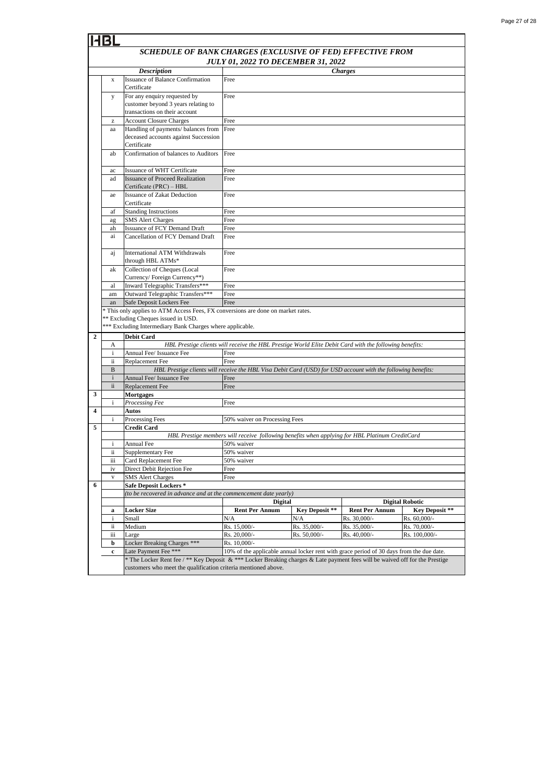|                                                                                  | SCHEDULE OF BANK CHARGES (EXCLUSIVE OF FED) EFFECTIVE FROM                                                                                                                                                                              |                                                                                                              |                                                                                                |                |                       |                       |
|----------------------------------------------------------------------------------|-----------------------------------------------------------------------------------------------------------------------------------------------------------------------------------------------------------------------------------------|--------------------------------------------------------------------------------------------------------------|------------------------------------------------------------------------------------------------|----------------|-----------------------|-----------------------|
|                                                                                  |                                                                                                                                                                                                                                         |                                                                                                              | <b>JULY 01, 2022 TO DECEMBER 31, 2022</b>                                                      |                |                       |                       |
|                                                                                  |                                                                                                                                                                                                                                         | <b>Description</b>                                                                                           |                                                                                                |                | <b>Charges</b>        |                       |
|                                                                                  | $\mathbf{x}$                                                                                                                                                                                                                            | <b>Issuance of Balance Confirmation</b><br>Certificate                                                       | Free                                                                                           |                |                       |                       |
|                                                                                  | у                                                                                                                                                                                                                                       | For any enquiry requested by                                                                                 | Free                                                                                           |                |                       |                       |
|                                                                                  |                                                                                                                                                                                                                                         | customer beyond 3 years relating to                                                                          |                                                                                                |                |                       |                       |
| transactions on their account                                                    |                                                                                                                                                                                                                                         |                                                                                                              |                                                                                                |                |                       |                       |
|                                                                                  | z<br>aa                                                                                                                                                                                                                                 | <b>Account Closure Charges</b><br>Handling of payments/ balances from                                        | Free<br>Free                                                                                   |                |                       |                       |
|                                                                                  |                                                                                                                                                                                                                                         | deceased accounts against Succession<br>Certificate                                                          |                                                                                                |                |                       |                       |
|                                                                                  | ab                                                                                                                                                                                                                                      | Confirmation of balances to Auditors                                                                         | Free                                                                                           |                |                       |                       |
|                                                                                  | ac                                                                                                                                                                                                                                      | Issuance of WHT Certificate                                                                                  | Free                                                                                           |                |                       |                       |
|                                                                                  | ad                                                                                                                                                                                                                                      | <b>Issuance of Proceed Realization</b>                                                                       | Free                                                                                           |                |                       |                       |
|                                                                                  |                                                                                                                                                                                                                                         | Certificate (PRC) - HBL                                                                                      |                                                                                                |                |                       |                       |
|                                                                                  | ae                                                                                                                                                                                                                                      | <b>Issuance of Zakat Deduction</b><br>Certificate                                                            | Free                                                                                           |                |                       |                       |
|                                                                                  | af                                                                                                                                                                                                                                      | <b>Standing Instructions</b>                                                                                 | Free                                                                                           |                |                       |                       |
|                                                                                  | ag                                                                                                                                                                                                                                      | <b>SMS</b> Alert Charges                                                                                     | Free                                                                                           |                |                       |                       |
|                                                                                  | ah<br>ai                                                                                                                                                                                                                                | <b>Issuance of FCY Demand Draft</b><br>Cancellation of FCY Demand Draft                                      | Free<br>Free                                                                                   |                |                       |                       |
|                                                                                  |                                                                                                                                                                                                                                         |                                                                                                              |                                                                                                |                |                       |                       |
|                                                                                  | aj                                                                                                                                                                                                                                      | International ATM Withdrawals                                                                                | Free                                                                                           |                |                       |                       |
|                                                                                  | ak                                                                                                                                                                                                                                      | through HBL ATMs*<br>Collection of Cheques (Local                                                            | Free                                                                                           |                |                       |                       |
|                                                                                  |                                                                                                                                                                                                                                         | Currency/Foreign Currency**)                                                                                 |                                                                                                |                |                       |                       |
|                                                                                  | al                                                                                                                                                                                                                                      | Inward Telegraphic Transfers***                                                                              | Free                                                                                           |                |                       |                       |
|                                                                                  | am                                                                                                                                                                                                                                      | Outward Telegraphic Transfers***                                                                             | Free                                                                                           |                |                       |                       |
| Safe Deposit Lockers Fee<br>Free<br>an                                           |                                                                                                                                                                                                                                         |                                                                                                              |                                                                                                |                |                       |                       |
| * This only applies to ATM Access Fees, FX conversions are done on market rates. |                                                                                                                                                                                                                                         |                                                                                                              |                                                                                                |                |                       |                       |
|                                                                                  | ** Excluding Cheques issued in USD.                                                                                                                                                                                                     |                                                                                                              |                                                                                                |                |                       |                       |
|                                                                                  |                                                                                                                                                                                                                                         | *** Excluding Intermediary Bank Charges where applicable.                                                    |                                                                                                |                |                       |                       |
|                                                                                  | $\overline{2}$<br><b>Debit Card</b><br>HBL Prestige clients will receive the HBL Prestige World Elite Debit Card with the following benefits:<br>А                                                                                      |                                                                                                              |                                                                                                |                |                       |                       |
|                                                                                  | $\mathbf{i}$                                                                                                                                                                                                                            | Annual Fee/ Issuance Fee                                                                                     | Free                                                                                           |                |                       |                       |
|                                                                                  | ii.                                                                                                                                                                                                                                     | Replacement Fee                                                                                              | Free                                                                                           |                |                       |                       |
|                                                                                  | B                                                                                                                                                                                                                                       | HBL Prestige clients will receive the HBL Visa Debit Card (USD) for USD account with the following benefits: |                                                                                                |                |                       |                       |
|                                                                                  | $\mathbf{i}$                                                                                                                                                                                                                            | Annual Fee/ Issuance Fee                                                                                     | Free                                                                                           |                |                       |                       |
|                                                                                  | ii                                                                                                                                                                                                                                      | Replacement Fee                                                                                              | Free                                                                                           |                |                       |                       |
| 3                                                                                |                                                                                                                                                                                                                                         | Mortgages                                                                                                    |                                                                                                |                |                       |                       |
| $\overline{\mathbf{4}}$                                                          | $\mathbf{i}$                                                                                                                                                                                                                            | Processing Fee                                                                                               | Free                                                                                           |                |                       |                       |
|                                                                                  | i.                                                                                                                                                                                                                                      | Autos<br><b>Processing Fees</b>                                                                              | 50% waiver on Processing Fees                                                                  |                |                       |                       |
| 5                                                                                |                                                                                                                                                                                                                                         | <b>Credit Card</b>                                                                                           |                                                                                                |                |                       |                       |
|                                                                                  |                                                                                                                                                                                                                                         |                                                                                                              | HBL Prestige members will receive following benefits when applying for HBL Platinum CreditCard |                |                       |                       |
|                                                                                  | i                                                                                                                                                                                                                                       | <b>Annual Fee</b>                                                                                            | 50% waiver                                                                                     |                |                       |                       |
|                                                                                  | ii                                                                                                                                                                                                                                      | Supplementary Fee                                                                                            | 50% waiver                                                                                     |                |                       |                       |
|                                                                                  | iii                                                                                                                                                                                                                                     | Card Replacement Fee                                                                                         | 50% waiver                                                                                     |                |                       |                       |
|                                                                                  | iv                                                                                                                                                                                                                                      | Direct Debit Rejection Fee                                                                                   | Free                                                                                           |                |                       |                       |
| 6                                                                                | $\mathbf{V}$                                                                                                                                                                                                                            | <b>SMS Alert Charges</b><br><b>Safe Deposit Lockers *</b>                                                    | Free                                                                                           |                |                       |                       |
|                                                                                  |                                                                                                                                                                                                                                         | (to be recovered in advance and at the commencement date yearly)                                             |                                                                                                |                |                       |                       |
|                                                                                  |                                                                                                                                                                                                                                         | <b>Digital</b><br><b>Digital Robotic</b>                                                                     |                                                                                                |                |                       |                       |
|                                                                                  | a                                                                                                                                                                                                                                       | <b>Locker Size</b>                                                                                           | <b>Rent Per Annum</b>                                                                          | Key Deposit ** | <b>Rent Per Annum</b> | <b>Key Deposit **</b> |
|                                                                                  | $\mathbf{i}$                                                                                                                                                                                                                            | Small                                                                                                        | N/A                                                                                            | N/A            | Rs. 30,000/-          | Rs. 60,000/-          |
|                                                                                  | ii                                                                                                                                                                                                                                      | Medium                                                                                                       | Rs. 15,000/-                                                                                   | Rs. 35,000/-   | Rs. 35,000/-          | Rs. 70,000/-          |
|                                                                                  | iii                                                                                                                                                                                                                                     | Large                                                                                                        | Rs. 20,000/-                                                                                   | Rs. 50,000/-   | Rs. 40,000/-          | Rs. 100,000/-         |
|                                                                                  | b                                                                                                                                                                                                                                       | Locker Breaking Charges ***<br>Late Payment Fee ***                                                          | Rs. 10,000/-                                                                                   |                |                       |                       |
|                                                                                  | 10% of the applicable annual locker rent with grace period of 30 days from the due date.<br>$\mathbf c$<br>* The Locker Rent fee / ** Key Deposit & *** Locker Breaking charges & Late payment fees will be waived off for the Prestige |                                                                                                              |                                                                                                |                |                       |                       |
|                                                                                  | customers who meet the qualification criteria mentioned above.                                                                                                                                                                          |                                                                                                              |                                                                                                |                |                       |                       |
|                                                                                  |                                                                                                                                                                                                                                         |                                                                                                              |                                                                                                |                |                       |                       |